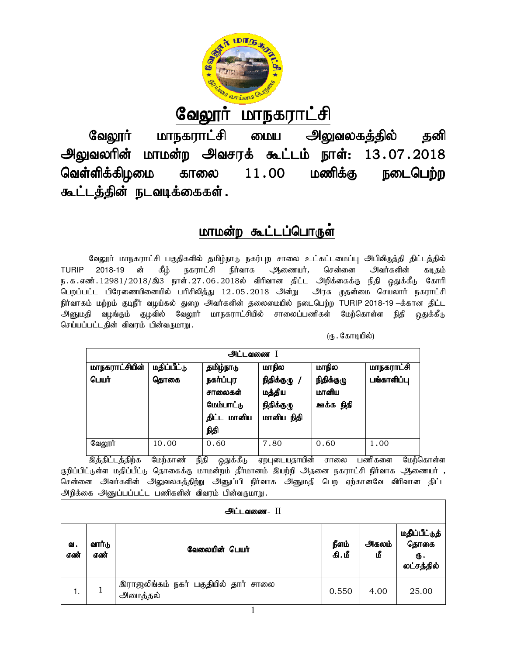

# <u>வேலூர் மாநகராட்சி</u>

வேலூர் மாநகராட்சி மைய அலுவலகத்தில் தனி வேலூர் மாநகராட்சி மைய அலுவலகத்தில் தனி<br>அலுவலரின் மாமன்ற அவசரக் கூட்டம் நாள்: 13.07.2018 வெள்ளிக்கிழமை காலை கூட்டத்தின் நடவடிக்கைகள்.  $11.00$  மணிக்கு நடைபெற்ற

## <u>மாமன்ற கூட்டப்பொருள்</u>

வேலூர் மாநகராட்சி பகுதிகளில் தமிழ்நாடு நகர்புற சாலை உட்கட்டமைப்பு அபிவிருத்தி திட்டத்தில் TURIP 2018-19 ன் கீம் நகராட்சி நிர்வாக ஆணையர், சென்னை அவர்களின் கடிகம் ந.க.எண்.12981/2018/இ3 நாள்.27.06.2018ல் விரிவான திட்ட அறிக்கைக்கு நிதி ஒதுக்கீடு கோரி பெறப்பட்ட பிரேணையினையில் பரிசிலித்து 12.05.2018 அன்று அரசு முதன்மை செயலார் நகராட்சி நிர்வாகம் மற்றம் குடிநீர் வழய்கல் துறை அவர்களின் தலைமையில் நடைபெற்ற TURIP 2018-19 –க்கான திட்ட அனுமதி வழங்கும் குழவில் வேலூர் மாநகராட்சியில் சாலைப்பணிகள் மேற்கொள்ள நிதி ஒதுக்கீடு<br>செய்யப்பட்டதின் விவரம் பின்வருமாறு<br>(ரு செய்யப்பட்டதின் விவரம் பின்வருமாறு. ்தமிழ்நாடு நகர்புற சாலை உட்கட்டமைப்பு அப்<br>ட்சி நிர்வாக — ஆணையர், சென்னை — அ<br>06.2018ல் விரிவான திட்ட அறிக்கைக்கு நித்<br>ந்து 12.05.2018 அன்று — அரசு முதன்மை<br>அவர்களின் தலைமையில் நடைபெற்ற TURIP 201 TURIP 2018-19 ன் கீழ் நகராட்சி நிர்வாக ஆணையர்,<br>ந.க.எண்.12981/2018/இ3்நாள்.27.06.2018ல் விரிவானதிட்ட<br>பெறப்பட்ட பிரேணையினையில் பரிசிலித்து 12.05.2018 அன்று

| அட்டவணை        |             |                                                              |                                                    |                                  |                   |  |  |
|----------------|-------------|--------------------------------------------------------------|----------------------------------------------------|----------------------------------|-------------------|--|--|
| மாநகராட்சியின் | மதிப்பீட்டு | தமிழ்நாடு                                                    | மாநில                                              | மாநில                            | <b>மாநகராட்சி</b> |  |  |
| பெயர்          | தொகை        | நகர்ப்புர<br>சாலைகள்<br>மேம்பாட்டு<br>திட்ட<br>மானிய<br>நிதி | நிதிக்குழு /<br>மத்திய<br>நிதிக்குழு<br>மானிய நிதி | நிதிக்குழு<br>மானிய<br>ஊக்க நிதி | பங்காளிப்பு       |  |  |
| வேலூர்         | 10.00       | 0.60                                                         | 7.80                                               | 0.60                             | 1.00              |  |  |

<u>இத்திட்டத்திற்க மேற்காண் நிதி ஒதுக்கீடு</u> ஏறபுடையதாயின் சாலை பணிகளை மேற்கொள்ள ்குறிப்பிட்டுள்ள மதிப்பீட்டு தொகைக்கு மாமன்றம் தீர்மானம் இயற்றி அதனை நகராட்சி நிர்வாக ஆணையர் , சென்னை அவர்களின் அலுவலகத்திற்று அனுப்பி நிர்வாக அனுமதி பெற ஏற்கானவே விரிவான திட்ட அறிக்கை அனுப்பப்பட்ட பணிகளின் விவரம் பின்வருமாறு. மேற்காண் நிதி ஒதுக்கடு ஏறபுடையதாயின் சாலை பணிகளை மேற்கொள்ள<br>தொகைக்கு மாமன்றம் தீர்மானம் இயற்றி அதனை நகராட்சி நிர்வாக ஆணையர் ,<br>அலுவலகத்திற்று அனுப்பி நிர்வாக அனுமதி பெற ஏற்கானவே விரிவான திட்ட<br>பணிகளின் விவரம் பின்வருமாறு .<br>

|           | <u> அட்டவணை - II</u> |                                                  |                |             |                                           |  |  |
|-----------|----------------------|--------------------------------------------------|----------------|-------------|-------------------------------------------|--|--|
| வ.<br>எண் | வார்டு<br>எண்        | வேலையின் பெயர்                                   | நீளம்<br>கி.மீ | அகலம்<br>மீ | மதிப்பீட்டுத்<br>தொகை<br>Ф.<br>லட்சத்தில் |  |  |
|           |                      | இராஜலிங்கம் நகர் பகுதியில் தார் சாலை<br>அமைத்தல் | 0.550          | 4.00        | 25.00                                     |  |  |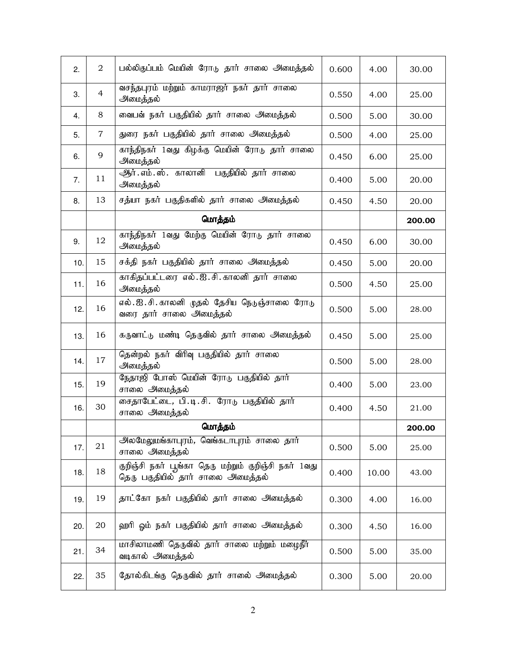| 2.  | $\overline{2}$ | பல்லிகுப்பம் மெயின் ரோடு தார் சாலை அமைத்தல்                                               | 0.600 | 4.00  | 30.00  |
|-----|----------------|-------------------------------------------------------------------------------------------|-------|-------|--------|
| 3.  | $\overline{4}$ | வசந்தபுரம் மற்றும் காமராஜர் நகர் தார் சாலை<br>அமைத்தல்                                    | 0.550 | 4.00  | 25.00  |
| 4.  | 8              | வைபவ் நகர் பகுதியில் தார் சாலை அமைத்தல்                                                   | 0.500 | 5.00  | 30.00  |
| 5.  | $\overline{7}$ | துரை நகர் பகுதியில் தார் சாலை அமைத்தல்                                                    | 0.500 | 4.00  | 25.00  |
| 6.  | 9              | காந்திநகர் 1வது கிழக்கு மெயின் ரோடு தார் சாலை<br>அமைத்தல்                                 | 0.450 | 6.00  | 25.00  |
| 7.  | 11             | ஆர்.எம்.ஸ். காலானி பகுதியில் தார் சாலை<br>அமைத்தல்                                        | 0.400 | 5.00  | 20.00  |
| 8.  | 13             | சத்யா நகர் பகுதிகளில் தார் சாலை அமைத்தல்                                                  | 0.450 | 4.50  | 20.00  |
|     |                | மொத்தம்                                                                                   |       |       | 200.00 |
| 9.  | 12             | காந்திநகர் 1வது மேற்கு மெயின் ரோடு தார் சாலை<br>அமைத்தல்                                  | 0.450 | 6.00  | 30.00  |
| 10. | 15             | சக்தி நகர் பகுதியில் தார் சாலை அமைத்தல்                                                   | 0.450 | 5.00  | 20.00  |
| 11. | 16             | காகிதப்பட்டரை எல். ஐ. சி. காலனி தார் சாலை<br>அமைத்தல்                                     | 0.500 | 4.50  | 25.00  |
| 12. | 16             | எல். ஐ. சி. காலனி முதல் தேசிய நெடுஞ்சாலை ரோடு<br>வரை தார் சாலை அமைத்தல்                   | 0.500 | 5.00  | 28.00  |
| 13. | 16             | கருவாட்டு மண்டி தெருவில் தார் சாலை அமைத்தல்                                               | 0.450 | 5.00  | 25.00  |
| 14. | 17             | தென்றல் நகர் விரிவு பகுதியில் தார் சாலை<br>அமைத்தல்                                       | 0.500 | 5.00  | 28.00  |
| 15. | 19             | நேதாஜி போஸ் மெயின் ரோடு பகுதியில் தார்<br>சாலை அமைத்தல்                                   | 0.400 | 5.00  | 23.00  |
| 16. | 30             | சைதாபேட்டை, பி.டி.சி. ரோடு பகுதியில் தார்<br>சாலை அமைத்தல்                                | 0.400 | 4.50  | 21.00  |
|     |                | மொத்தம்                                                                                   |       |       | 200.00 |
| 17. | 21             | அலமேலுமங்காபுரம், வெங்கடாபுரம் சாலை தார்<br>சாலை அமைத்தல்                                 | 0.500 | 5.00  | 25.00  |
| 18. | 18             | குறிஞ்சி நகர் பூங்கா தெரு மற்றும் குறிஞ்சி நகர் 1வது<br>தெரு பகுதியில் தார் சாலை அமைத்தல் | 0.400 | 10.00 | 43.00  |
| 19. | 19             | தாட்கோ நகர் பகுதியில் தார் சாலை அமைத்தல்                                                  | 0.300 | 4.00  | 16.00  |
| 20. | 20             | ஹரி ஓம் நகர் பகுதியில் தார் சாலை அமைத்தல்                                                 | 0.300 | 4.50  | 16.00  |
| 21. | 34             | மாசிலாமணி தெருவில் தார் சாலை மற்றும் மழைநீர்<br>வடிகால் அமைத்தல்                          | 0.500 | 5.00  | 35.00  |
| 22. | 35             | தோல்கிடங்கு தெருவில் தார் சாலை அமைத்தல்                                                   | 0.300 | 5.00  | 20.00  |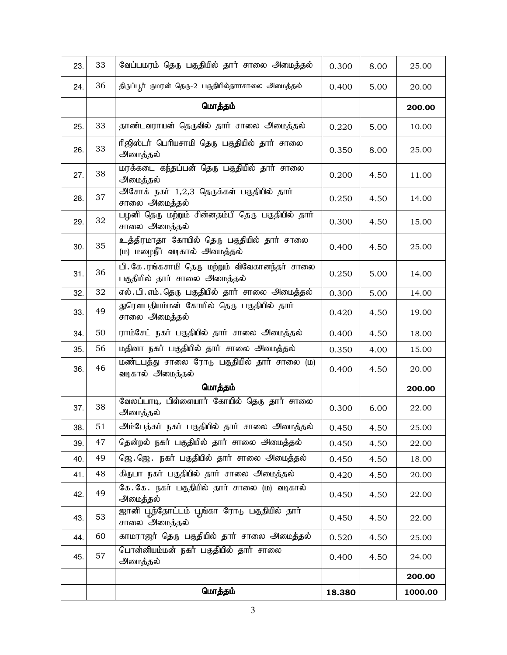| 23. | 33              | வேப்பமரம் தெரு பகுதியில் தார் சாலை அமைத்தல்                                    | 0.300  | 8.00  | 25.00   |
|-----|-----------------|--------------------------------------------------------------------------------|--------|-------|---------|
| 24. | 36              | திருப்பூர் குமரன் தெரு-2 பகுதியில்தாாசாலை அமைத்தல்                             | 0.400  | 5.00  | 20.00   |
|     |                 | மொத்தம்                                                                        |        |       | 200.00  |
| 25. | 33              | தாண்டவராயன் தெருவில் தார் சாலை அமைத்தல்                                        | 0.220  | 5.00  | 10.00   |
| 26. | 33              | ரிஜிஸ்டர் பெரியசாமி தெரு பகுதியில் தார் சாலை<br>அமைத்தல்                       | 0.350  | 8.00  | 25.00   |
| 27. | 38              | மரக்கடை கந்தப்பன் தெரு பகுதியில் தார் சாலை<br>அமைத்தல்                         | 0.200  | 4.50  | 11.00   |
| 28. | 37              | அசோக் நகர் 1,2,3 தெருக்கள் பகுதியில் தார்<br>சாலை அமைத்தல்                     | 0.250  | 4.50  | 14.00   |
| 29. | 32              | பழனி தெரு மற்றும் சின்னதம்பி தெரு பகுதியில் தார்<br>சாலை அமைத்தல்              | 0.300  | 4.50  | 15.00   |
| 30. | 35              | உத்திரமாதா கோயில் தெரு பகுதியில் தார் சாலை<br>(ம) மழைநீர் வடிகால் அமைத்தல்     | 0.400  | 4.50  | 25.00   |
| 31. | 36              | பி. கே.ரங்கசாமி தெரு மற்றும் விவேகானந்தர் சாலை<br>பகுதியில் தார் சாலை அமைத்தல் | 0.250  | 5.00  | 14.00   |
| 32. | $\overline{32}$ | எல்.பி.எம்.தெரு பகுதியில் தார் சாலை அமைத்தல்                                   | 0.300  | 5.00  | 14.00   |
| 33. | 49              | துரெளபதியம்மன் கோயில் தெரு பகுதியில் தார்<br>சாலை அமைத்தல்                     | 0.420  | 4.50  | 19.00   |
| 34. | 50              | ராம்சேட் நகர் பகுதியில் தார் சாலை அமைத்தல்                                     | 0.400  | 4.50  | 18.00   |
| 35. | 56              | மதினா நகர் பகுதியில் தார் சாலை அமைத்தல்                                        | 0.350  | 4.00  | 15.00   |
| 36. | 46              | மண்டபத்து சாலை ரோடு பகுதியில் தார் சாலை (ம)<br>வடிகால் அமைத்தல்                | 0.400  | 4.50  | 20.00   |
|     |                 | மொத்தம்                                                                        |        |       | 200.00  |
| 37. | 38              | வேலப்பாடி, பிள்ளையார் கோயில் தெரு தார் சாலை<br>அமைத்தல்                        | 0.300  | 6.00  | 22.00   |
| 38. | 51              | அம்பேத்கர் நகர் பகுதியில் தார் சாலை அமைத்தல்                                   | 0.450  | 4.50  | 25.00   |
| 39. | 47              | தென்றல் நகர் பகுதியில் தார் சாலை அமைத்தல்                                      | 0.450  | 4.50  | 22.00   |
| 40. | 49              | ஜெ.ஜெ. நகர் பகுதியில் தார் சாலை அமைத்தல்                                       | 0.450  | 4.50  | 18.00   |
| 41. | 48              | கிருபா நகர் பகுதியில் தார் சாலை அமைத்தல்                                       | 0.420  | 4.50  | 20.00   |
| 42. | 49              | கே.கே. நகர் பகுதியில் தார் சாலை (ம) வடிகால்<br>அமைத்தல்                        | 0.450  | 4.50  | 22.00   |
| 43. | 53              | ஜானி பூந்தோட்டம் பூங்கா ரோடு பகுதியில் தார்<br>0.450<br>4.50<br>சாலை அமைத்தல்  |        | 22.00 |         |
| 44. | 60              | காமராஜர் தெரு பகுதியில் தார் சாலை அமைத்தல்                                     | 0.520  | 4.50  | 25.00   |
| 45. | 57              | பொன்னியம்மன் நகர் பகுதியில் தார் சாலை<br>அமைத்தல்                              | 0.400  | 4.50  | 24.00   |
|     |                 |                                                                                |        |       | 200.00  |
|     |                 | மொத்தம்                                                                        | 18.380 |       | 1000.00 |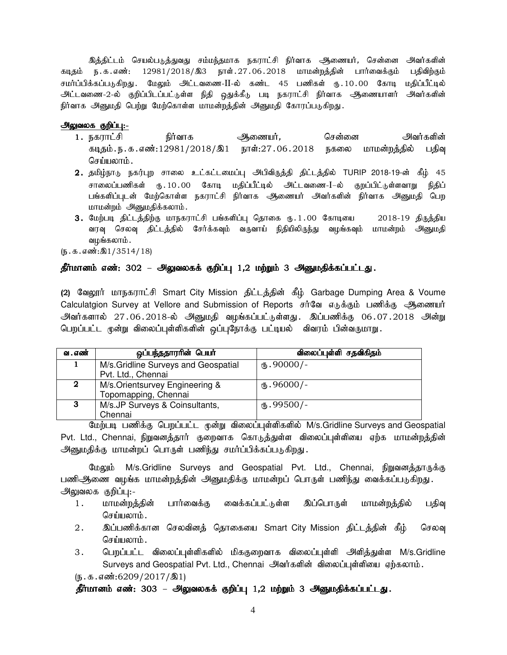இக்கிட்டம் செயல்படுக்துவது சம்மந்தமாக நகராட்சி நிர்வாக அணையர், சென்னை அவர்களின் கடிதம் ந.க.எண்: 12981/2018/இ3 நாள்.27.06.2018 மாமன்றத்தின் பார்வைக்கும் பதிவிற்கும் சமர்ப்பிக்கப்படுகிறது. மேலும் அட்டவணை-II-ல் கண்ட 45 பணிகள் ரூ.10.00 கோடி மகிப்பீட்டில் அட்டவணை-2-ல் குறிப்பிடப்பட்டுள்ள நிதி ஒதுக்கீடு படி நகராட்சி நிர்வாக ஆணையாளர் அவர்களின் நிர்வாக அனுமதி பெற்று மேற்கொள்ள மாமன்றத்தின் அனுமதி கோரப்படுகிறது.

#### அலுவலக குறிப்பு:-

- 1. efuhl;rp eph;thf Mizah;, brd;id mth;fspd; கடிதம்.ந.க.எண்:12981/2018/இ1 நாள்:27.06.2018 நகலை மாமன்றத்தில் பதிவு செய்யலாம்.
- $2.$  தமிழ்நாடு நகர்புற சாலை உட்கட்டமைப்பு அபிவிருத்தி திட்டத்தில் TURIP 2018-19-ன் கீழ் 45 சாலைப்பணிகள் ரூ.10.00 கோடி மதிப்பீட்டில் அட்டவணை-I–ல் குறப்பிட்டுள்ளவாறு நிதிப் பங்களிப்புடன் மேற்கொள்ள நகராட்சி நிர்வாக ஆணையர் அவர்களின் நிர்வாக அனுமதி பெற மாமன்றம் அனுமதிக்கலாம்.
- 3. மேற்படி திட்டத்திற்கு மாநகராட்சி பங்களிப்பு தொகை ரு.1.00 கோடியை 2018-19 திருத்திய வரவு செலவு திட்டத்தில் சேர்க்கவும் வருவாய் நிதியிலிருந்து வழங்கவும் மாமன்றம் அனுமதி வழங்கலாம்.

 $(5.5.5.5\cdot\frac{10}{2}1/3514/18)$ 

#### தீர்மானம் எண்: 302 – அலுவலகக் குறிப்பு 1,2 மற்றும் 3 அனுமதிக்கப்பட்டது.

(2) வேலூர் மாநகராட்சி Smart City Mission திட்டத்தின் கீழ் Garbage Dumping Area & Voume Calculatgion Survey at Vellore and Submission of Reports சர்வே எடுக்கும் பணிக்கு ஆணையர் அவர்களால் 27.06.2018-ல் அனுமதி வழங்கப்பட்டுள்ளது. இப்பணிக்கு 06.07.2018 அன்று பெறப்பட்ட மூன்று விலைப்புள்ளிகளின் ஒப்புநோக்கு பட்டியல் விவரம் பின்வருமாறு.

| வ . எண் | ஒப்பந்ததாரரின் பெயர்                 | விலைப்புள்ளி சதவிகிதம் |
|---------|--------------------------------------|------------------------|
|         | M/s. Gridline Surveys and Geospatial | $(D.90000)$ -          |
|         | Pvt. Ltd., Chennai                   |                        |
| 2       | M/s.Orientsurvey Engineering &       | (15.96000/-            |
|         | Topomapping, Chennai                 |                        |
| 3       | M/s.JP Surveys & Coinsultants,       | $(B.99500/-$           |
|         | Chennai                              |                        |

மேற்படி பணிக்கு பெறப்பட்ட மூன்று விலைப்புள்ளிகளில் M/s.Gridline Surveys and Geospatial Pvt. Ltd., Chennai, நிறுவனத்தார் குறைவாக கொடுத்துள்ள விலைப்புள்ளியை ஏற்க மாமன்றத்தின் அனுமதிக்கு மாமன்றப் பொருள் பணிந்து சமர்ப்பிக்கப்படுகிறது.

மேலும் M/s.Gridline Surveys and Geospatial Pvt. Ltd., Chennai, நிறுவனத்தாருக்கு பணிஅிணை வழங்க மாமன்றத்தின் அனுமதிக்கு மாமன்றப் பொருள் பணிந்து வைக்கப்படுகிறது. அலுவலக குறிப்பு:-

- 1. மாமன்றத்தின் பார்வைக்கு வைக்கப்பட்டுள்ள இப்பொருள் மாமன்றத்தில் பதிவு செய்யலாம்.
- 2 . இப்பணிக்கான செலவினத் தொகையை Smart City Mission திட்டத்தின் கீழ் செலவு செய்யலாம்.
- 3. பெறப்பட்ட விலைப்புள்ளிகளில் மிககுறைவாக விலைப்புள்ளி அளித்துள்ள M/s.Gridline Surveys and Geospatial Pvt. Ltd., Chennai அவர்களின் விலைப்புள்ளியை ஏற்கலாம்.

 $(\mathbf{b}.\mathbf{b}.\mathbf{a}.\mathbf{a} \cdot \mathbf{w}$ :6209/2017/ $\mathbf{0}$ 1)

 $j$ ப்பானம் எண்: 303 – அலுவலகக் குறிப்பு 1,2 மற்றும் 3 அனுமதிக்கப்பட்டது.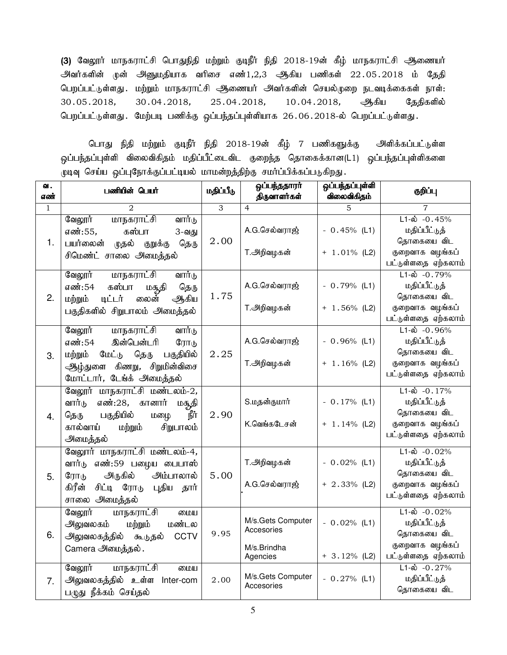(3) வேலூர் மாநகராட்சி பொதுநிதி மற்றும் குடிநீர் நிதி 2018-19ன் கீழ் மாநகராட்சி ஆணையர் அவர்களின் முன் அனுமதியாக வரிசை எண் $1,2,3$  ஆகிய பணிகள்  $22.05.2018$  ம் தேதி பெறப்பட்டுள்ளது . மற்றும் மாநகராட்சி ஆணையர் அவர்களின் செயல்முறை நடவடிக்கைகள் நாள்: 30.05.2018, 30.04.2018, 25.04.2018, 10.04.2018, ஆகிய தேதிகளில் பெறப்பட்டுள்ளது . மேற்படி பணிக்கு ஒப்பந்தப்புள்ளியாக 26.06.2018-ல் பெறப்பட்டுள்ளது .

பொது நிதி மற்றும் குடிநீர் நிதி 2018-19ன் கீழ் 7 பணிகளுக்கு அளிக்கப்பட்டுள்ள ஒப்பந்தப்புள்ளி விலைவிகிதம் மதிப்பீட்டைவிட குறைந்த தொகைக்கான(L1) ஒப்பந்தப்புள்ளிகளை முடிவு செய்ய ஒப்புநோக்குப்பட்டியல் மாமன்றத்திற்கு சமர்ப்பிக்கப்படுகிறது.

| வ.<br>எண்    | பணியின் பெயர்                                                                                                                                                               | மதிப்பீடு | ஒப்பந்ததாரர்<br>திருவாளர்கள்                               | ஒப்பந்தப்புள்ளி<br>விலைவிகிதம்    | குறிப்பு                                                                                              |
|--------------|-----------------------------------------------------------------------------------------------------------------------------------------------------------------------------|-----------|------------------------------------------------------------|-----------------------------------|-------------------------------------------------------------------------------------------------------|
| $\mathbf{1}$ | 2                                                                                                                                                                           | 3         | $\overline{4}$                                             | 5                                 | 7                                                                                                     |
| 1.           | வேலூர்<br>மாநகராட்சி<br>வார்டு<br>கஸ்பா<br>எண்:55,<br>3-வது<br>பயர்லைன்<br>முதல் குறுக்கு<br>தெரு<br>சிமெண்ட் சாலை அமைத்தல்                                                 | 2.00      | A.G.செல்வராஜ்<br>T.அறிவழகன்                                | $-0.45%$ (L1)<br>$+ 1.01\%$ (L2)  | $L1-\text{ab}$ -0.45%<br>மதிப்பீட்டுத்<br>தொகையை விட<br>குறைவாக வழங்கப்<br>பட்டுள்ளதை ஏற்கலாம்        |
| 2.           | வேலூர்<br><u>மாநகராட்சி</u><br>வார்டு<br>எண்:54<br>கஸ்பா<br>தெரு<br>மசுதி<br>லைன்<br>ஆகிய<br>மற்றும்<br>டிட்டர்<br>பகுதிகளில் சிறுபாலம் அமைத்தல்                            | 1.75      | A.G.செல்வராஜ்<br>T.அறிவழகன்                                | $-0.79%$ (L1)<br>$+ 1.56\%$ (L2)  | $L1-\text{ab}$ -0.79%<br>மதிப்பீட்டுத்<br>தொகையை விட<br>குறைவாக வழங்கப்<br>பட்டுள்ளதை ஏற்கலாம்        |
| 3.           | வேலூர்<br><u>மாநகராட்சி</u><br>வார்டு<br>இன்பென்டரி<br>எண்:54<br>ரோடு<br>பகுதியில்<br>தெரு<br>மற்றும்<br>மேட்டு<br>ஆழ்துளை கிணறு, சிறுமின்விசை<br>மோட்டார், டேங்க் அமைத்தல் | 2.25      | A.G.செல்வராஜ்<br>T.அறிவழகன்                                | $-0.96\%$ (L1)<br>$+ 1.16\%$ (L2) | $L1-\text{ab}$ -0.96%<br>மதிப்பீட்டுத்<br>தொகையை விட<br>குறைவாக வழங்கப்<br>பட்டுள்ளதை ஏற்கலாம்        |
| 4.           | வேலூர் மாநகராட்சி மண்டலம்-2,<br>எண்:28, கானார்<br>வார்டு<br>மசூதி<br>பகுதியில்<br>நீர்<br>தெரு<br>மல்ழ<br>கால்வாய்<br>மற்றும்<br>சிறுபாலம்<br>அமைத்தல்                      | 2.90      | S.மதன்குமார்<br>K.வெங்கடேசன்                               | $-0.17%$ (L1)<br>$+ 1.14\%$ (L2)  | $L1-\hat{\omega}$ -0.17%<br>மதிப்பீட்டுத்<br>தொகையை விட<br>குறைவாக வழங்கப்<br>பட்டுள்ளதை ஏற்கலாம்     |
| 5.           | வேலூர் மாநகராட்சி மண்டலம்-4,<br>வார்டு எண்:59 பழைய பைபாஸ்<br>அருகில்<br>அம்பாலால்<br>ரோடு<br>கிரீன்<br>சிட்டி ரோடு<br>புதிய தார்<br>சாலை அமைத்தல்                           | 5.00      | T.அறிவழகன்<br>A.G.செல்வராஜ்                                | $-0.02\%$ (L1)<br>$+ 2.33\%$ (L2) | $L1 - \dot{\omega} - 0.02\%$<br>மதிப்பீட்டுத்<br>தொகையை விட<br>குறைவாக வழங்கப்<br>பட்டுள்ளதை ஏற்கலாம் |
| 6.           | மாநகராட்சி<br>வேலூர்<br>மைய<br>மண்டல<br>அலுவலகம்<br>மற்றும்<br>அலுவலகத்தில் கூடுதல்<br><b>CCTV</b><br>Camera அமைத்தல்.                                                      | 9.95      | M/s.Gets Computer<br>Accesories<br>M/s.Brindha<br>Agencies | $-0.02%$ (L1)<br>$+3.12%$ (L2)    | $L1-\hat{\omega}$ -0.02%<br>மதிப்பீட்டுத்<br>தொகையை விட<br>குறைவாக வழங்கப்<br>பட்டுள்ளதை ஏற்கலாம்     |
| 7.           | வேலூர்<br><u>மாநகராட்சி</u><br>மைய<br>அலுவலகத்தில் உள்ள<br>Inter-com<br>பழுது நீக்கம் செய்தல்                                                                               | 2.00      | M/s.Gets Computer<br>Accesories                            | $-0.27%$ (L1)                     | $L1-\hat{\omega}$ -0.27%<br>மதிப்பீட்டுத்<br>தொகையை விட                                               |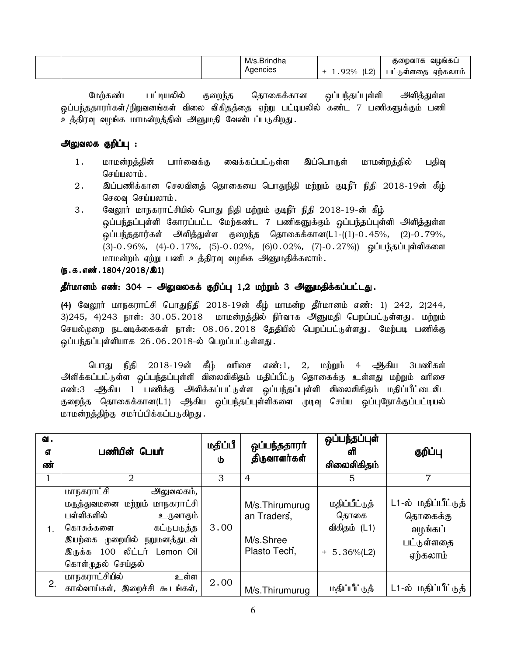|  | M/s.Brindha |                | வமங்கட்<br>குறைவாக                   |
|--|-------------|----------------|--------------------------------------|
|  | Aaencies    | וה וו<br>1.92% | ஏற்கலாம்<br>் 6 ள்ளகை <b>க</b><br>ШL |

மேற்கண்ட பட்டியலில் குறைந்த தொகைக்கான ஒப்பந்தப்புள்ளி அளித்துள்ள ஒப்பந்ததாரர்கள்/நிறுவனங்கள் விலை விகிதத்தை ஏற்று பட்டியலில் கண்ட 7 பணிகளுக்கும் பணி உத்திரவு வழங்க மாமன்றத்தின் அனுமதி வேண்டப்படுகிறது.

## அலுவலக குறிப்பு :

- 1. மாமன்றத்தின் பார்வைக்கு வைக்கப்பட்டுள்ள இப்பொருள் மாமன்றத்தில் பதிவு செய்யலாம்.
- 2. ng;gzpf;fhd brytpdj; bjhifia bghJepjp kw;Wk; FoePh; epjp 2018-19d; fPH; செலவு செய்யலாம்.
- 3. வேலூர் மாநகராட்சியில் பொது நிதி மற்றும் குடிநீர் நிதி 2018-19-ன் கீழ் <u>ஒ</u>ப்பந்தப்புள்ளி கோரப்பட்ட மேற்கண்ட 7 பணிகளுக்கும் ஒப்பந்தப்புள்ளி அளித்துள்ள <u>ஒ</u>ப்பந்ததார்கள் அளித்துள்ள குறைந்த தொகைக்கான(L1-((1)-0.45%, (2)-0.79%, (3)-0.96%, (4)-0.17%, (5)-0.02%, (6)0.02%, (7)-0.27%)) ஒப்பந்தப்புள்ளிகளை மாமன்றம் ஏற்று பணி உத்திரவு வழங்க அனுமதிக்கலாம்.

## $(5.5.5.0001.1804 / 2018/\text{a})$

## தீர்மானம் எண்: 304 – அலுவலகக் குறிப்பு 1,2 மற்றும் 3 அனுமதிக்கப்பட்டது.

(4) வேலூர் மாநகராட்சி பொதுநிதி 2018-19ன் கீழ் மாமன்ற தீர்மானம் எண்: 1) 242, 2)244, 3)245, 4)243 நாள்: 30.05.2018 மாமன்றத்தில் நிர்வாக அனுமதி பெறப்பட்டுள்ளது. மற்றும் செயல்முறை நடவடிக்கைகள் நாள்: 08.06.2018 தேதியில் பெறப்பட்டுள்ளது. மேற்படி பணிக்கு ஒப்பந்தப்புள்ளியாக 26.06.2018-ல் பெறப்பட்டுள்ளது.

பொது நிதி 2018-19ன் கீழ் வரிசை எண்:1, 2, மற்றும் 4 ஆகிய 3பணிகள் அளிக்கப்பட்டுள்ள <u>ஒ</u>ப்பந்தப்புள்ளி விலைவிகிதம் மதிப்பீட்டு தொகைக்கு உள்ளது மற்றும் வரிசை எண்:3 ஆகிய 1 பணிக்கு அளிக்கப்பட்டுள்ள ஒப்பந்தப்புள்ளி விலைவிகிதம் மதிப்பீட்டைவிட குறைந்த தொகைக்கான(L1) ஆகிய ஒப்பந்தப்புள்ளிகளை முடிவு செய்ய ஒப்புநோக்குப்பட்டியல் மாமன்றத்திற்கு சமர்ப்பிக்கப்படுகிறது.

| வ.<br>எ<br>ண் | பணியின் பெயர்                                                                                                                                                                                                 | மதிப்பீ<br>Φ | ஒப்பந்ததாரா்<br>திருவாளர்கள்                               | ஒப்பந்தப்புள்<br>ளி<br>விலைவிகிதம்                       | குறிப்பு                                                             |
|---------------|---------------------------------------------------------------------------------------------------------------------------------------------------------------------------------------------------------------|--------------|------------------------------------------------------------|----------------------------------------------------------|----------------------------------------------------------------------|
|               | $\overline{2}$                                                                                                                                                                                                | З            | 4                                                          | 5                                                        | 7                                                                    |
| 1.            | மாநகராட்சி<br>அலுவலகம்,<br>மருத்துவமனை மற்றும் மாநகராட்சி<br>பள்ளிகளில்<br>உருவாகும்<br>கொசுக்களை<br>கட்டுபடுத்த<br><u> இயற்கை முறையில் நறுமனத்துடன்</u><br>இருக்க 100 லிட்டர் Lemon Oil<br>கொள்முதல் செய்தல் | 3.00         | M/s.Thirumurug<br>an Traders,<br>M/s.Shree<br>Plasto Tech, | மதிப்பீட்டுத்<br>தொகை<br>விகிதம் (L1)<br>$+ 5.36\%$ (L2) | L1-ல் மதிப்பீட்டுத்<br>தொகைக்கு<br>வழங்கப்<br>பட்டுள்ளதை<br>ஏற்கலாம் |
| 2.            | மாநகராட்சியில்<br>உள்ள<br>கால்வாய்கள், இறைச்சி கூடங்கள்,                                                                                                                                                      | 2.00         | M/s. Thirumurug                                            | மதிப்பீட்டுத்                                            | L1-ல் மதிப்பீட்டுத் l                                                |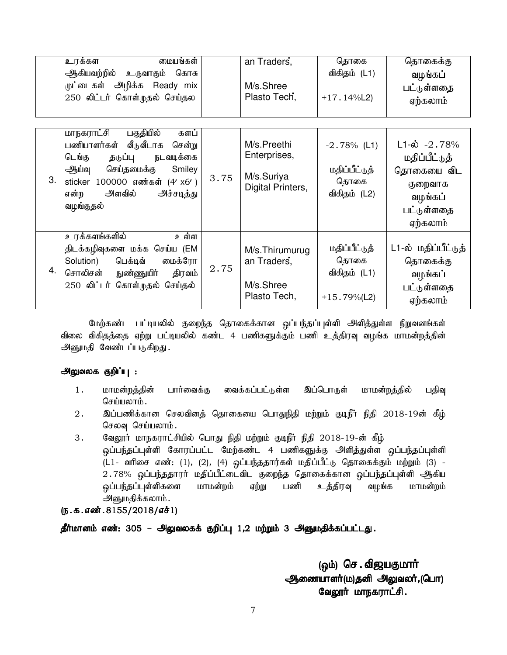|    | உரக்கள<br>மையங்கள்<br>ஆகியவற்றில்<br>உருவாகும் கொசு<br>முட்டைகள் அழிக்க<br>Ready mix<br>250 லிட்டர் கொள்முதல் செய்தல                                                                                                  |      | an Traders,<br>M/s.Shree<br>Plasto Tech,                       | தொகை<br>விகிதம் (L1)<br>$+17.14\%$ L2)                   | தொகைக்கு<br>வழங்கப்<br>பட்டுள்ளதை<br>ஏற்கலாம்                                                           |
|----|-----------------------------------------------------------------------------------------------------------------------------------------------------------------------------------------------------------------------|------|----------------------------------------------------------------|----------------------------------------------------------|---------------------------------------------------------------------------------------------------------|
| 3. | பகுதியில்<br>மாநகராட்சி<br>களப்<br>பணியாளர்கள் வீடுவீடாக<br>சென்று<br>நடவடிக்கை<br>டெங்கு<br>தடுப்பு<br>செய்தமைக்கு<br>ஆய்வு<br>Smiley<br>sticker 100000 எண்கள் (4' x6')<br>அளவில்<br>அச்சடித்து<br>என்ற<br>வழங்குதல் | 3.75 | M/s.Preethi<br>Enterprises,<br>M/s.Suriya<br>Digital Printers, | $-2.78\%$ (L1)<br>மதிப்பீட்டுத்<br>தொகை<br>விகிதம் (L2)  | $L1-\dot{\omega} -2.78%$<br>மதிப்பீட்டுத்<br>தொகையை விட<br>குறைவாக<br>வழங்கப்<br>பட்டுள்ளதை<br>ஏற்கலாம் |
| 4. | உரக்களங்களில்<br>உள்ள<br>திடக்கழிவுகளை மக்க செய்ய (EM<br>Solution)<br>பெக்டிவ்<br>மைக்ரோ<br>சொலிசன்<br>நுண்ணுயி <b>ர்</b><br>திரவம்<br>250 லிட்டர் கொள்முதல்<br>செய்தல்                                               | 2.75 | M/s.Thirumurug<br>an Traders,<br>M/s.Shree<br>Plasto Tech,     | மதிப்பீட்டுத்<br>தொகை<br>விகிதம் (L1)<br>$+15.79\%$ (L2) | L1-ல் மதிப்பீட்டுத்<br>தொகைக்கு<br>வழங்கப்<br>பட்டுள்ளதை<br>ஏற்கலாம்                                    |

மேற்கண்ட பட்டியலில் குறைந்த தொகைக்கான ஒப்பந்தப்புள்ளி அளித்துள்ள நிறுவனங்கள் விலை விகிதத்தை ஏற்று பட்டியலில் கண்ட 4 பணிகளுக்கும் பணி உத்திரவு வழங்க மாமன்றத்தின் அனுமதி வேண்டப்படுகிறது.

## அலுவலக குறிப்பு :

- 1. மாமன்றத்தின் பார்வைக்கு வைக்கப்பட்டுள்ள இப்பொருள் மாமன்றத்தில் பதிவு செய்யலாம் $\,$ .
- 2. ng;gzpf;fhd brytpdj; bjhifia bghJepjp kw;Wk; FoePh; epjp 2018-19d; fPH; செலவு செய்யலாம்.
- 3. கேலூர் மாநகராட்சியில் பொது நிதி மற்றும் குடிநீர் நிதி 2018-19-ன் கீழ் <u>ஒ</u>ப்பந்தப்புள்ளி கோரப்பட்ட மேற்கண்ட 4 பணிகளுக்கு அளித்துள்ள ஒப்பந்தப்புள்ளி (L1- வரிசை எண்: (1), (2), (4) ஒப்பந்ததார்கள் மதிப்பீட்டு தொகைக்கும் மற்றும் (3) -2.78% ஒப்பந்ததாரர் மதிப்பீட்டைவிட குறைந்த தொகைக்கான ஒப்பந்தப்புள்ளி *ஆ*கிய <u>ஒ</u>ப்பந்தப்புள்ளிகளை மாமன்றம் ஏற்று பணி உத்திரவு வழங்க மாமன்றம் அனுமதிக்கலாம்.

## $(5.5.5.5372018/51)$

தீர்மானம் எண்: 305 – அலுவலகக் குறிப்பு 1,2 மற்றும் 3 அனுமதிக்கப்பட்டது.

(ஒம்) செ. விஜயகுமார் <u>ஆ</u>ணையாளர்(ம)தனி அலுவலர்,(பொ) வேலூர் மாநகராட்சி.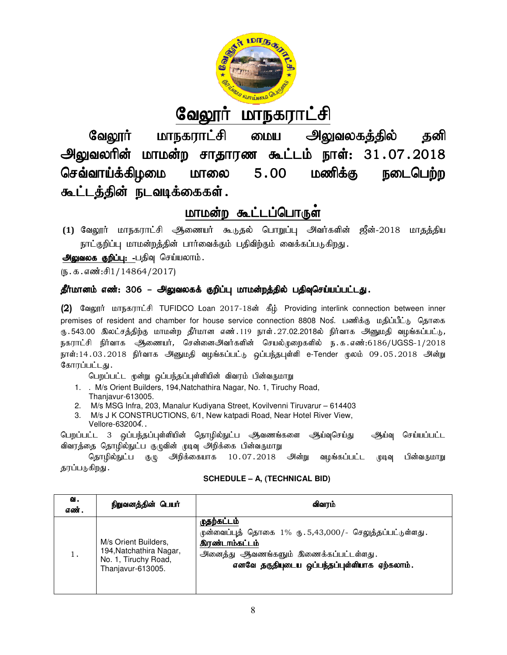

# <u>வேலூர் மாநகராட்சி</u>

வேலூர் மாநகராட்சி மைய அலுவலகத்தில் தனி வேலூர் மாநகராட்சி மைய அலுவலகத்தில் தனி<br>அலுவலரின் மாமன்ற சாதாரண கூட்டம் நாள்: 31.07.2018 செவ்வாய்க்கிழமை மாலை கூட்டத்தின் நடவடிக்கைகள்.  $5.00$  மணிக்கு நடைபெற்ற

## <u>மாமன்ற கூட்டப்பொருள</u>்

**(1) வேலூர்** மாநகராட்சி ஆணையர் கூடுதல் பொறுப்பு அவர்களின் ஜீன்-2018 மாதத்திய நாட்குறிப்பு மாமன்றத்தின் பார்வைக்கும் பதிவிற்கும் வைக்கப்படுகிறது.

அலுவலக குறிப்பு: -பதிவு செய்யலாம்.

 $(D.5.5.5\text{...})$ 

## தீர்மானம் எண்: 306 – அலுவலகக் குறிப்பு மாமன்றத்தில் பதிவுசெய்யப்பட்டது.

(2) வேலூர் மாநகராட்சி TUFIDCO Loan 2017-18ன் கீழ் Providing interlink connection between inner premises of resident and chamber for house service connection 8808 Nos. பணிக்கு மதிப்பீட்டு தொகை ரு 543.00 இலட்சத்திற்கு மாமன்ற தீர்மான எண் 119 நாள் 27.02.2018ல் நிர்வாக அனுமதி வழங்கப்பட்டு, நகராட்சி நிர்வாக ஆணையர், சென்னைஅவர்களின் செயல்முறைகளில் ந.க.எண்:6186/UGSS-1/2018 நாள்:14.03.2018 நிா்வாக அனுமதி வழங்கப்பட்டு ஒப்பந்தபுள்ளி e-Tender மூலம் 09.05.2018 அன்று கோரப்பட்டது.

பெறப்பட்ட முன்று ஒப்பந்தப்புள்ளியின் விவரம் பின்வருமாறு

- 1. . M/s Orient Builders, 194,Natchathira Nagar Nagar, No. 1, Tiruchy Road, Thanjavur-613005.
- 2. M/s MSG Infra, 203, Manalur Kudiyana Street, Kovilvenni Tiruvarur 614403
- 3. M/s J K CONSTRUCTIONS, 6/1, New katpadi Road, Near Hotel River View, Vellore-632004..

பெறப்பட்ட 3 ஒப்பந்தப்புள்ளியின் தொழில்நுட்ப ஆவணங்களை ஆய்வுசெய்து விவரத்தை தொழில்நுட்ப குழுவின் முடிவு அறிக்கை பின்வருமாறு ஆய்வு செய்யப்பட்ட

|  | <b>SCHEDULE – A, (TECHNICAL BID)</b> |
|--|--------------------------------------|
|  |                                      |

|                                                          |                                                                                              | பெறப்பட்ட 3 ஒப்பந்தப்புள்ளியின் தொழிலநுட்ப ஆவணங்களை<br><u> ஆய்வுசெய்து</u><br>ஆய்வு<br>செய்யப்பட்ட                                                                                              |  |  |  |  |  |  |  |
|----------------------------------------------------------|----------------------------------------------------------------------------------------------|-------------------------------------------------------------------------------------------------------------------------------------------------------------------------------------------------|--|--|--|--|--|--|--|
| விவரத்தை தொழில்நுட்ப குழுவின் முடிவு அறிக்கை பின்வருமாறு |                                                                                              |                                                                                                                                                                                                 |  |  |  |  |  |  |  |
|                                                          | தொழில்நுட்ப குழு<br>அறிக்கையாக 10.07.2018<br>அன்று<br>வழங்கப்பட்ட<br>பின்வருமாறு<br>முடிவு   |                                                                                                                                                                                                 |  |  |  |  |  |  |  |
| தரப்படுகிறது .                                           |                                                                                              |                                                                                                                                                                                                 |  |  |  |  |  |  |  |
|                                                          |                                                                                              | <b>SCHEDULE - A, (TECHNICAL BID)</b>                                                                                                                                                            |  |  |  |  |  |  |  |
|                                                          |                                                                                              |                                                                                                                                                                                                 |  |  |  |  |  |  |  |
| வ.                                                       |                                                                                              |                                                                                                                                                                                                 |  |  |  |  |  |  |  |
| எண்.                                                     | நிறுவனத்தின் பெயர்<br>விவரம்                                                                 |                                                                                                                                                                                                 |  |  |  |  |  |  |  |
| 1.                                                       | M/s Orient Builders.<br>194, Natchathira Nagar,<br>No. 1, Tiruchy Road,<br>Thanjavur-613005. | <u>முதற்கட்டம்</u><br>முன்வைப்புத் தொகை 1% ரு.5,43,000/- செலுத்தப்பட்டுள்ளது.<br><b>இரண்டாம்கட்டம்</b><br>அனைத்து ஆவணங்களும் இணைக்கப்பட்டள்ளது.<br>எனவே தகுதியுடைய ஒப்பந்தப்புள்ளியாக ஏற்கலாம். |  |  |  |  |  |  |  |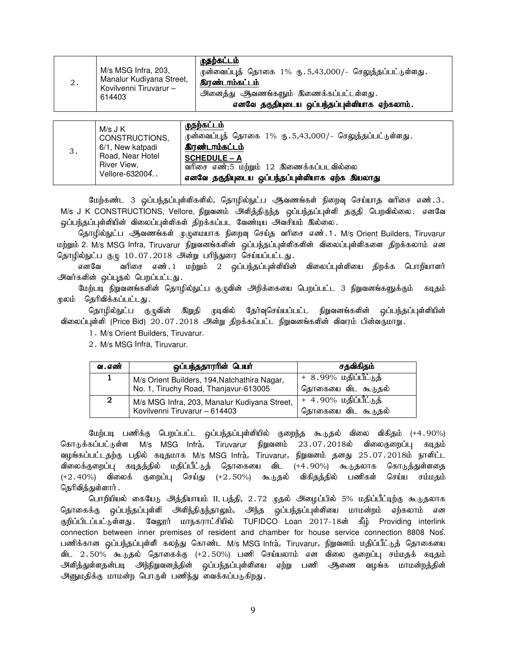|    | M/s MSG Infra, 203,                                          | முதற்கட்டம்<br>முன்வைப்புத் தொகை 1% ரு.5,43,000/- செலுத்தப்பட்டுள்ளது.                                         |
|----|--------------------------------------------------------------|----------------------------------------------------------------------------------------------------------------|
| 2. | Manalur Kudiyana Street,<br>Kovilvenni Tiruvarur -<br>614403 | <b>இரண்டாம்கட்டம்</b><br>அனைத்து ஆவணங்களும் இணைக்கப்பட்டள்ளது.<br>எனவே தகுதியுடைய ஒப்பந்தப்புள்ளியாக ஏற்கலாம். |

| 3. | M/s J K<br>CONSTRUCTIONS,<br>6/1, New katpadi     | முதற்கட்டம்<br>முன்வைப்புத் தொகை 1% ரு. 5,43,000/- செலுத்தப்பட்டுள்ளது.<br><b>இரண்டாம்கட்டம்</b>                 |
|----|---------------------------------------------------|------------------------------------------------------------------------------------------------------------------|
|    | Road, Near Hotel<br>River View,<br>Vellore-632004 | <b>SCHEDULE - A</b><br>வரிசை எண்:5 மற்றும் 12 இணைக்கப்படவில்லை<br>எனவே தகுதியுடைய ஒப்பந்தப்புள்ளியாக ஏற்க இயலாது |

மேற்கண்ட 3 ஒப்பந்தப்புள்ளிகளில், தொழில்நுட்ப ஆவணங்கள் நிறைவு செய்யாத வரிசை எண்.3. M/s J K CONSTRUCTIONS, Vellore, நிறுவனம் அளித்திருந்த ஒப்பந்தப்புள்ளி தகுதி பெறவில்லை. எனவே ஒப்பந்தப்புள்ளியின் விலைப்புள்ளிகள் திறக்கப்பட வேண்டிய அவசியம் இல்லை.

தொழில்நுட்ப ஆவணங்கள் முழுமையாக நிறைவு செய்த வரிசை எண். 1 . M/s Orient Builders, Tiruvarur மற்றும் 2. M/s MSG Infra, Tiruvarur நிறுவனங்களின் ஒப்பந்தப்புள்ளிகளின் விலைப்புள்ளிகளை திறக்கலாம் என தொழில்நுட்ப குழு 10.07.2018 அன்று பரிந்துரை செய்யப்பட்டது.

எனவே வரிசை எண். 1 மற்றும் 2 ஒப்பந்தப்புள்ளியின் விலைப்புள்ளியை திறக்க பொறியாளர் அவர்களின் ஒப்புதல் பெறப்பட்டது.

மேற்படி நிறுவனங்களின் தொழில்நுட்ப குழுவின் அறிக்கையை பெறப்பட்ட 3 நிறுவனங்களுக்கும் கடிதம் முலம் தெரிவிக்கப்பட்டது.

தொழில்நுட்ப குழுவின் இறுதி முடிவில் தேர்வுசெய்யப்பட்ட நிறுவனங்களின் ஒப்பந்தப்புள்ளியின் விலைப்புள்ளி (Price Bid) 20.07.2018 அன்று திறக்கப்பட்ட நிறுவனங்களின் விவரம் பின்வருமாறு.

1. M/s Orient Builders, Tiruvarur.

2. M/s MSG Infra, Tiruvarur.

| வ . எண் | ஒப்பந்ததாரரின் பெயர்                                                                  | சதவிகிதம்                                          |
|---------|---------------------------------------------------------------------------------------|----------------------------------------------------|
| 1       | M/s Orient Builders, 194, Natchathira Nagar,<br>No. 1, Tiruchy Road, Thanjavur-613005 | <u>+ 8.99% மதிப்பீட்டுத்</u><br>தொகையை விட கூடுதல் |
| 2       | M/s MSG Infra, 203, Manalur Kudiyana Street,<br>Kovilvenni Tiruvarur - 614403         | + 4.90% மதிப்பீட்டுத்<br>தொகையை விட கூடுதல்        |

மேற்படி பணிக்கு பெறப்பட்ட ஒப்பந்தப்புள்ளியில் குறைந்த கூடுதல் விலை விகிதம் (+4.90%) கொடுக்கப்பட்டுள்ள M/s MSG Infra., Tiruvarur நிறுவனம் 23.07.2018ல் விலைகுறைப்பு கடிதம் வழங்கப்பட்டதற்கு பதில் கடிதமாக M/s MSG Infra,Tiruvarur,நிறுவனம் தனது 25.07.2018ம் நாளிட்ட விலைக்குறைப்பு கடிதத்தில் மதிப்பீட்டுத் தொகையை விட (+4.90%) கூடுதலாக கொடுத்துள்ளதை (+2.40%) விலைக் குறைப்பு செய்து (+2.50%) கூடுதல் விகிதத்தில் பணிகள் செய்ய சம்மதம் தெரிவித்துள்ளார் .

பொறியியல் கையேடு அத்தியாயம் II, பத்தி, 2.72 முதல் அழைப்பில் 5% மதிப்பீட்டிற்கு கூடுதலாக தொகைக்கு ஒப்பந்தப்புள்ளி அளிந்திருந்தாலும், அந்த ஒப்பந்தப்புள்ளியை மாமன்றம் ஏற்கலாம் என குறிப்பிடப்பட்டுள்ளது . வேலூர் மாநகராட்சியில் TUFIDCO Loan 2017-18ன் கீழ் Providing interlink connection between inner premises of resident and chamber for house service connection 8808 Nos. பணிக்கான ஒப்பந்தப்புள்ளி கலந்து கொண்ட M/s MSG Infra,Tiruvarur,நிறுவனம் மதிப்பீட்டுத் தொகையை விட 2.50% கூடுதல் தொகைக்கு (+2.50%) பணி செய்யலாம் என விலை குறைப்பு சம்மதக் கடிதம் அளித்துள்ளதன்படி அந்நிறுவனத்தின் ஒப்பந்தப்புள்ளியை ஏற்று பணி ஆகணை வழங்க மாமன்றத்தின் அனுமதிக்கு மாமன்ற பொருள் பணிந்து வைக்கப்படுகிறது.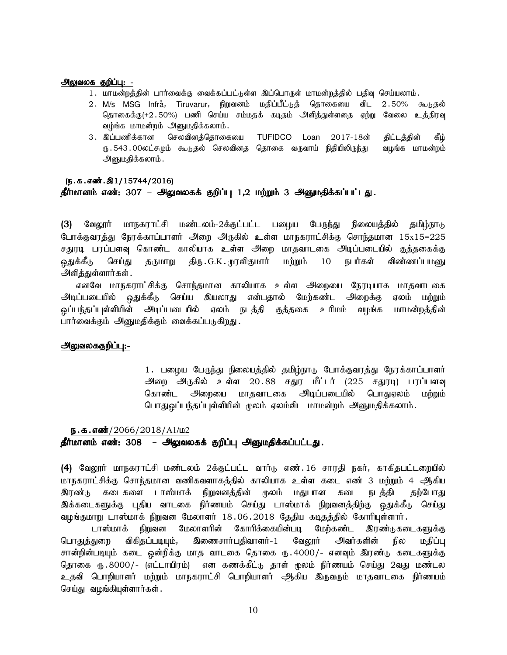#### அலுவலக குறிப்பு: -

- 1. மாமன்றத்தின் பார்வைக்கு வைக்கப்பட்டுள்ள இப்பொருள் மாமன்றத்தில் பதிவு செய்யலாம்.
- 2. M/s MSG Infra, Tiruvarur, நிறுவனம் மதிப்பீட்டுத் தொகையை விட 2.50% கூடுதல் தொகைக்கு(+2.50%) பணி செய்ய சம்மதக் கடிதம் அளித்துள்ளதை ஏற்று வேலை உத்திரவு வழ்ங்க மாமன்றம் அனுமதிக்கலாம்.
- 3. இப்பணிக்கான செலவினத்தொகையை TUFIDCO Loan 2017-18ன் திட்டத்தின் கீழ் ரு 543 00லட்சமும் கூடுதல் செலவினத தொகை வருவாய் நிதியிலிருந்து வழங்க மாமன்றம் அனுமதிக்கலாம்.

#### $(5.5.5.5\ldots).21/15744/2016)$

#### தீர்மானம் எண்: 307 – அலுவலகக் குறிப்பு 1,2 மற்றும் 3 அனுமதிக்கப்பட்டது.

(3) வேலூர் மாநகராட்சி மண்டலம்-2க்குட்பட்ட பழைய பேருந்து நிலையத்தில் தமிழ்நாடு போக்குவரத்து நேரக்காப்பாளர் அறை அருகில் உள்ள மாநகராட்சிக்கு சொந்தமான 15x15=225 சதுரடி பரப்பளவு கொண்ட காலியாக உள்ள அறை மாதவாடகை அடிப்படையில் குத்தகைக்கு <u>ஒது</u>க்கீடு செய்து தருமாறு திரு.G.K.முரளிகுமார் மற்றும் 10 நபர்கள் விண்ணப்பமனு அளித்துள்ளார்கள் .

எனவே மாநகராட்சிக்கு சொந்தமான காலியாக உள்ள அறையை நேரடியாக மாதவாடகை அடிப்படையில் ஒதுக்கீடு செய்ய இயலாது என்பதால் மேற்கண்ட அறைக்கு ஏலம் மற்றும் ஒப்பந்தப்புள்ளியின் அடிப்படையில் ஏலம் நடத்தி குத்தகை உரிமம் வழங்க மாமன்றத்தின் பார்வைக்கும் அனுமதிக்கும் வைக்கப்படுகிறது.

#### அலுவலககுறிப்பு:-

1. பழைய பேருந்து நிலையத்தில் தமிழ்நாடு போக்குவரத்து நேரக்காப்பாளர் அறை அருகில் உள்ள 20.88 சதுர மீட்டர் (225 சதுரடி) பரப்பளவு கொண்ட அிறையை மாதவாடகை அிடிப்படையில் பொதுஏலம் மற்றும் பொதுஒப்பந்தப்புள்ளியின் மூலம் ஏலம்விட மாமன்றம் அனுமதிக்கலாம்.

#### ந.க.எண்/2066/2018/A1/ம2

## தீர்மானம் எண்: 308 – அலுவலகக் குறிப்பு அனுமதிக்கப்பட்டது.

(4) வேலூர் மாநகராட்சி மண்டலம் 2க்குட்பட்ட வார்டு எண்.16 சாரதி நகர், காகிதபட்டறையில் மாநகராட்சிக்கு சொந்தமான வணிகவளாகத்தில் காலியாக உள்ள கடை எண் 3 மற்றும் 4 <del>அ</del>த்கிய இரண்டு கடைகளை டாஸ்மாக் நிறுவனத்தின் மூலம் மதுபான கடை நடத்திட தற்போது இக்கடைகளுக்கு புதிய வாடகை நிர்ணயம் செய்து டாஸ்மாக் நிறுவனத்திற்கு ஒதுக்கீடு செய்து வழங்குமாறு டாஸ்மாக் நிறுவன மேலாளர் 18.06.2018 தேதிய கடிதத்தில் கோரியுள்ளார்.

டாஸ்மாக் நிறுவன மேலாளரின் கோரிக்கையின்படி மேற்கண்ட இரண்டுகடைகளுக்கு பொதுத்துறை விகிதப்படியும், இணைசார்பதிவாளர்-1 வேலூர் அவர்களின் நில மதிப்பு சான்றின்படியும் கடை ஒன்றிக்கு மாத வாடகை தொகை ரு.4000/- எனவும் இரண்டு கடைகளுக்கு கொகை ரூ. 8000/- (எட்டாயிரம்) – என கணக்கீட்டு காள் மூலம் நிர்ணயம் செய்து 2வது மண்டல உதவி பொறியாளர் மற்றும் மாநகராட்சி பொறியாளர் ஆகிய இருவரும் மாதவாடகை நிர்ணயம் செய்து வழங்கியுள்ளார்கள்.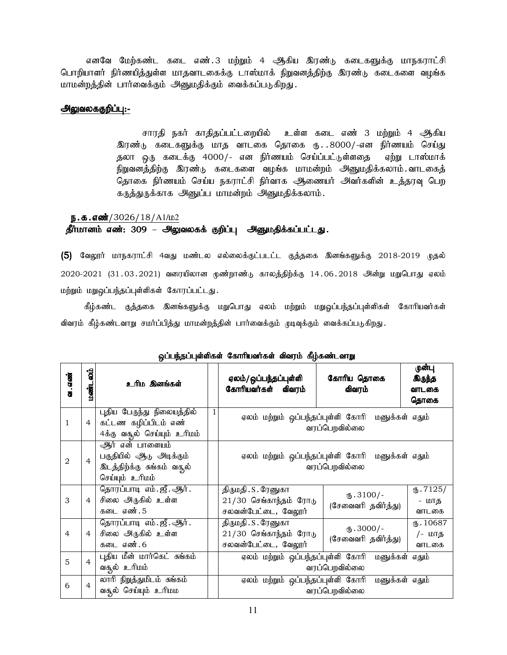எனவே மேற்கண்ட கடை எண்.3 மற்றும் 4 ஆகிய இரண்டு கடைகளுக்கு மாநகராட்சி பொறியாளர் நிர்ணயித்துள்ள மாதவாடகைக்கு டாஸ்மாக் நிறுவனத்திற்கு இரண்டு கடைகளை வழங்க மாமன்றத்தின் பார்வைக்கும் அனுமதிக்கும் வைக்கப்படுகிறது.

#### அலுவலககுறிப்பு:-

சாரதி நகர் காதிதப்பட்டறையில் உள்ள கடை எண் 3 மற்றும் 4 ஆகிய இரண்டு கடைகளுக்கு மாத வாடகை தொகை ரு...8000/-என நிர்ணயம் செய்து தலா ஒரு கடைக்கு 4000/- என நிர்ணயம் செய்ப்பட்டுள்ளதை ஏற்று டாஸ்மாக் நிறுவனத்திற்கு இரண்டு கடைகளை வழங்க மாமன்றம் அனுமதிக்கலாம்.வாடகைத் தொகை நிர்ணயம் செய்ய நகராட்சி நிர்வாக ஆணையர் அவர்களின் உத்தரவு பெற கருத்துருக்காக அனுப்ப மாமன்றம் அனுமதிக்கலாம்.

## $\frac{5.5.560}{13/2026}/18/A1/L2$

## தீர்மானம் எண்: 309 – அலுவலகக் குறிப்பு அனுமதிக்கப்பட்டது.

(5) வேலூர் மாநகராட்சி 4வது மண்டல எல்லைக்குட்படட்ட குத்தகை இனங்களுக்கு 2018-2019 முதல்  $2020$ - $2021$   $(31.03.2021)$  வரையிலான முண்றாண்டு காலத்திற்க்கு 14.06.2018 அின்று மறுபொது ஏலம் மற்றும் மறுஒப்பந்தப்புள்ளிகள் கோரப்பட்டது.

கீழ்கண்ட குத்தகை இனங்களுக்கு மறுபொது ஏலம் மற்றும் மறுஓப்பந்தப்புள்ளிகள் கோரியவர்கள் விவரம் கீழ்கண்டவாறு சமர்ப்பித்து மாமன்றத்தின் பார்வைக்கும் முடிவுக்கும் வைக்கப்படுகிறது.

|                |                |                                                                                                                            |   | u                                                                       |                                                                   |                                          |
|----------------|----------------|----------------------------------------------------------------------------------------------------------------------------|---|-------------------------------------------------------------------------|-------------------------------------------------------------------|------------------------------------------|
| ഖ . எண்        | ်ခွ<br>மண்ட    | உரிம இனங்கள்                                                                                                               |   | ஏலம்/ ஒப்பந்தப்புள்ளி<br>கோரியவர்கள்<br>விவரம்                          | கோரிய தொகை<br>விவரம்                                              | முன்பு<br><b>இருந்த</b><br>வாடகை<br>தொகை |
| 1              | $\overline{4}$ | புதிய பேருந்து நிலையத்தில்<br>கட்டண கழிப்பிடம் எண்                                                                         | 1 | ஏலம் மற்றும் ஒப்பந்தப்புள்ளி கோரி                                       | மனுக்கள் எதும்<br>வரப்பெறவில்லை                                   |                                          |
| $\overline{2}$ | $\overline{4}$ | 4க்கு வசூல் செய்யும் உரிமம்<br>ஆர் என் பாளையம்<br>பகுதியில் ஆடு அடிக்கும்<br>இடத்திற்க்கு சுங்கம் வசூல்<br>செய்யும் உரிமம் |   |                                                                         | ஏலம் மற்றும் ஒப்பந்தப்புள்ளி கோரி மனுக்கள் எதும்<br>வரப்பெறவில்லை |                                          |
| 3              | $\overline{4}$ | தொரப்பாடி எம். ஜீ. ஆர்.<br>சிலை அருகில் உள்ள<br>கடை எண். 5                                                                 |   | திருமதி . S . ரேனுகா<br>$21/30$ செங்காந்தம் ரோடு<br>சலவன்பேட்டை, வேலூர் | $\mathbf{L}$ .3100/-<br>(சேவைவரி தவிர்த்து)                       | $\times$ .7125/<br>- மாத<br>வாடகை        |
| $\overline{4}$ | $\overline{4}$ | தொரப்பாடி எம். ஜீ. ஆர்.<br>சிலை அருகில் உள்ள<br>கடை எண். 6                                                                 |   | திருமதி . S . ரேனுகா<br>$21/30$ செங்காந்தம் ரோடு<br>சலவன்பேட்டை, வேலூர் | $(D.3000/-$<br>(சேவைவரி தவிர்த்து)                                | $\times 10687$<br>/- மாத<br>வாடகை        |
| 5              | $\overline{4}$ | புதிய மீன் மார்கெட் சுங்கம்<br>வசூல் உரிமம்                                                                                |   | ஏலம் மற்றும் ஒப்பந்தப்புள்ளி கோரி                                       | மனுக்கள் எதும்<br>வரப்பெறவில்லை                                   |                                          |
| 6              | 4              | லாரி நிறுத்துமிடம் சுங்கம்<br>வசூல் செய்யும் உரிமம                                                                         |   | ஏலம் மற்றும் ஒப்பந்தப்புள்ளி கோரி                                       | மனுக்கள் எதும்<br>வரப்பெறவில்லை                                   |                                          |

## லப்பந்தப்புள்ளிகள் கோரியவர்கள் விவரம் கீழ்கண்டவாறு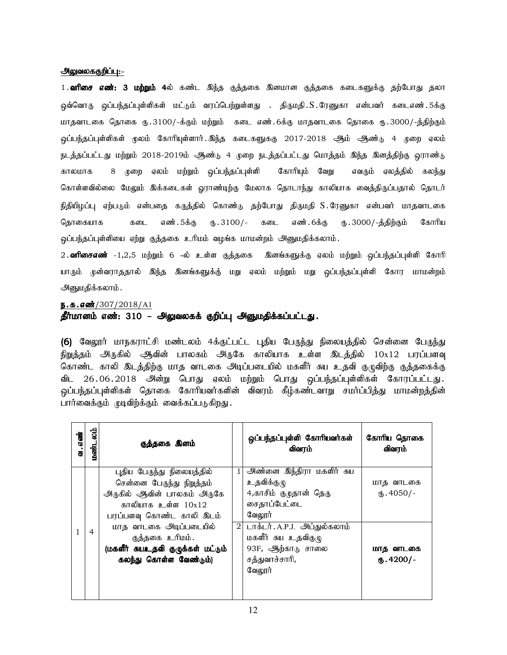#### அலுவலககுறிப்பு:-

1**. வரிசை எண்: 3 மற்றும் 4**ல் கண்ட இந்த குத்தகை இனமான குத்தகை கடைகளுக்கு தற்போது தலா ஒவ்வொரு ஒப்பந்தப்புள்ளிகள் மட்டும் வரப்பெற்றுள்ளது . திருமதி.S.ரேனுகா என்பவர் கடைஎண்.5க்கு மாதவாடகை தொகை ரூ.3100/-க்கும் மற்றும் கடை எண்.6க்கு மாதவாடகை தொகை ரூ.3000/-த்திற்கும் .<br>ஒப்பந்தப்புள்ளிகள் மூலம் கோரியுள்ளார்.இந்த கடைகளுககு 2017-2018 ஆம் ஆண்டு 4 முறை ஏலம் .<br>நடத்தப்பட்டது மற்றும் 2018-2019ம் ஆண்டு 4 முறை நடத்தப்பட்டது மொத்தம் இந்த இனத்திற்கு ஒராண்டு காலமாக 8 முறை ஏலம் மற்றும் ஒப்பந்தப்புள்ளி கோரியும் வேறு எவரும் ஏலத்தில் கலந்து கொள்ளவில்லை மேலும் இக்கடைகள் ஓராண்டிற்கு மேலாக தொடாந்து காலியாக வைத்திருப்பதால் தொடர் நிதியிழப்பு ஏற்படும் என்பதை கருத்தில் கொண்டு தற்போது திருமதி S.ரேனுகா என்பவர் மாதவாடகை தொகையாக கடை எண். 5க்கு ரு. 3100/- கடை எண். 6க்கு ரு. 3000/-த்திற்கும் கோரிய ஒப்பந்தப்புள்ளியை ஏற்று குத்தகை உரிமம் வழங்க மாமன்றம் அனுமதிக்கலாம்.

2**. வரிசைஎண்** -1,2,5 மற்றும் 6 -ல் உள்ள குத்தகை இனங்களுக்கு ஏலம் மற்றும் ஒப்பந்தப்புள்ளி கோரி யாரும் முன்வராததால் இந்த இனங்களுக்கு் மறு ஏலம் மற்றும் மறு ஒப்பந்தப்புள்ளி கோர மாமன்றம் அனுமதிக்கலாம்.

ந.க.எண்்/307/2018/A1

## தீர்மானம் எண்: 310 – அலுவலகக் குறிப்பு அனுமதிக்கப்பட்டது.

(6) வேலூர் மாநகராட்சி மண்டலம் 4க்குட்பட்ட புதிய பேருந்து நிலையத்தில் சென்னை பேருந்து நிறுத்தம் அருகில் ஆவின் பாலகம் அருகே காலியாக உள்ள இடத்தில் 10x12 பரப்பளவு கொண்ட காலி இடத்திற்கு மாத வாடகை அடிப்படையில் மகளீர் சுய உதவி குழுவிற்கு குத்தகைக்கு விட 26.06.2018 அன்று பொது ஏலம் மற்றும் பொது ஒப்பந்தப்புள்ளிகள் கோரப்பட்டது. ஒப்பந்தப்புள்ளிகள் தொகை கோரியவர்களின் விவரம் கீழ்கண்டவாறு சமர்ப்பித்து மாமன்றத்தின் பார்வைக்கும் முடிவிற்க்கும் வைக்கப்படுகிறது.

| வ . எண் | aig<br>மண்ட    | குத்தகை இனம்                      |                | ஒப்பந்தப்புள்ளி கோரியவர்கள்<br>விவரம் | கோரிய தொகை<br>விவரம் |
|---------|----------------|-----------------------------------|----------------|---------------------------------------|----------------------|
|         |                | புதிய பேருந்து நிலையத்தில்        | 1              | அண்னை இந்திரா மகளிர் சுய              |                      |
|         |                | சென்னை பேருந்து நிறுத்தம்         |                | உதவிக்குமு                            | மாத வாடகை            |
|         |                | அருகில் ஆவின் பாலகம் அருகே        |                | 4,காசிம் குழுதான் தெரு                | $\omega$ .4050/-     |
|         |                | காலியாக உள்ள 10x12                |                | சைதாப்பேட்டை                          |                      |
|         |                | பரப்பளவு கொண்ட காலி இடம்          |                | வேலூர்                                |                      |
|         | $\overline{4}$ | மாத வாடகை அடிப்படையில்            | $\overline{2}$ | டாக்டர். A.P.J. அப்துல்கலாம்          |                      |
|         |                | குத்தகை உரிமம்.                   |                | மகளீர் சுய உதவிகுழு                   |                      |
|         |                | (மகளீர் சுயஉதவி குழுக்கள் மட்டும் |                | 93F, ஆற்காடு சாலை                     | மாத வாடகை            |
|         |                | கலந்து கொள்ள வேண்டும்)            |                | சத்துவாச்சாரி,                        | $\omega$ .4200/-     |
|         |                |                                   |                | வேலூர்                                |                      |
|         |                |                                   |                |                                       |                      |
|         |                |                                   |                |                                       |                      |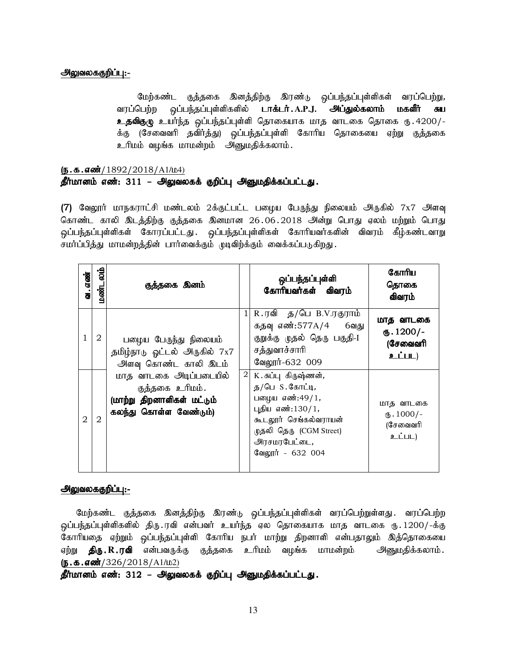## அலுவலககுறிப்பு:-

மேற்கண்ட குத்தகை இனத்திற்கு இரண்டு ஒப்பந்தப்புள்ளிகள் வரப்பெற்று, வரப்பெற்ற ஒப்பந்தப்புள்ளிகளில் **டாக்டர். A.P.J. அப்துல்கலாம் மகளீர் சுய**  $2.5$ விகுழு உயர்ந்த ஒப்பந்தப்புள்ளி தொகையாக மாத வாடகை தொகை ரு $.4200/-$ க்கு (சேவைவரி தவிர்த்து) ஒப்பந்தப்புள்ளி கோரிய தொகையை ஏற்று குத்தகை உரிமம் வழங்க மாமன்றம் அனுமதிக்கலாம்.

## $(5.5.5.00)(1892/2018/A1/L04)$ தீர்மானம் எண்: 311 – அலுவலகக் குறிப்பு அனுமதிக்கப்பட்டது.

**(7)** வேலூர் மாநகராட்சி மண்டலம் 2க்குட்பட்ட பழைய பேருந்து நிலையம் அருகில் 7x7 அளவு கொண்ட காலி இடத்திற்கு குத்தகை இனமான 26.06.2018 அன்று பொது ஏலம் மற்றும் பொது ஒப்பந்தப்புள்ளிகள் கோரப்பட்டது. ஒப்பந்தப்புள்ளிகள் கோரியவர்களின் விவரம் கீழ்கண்டவாறு சமர்ப்பித்து மாமன்றத்தின் பார்வைக்கும் முடிவிற்க்கும் வைக்கப்படுகிறது.

| வ. எண்         | م<br>مان<br>மண்ட | குத்தகை இனம்                                                                                      |          | ஒப்பந்தப்புள்ளி<br>கோரியவர்கள் விவரம்                                                                                                                                      | கோரிய<br>தொகை<br>விவரம்                                  |
|----------------|------------------|---------------------------------------------------------------------------------------------------|----------|----------------------------------------------------------------------------------------------------------------------------------------------------------------------------|----------------------------------------------------------|
|                | 2                | பழைய பேருந்து நிலையம்<br>தமிழ்நாடு ஓட்டல் அருகில் 7x7<br>அளவு கொண்ட காலி இடம்                     |          | R.ரவி த/பெ B.V.ரகுராம்<br>கதவு எண்:577A/4 6வது<br>குறுக்கு முதல் தெரு பகுதி-I<br>சத்துவாச்சாரி<br>வேலூர்-632 009                                                           | மாத வாடகை<br>$\omega$ . 1200/-<br>(சேவைவரி<br>உட்பட)     |
| $\mathfrak{D}$ | $\mathbf{2}$     | மாத வாடகை அடிப்படையில்<br>குத்தகை உரிமம்.<br>(மாற்று திறனாளிகள் மட்டும்<br>கலந்து கொள்ள வேண்டும்) | $2\vert$ | K. சுப்புகிருஷ்ணன்,<br>த $/$ பெ $S.$ கோட்டி,<br>பழைய எண்:49/1,<br>புதிய எண்:130/1,<br>கூடலூர் செங்கல்வராயன்<br>முதலி தெரு (CGM Street)<br>அரசமரபேட்டை,<br>வேலூர் - 632 004 | மாத வாடகை<br>$\mathbf{L}$ . 1000/-<br>(சேவைவரி<br>உட்பட) |

## அலுவலககுறிப்பு:-

மேற்கண்ட குத்தகை இனத்திற்கு இரண்டு ஒப்பந்தப்புள்ளிகள் வரப்பெற்றுள்ளது. வரப்பெற்ற ஒப்பந்தப்புள்ளிகளில் திரு.ரவி என்பவர் உயர்ந்த ஏல தொகையாக மாத வாடகை ரூ.1200/-க்கு கோரியதை ஏற்றும் ஒப்பந்தப்புள்ளி கோரிய நபர் மாற்று திறனாளி என்பதாலும் இத்தொகையை ஏற்று **திரு.R.ரவி** என்பவருக்கு குத்தகை உரிமம் வழங்க மாமன்றம் அனுமதிக்கலாம்.  $(5.5.5\omega)(326/2018/A1/L2)$ 

தீர்மானம் எண்: 312 – அலுவலகக் குறிப்பு அனுமதிக்கப்பட்டது.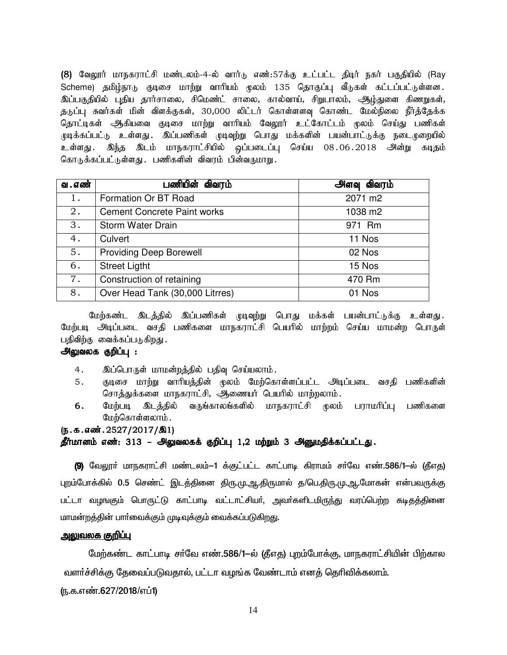(8) வேலூர் மாநகராட்சி மண்டலம்-4-ல் வார்டு எண்:57க்கு உட்பட்ட திடிர் நகர் பகுதியில் (Ray Scheme) தமிழ்நாடு குடிசை மாற்று வாரியம் முலம் 135 தொகுப்பு வீடுகள் கட்டப்பட்டுள்ளன. இப்பகுதியில் புதிய தார்சாலை, சிமெண்ட் சாலை, கால்வாய், சிறுபாலம், ஆழ்துளை கிணறுகள், குடுப்பு சுவர்கள் மின் விளக்குகள், 30,000 லிட்டர் கொள்ளளவு கொண்ட மேல்நிலை நீர்க்கேக்க தொட்டிகள் ஆகியவை குடிசை மாற்று வாரியம் வேலூர் உட்கோட்டம் முலம் செய்து பணிகள் முடிக்கப்பட்டு உள்ளது .இப்பணிகள் முடிவுற்று பொது மக்களின் பயன்பாட்டுக்கு நடைமுறையில் உள்ளது .இந்த இடம் மாநகராட்சியில் ஒப்படைப்பு செய்ய 08.06.2018 அன்று கடிதம் கொடுக்கப்பட்டுள்ளது .பணிகளின் விவரம் பின்வருமாறு .

| வ . எண் | பணியின் விவரம்                     | <b>அளவு விவரம்</b> |
|---------|------------------------------------|--------------------|
| 1.      | Formation Or BT Road               | 2071 m2            |
| $2$ .   | <b>Cement Concrete Paint works</b> | 1038 m2            |
| 3.      | Storm Water Drain                  | 971 Rm             |
| 4.      | Culvert                            | 11 Nos             |
| 5.      | <b>Providing Deep Borewell</b>     | 02 Nos             |
| 6.      | <b>Street Ligtht</b>               | 15 Nos             |
| 7.      | Construction of retaining          | 470 Rm             |
| 8.      | Over Head Tank (30,000 Litrres)    | 01 Nos             |

மேற்கண்ட இடத்தில் இப்பணிகள் முடிவுற்று பொது மக்கள் பயன்பாட்டுக்கு உள்ளது. மேற்படி அடிப்படை வசதி பணிகளை மாநகராட்சி பெயரில் மாற்றம் செய்ய மாமன்ற பொருள் பதிவிற்கு வைக்கப்படுகிறது.

## அலுவலக குறிப்பு :

- 4. இப்பொருள் மாமன்றத்தில் பதிவு செய்யலாம்.
- 5. குடிசை மாற்று வாரியத்தின் மூலம் மேற்கொள்ளப்பட்ட அடிப்படை வசதி பணிகளின் சொத்துக்களை மாநகராட்சி, ஆணையர் பெயரில் மாற்றலாம்.<br>மேற்படி இடத்தில் வருங்காலங்களில் மாநகராட்சி முலம்
- 6. மேற்படி இடத்தில் வருங்காலங்களில் மாநகராட்சி முலம் பராமரிப்பு பணிகளை மேற்கொள்ளலாம்.

## (ந.க.எண்.2527/2017/இ1) தீர்மானம் எண்: 313 – அலுவலகக் குறிப்பு 1,2 மற்றும் 3 அனுமதிக்கப்பட்டது.

(9) வேலூா் மாநகராட்சி மண்டலம்−1 க்குட்பட்ட காட்பாடி கிராமம் சா்வே எண்.586/1−ல் (தீஎத) புறம்போக்கில் 0.5 செண்ட் இடத்தினை திரு.மு.ஆ.திருமால் த/பெ.திரு.மு.ஆ.மோகன் என்பவருக்கு பட்டா வழஙகும் பொருட்டு காட்பாடி வட்டாட்சியர், அவர்களிடமிரு<u>ந்து</u> வரப்பெற்ற கடிகக்கினை மாமன்றத்தின் பாா்வைக்கும் முடிவுக்கும் வைக்கப்படுகிறது.

## <u> அலுவலக குறிப்பு</u>

மேற்கண்ட காட்பாடி சர்வே எண்.586/1-ல் (தீஎத) புறம்போக்கு, மாநகராட்சியின் பிற்கால வளர்ச்சிக்கு தேவைப்படுவதால், பட்டா வழங்க வேண்டாம் எனத் தெரிவிக்கலாம்.

(ந.க.எண்.627/2018/எப்1)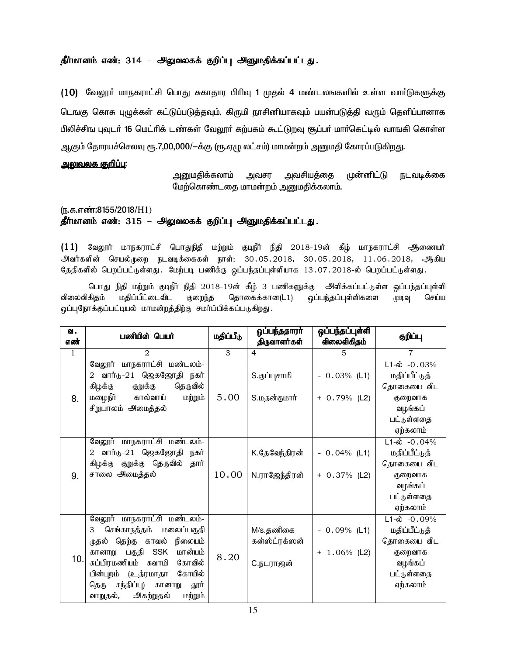## தீர்மானம் எண்: 314 – அலுவலகக் குறிப்பு அனுமதிக்கப்பட்டது.

(10) வேலூா் மாநகராட்சி பொது சுகாதார பிரிவு 1 முதல் 4 மண்டலஙகளில் உள்ள வாா்டுகளுக்கு டெங்கு கொசு புழுக்கள் கட்டுப்படுத்தவும், கிருமி நாசினியாகவும் பயன்படுத்தி வரும் தெளிப்பானாக பிலிச்சிங புவுடர் 16 மெட்ரிக் டண்கள் வேலூர் கற்பகம் கூட்டுறவு சூப்பர் மார்கெட்டில் வாஙகி கொள்ள ஆகும் தோரயச்செலவு ரூ.7,00,000/-க்கு (ரூ.ஏழு லட்சம்) மாமன்றம் அனுமதி கோரப்படுகிறது.

## <u>அலுவலக குறிப்பு:</u>

அனுமதிக்கலாம் அவசர அவசியத்தை முன்னிட்டு நடவடிக்கை மேற்கொண்டதை மாமன்றம் அனுமதிக்கலாம்.

(ந.க.எண்:8155/2018/H1)

தீர்மானம் எண்: 315 – அலுவலகக் குறிப்பு அனுமதிக்கப்பட்டது.

 $(11)$  வேலூர் மாநகராட்சி பொதுநிதி மற்றும் குடிநீர் நிதி 2018-19ன் கீழ் மாநகராட்சி ஆணையர் அவர்களின் செயல்முறை நடவடிக்கைகள் நாள்: 30.05.2018, 30.05.2018, 11.06.2018, ஆகிய தேதிகளில் பெறப்பட்டுள்ளது. மேற்படி பணிக்கு ஒப்பந்தப்புள்ளியாக 13.07.2018-ல் பெறப்பட்டுள்ளது.

பொது நிதி மற்றும் குடிநீர் நிதி 2018-19ன் கீழ் 3 பணிகளுக்கு அளிக்கப்பட்டுள்ள ஒப்பந்தப்புள்ளி விலைவிகிதம் மதிப்பீட்டைவிட குறைந்த தொகைக்கான(L1) ஒப்பந்தப்புள்ளிகளை முடிவு செய்ய ஒப்புநோக்குப்பட்டியல் மாமன்றத்திற்கு சமர்ப்பிக்கப்படுகிறது.

| வ.<br>எண்    | பணியின் பெயர்                                                                                                                                                                                                                                                                                      | மதிப்பீடு | ஒப்பந்ததாரா்<br>திருவாளர்கள்            | ஒப்பந்தப்புள்ளி<br>விலைவிகிதம்    | குறிப்பு                                                                                                    |
|--------------|----------------------------------------------------------------------------------------------------------------------------------------------------------------------------------------------------------------------------------------------------------------------------------------------------|-----------|-----------------------------------------|-----------------------------------|-------------------------------------------------------------------------------------------------------------|
| $\mathbf{1}$ | $\mathcal{D}_{\mathcal{L}}$                                                                                                                                                                                                                                                                        | 3         | 4                                       | 5                                 | $\overline{7}$                                                                                              |
|              | வேலூர் மாநகராட்சி மண்டலம்-<br>வார்டு-21 ஜெகஜோதி நகர்<br>$\overline{2}$<br>தெருவில்<br>கிழக்கு<br>குறுக்கு<br>மழைநீர்<br>கால்வாய்                                                                                                                                                                   | 5.00      | S.குப்புசாமி                            | $-0.03%$ (L1)                     | $L1-\dot{\omega}$ -0.03%<br>மதிப்பீட்டுத்<br>தொகையை விட                                                     |
| 8.           | மற்றும்<br>சிறுபாலம் அமைத்தல்                                                                                                                                                                                                                                                                      |           | S.மதன்குமார்                            | $+ 0.79%$ (L2)                    | குறைவாக<br>வழங்கப்<br>பட்டுள்ளதை<br>ஏற்கலாம்                                                                |
| 9.           | வேலூர் மாநகராட்சி மண்டலம்-<br>வார்டு-21 ஜெகஜோதி<br>நகர்<br>2<br>கிழக்கு குறுக்கு தெருவில்<br>தார்<br>சாலை அமைத்தல்                                                                                                                                                                                 | 10.00     | K.தேவேந்திரன்<br>N.ராஜேந்திரன்          | $-0.04\%$ (L1)<br>$+ 0.37\%$ (L2) | $L1-\omega$ -0.04%<br>மதிப்பீட்டுத்<br>தொகையை விட<br>குறைவாக<br>வழங்கப்<br>பட்டுள்ளதை<br>ஏற்கலாம்           |
| 10.          | வேலூர் மாநகராட்சி மண்டலம்-<br>செங்காநத்தம்<br>மலைப்பகுதி<br>3<br>நிலையம்<br>தெற்கு<br>காவல்<br>முதல்<br><b>SSK</b><br>மான்யம்<br>பகுதி<br>கானாறு<br>சுப்பிரமணியம்<br>கோவில்<br>சுவாமி<br>கோயில்<br>பின்புறம் (உத்ரமாதா<br>சந்திப்பு)<br>தெரு<br>கானாறு<br>தூர்<br>வாறுதல்,<br>அகற்றுதல்<br>மற்றும் | 8.20      | M/s.தணிகை<br>கன்ஸ்ட்ரக்ஸன்<br>С.ந∟ராஜன் | $-0.09\%$ (L1)<br>$+ 1.06\%$ (L2) | $L1 - \dot{\omega} - 0.09\%$<br>மதிப்பீட்டுத்<br>தொகையை விட<br>குறைவாக<br>வழங்கப்<br>பட்டுள்ளதை<br>ஏற்கலாம் |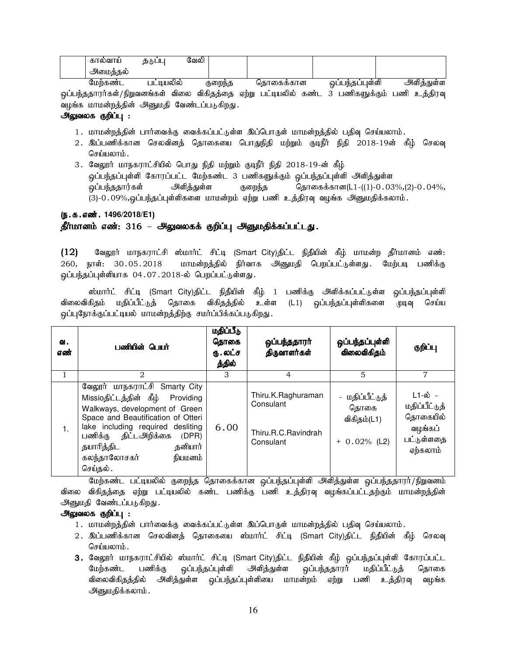| --<br>յս<br>m.<br>61 | ÷<br>. . | 73<br>$\sim$ 1.4 $\sim$<br>ுவெட |  |  |
|----------------------|----------|---------------------------------|--|--|
| வ                    |          |                                 |  |  |

மேற்கண்ட பட்டியலில் குறைந்த தொகைக்கான ஒப்பந்தப்புள்ளி அளித்துள்ள <u>ஒ</u>ப்பந்ததாரர்கள்/நிறுவனங்கள் விலை விகிதத்தை ஏற்று பட்டியலில் கண்ட 3 பணிகளுக்கும் பணி உத்திரவு வழங்க மாமன்றத்தின் அனுமதி வேண்டப்படுகிறது.

## அலுவலக குறிப்பு :

- 1. மாமன்றத்தின் பார்வைக்கு வைக்கப்பட்டுள்ள இப்பொருள் மாமன்றத்தில் பதிவு செய்யலாம்.
- 2. இப்பணிக்கான செலவினத் தொகையை பொதுநிதி மற்றும் குடிநீர் நிதி 2018-19ன் கீழ் செலவு செய்யலாம்.
- 3. வேலூர் மாநகராட்சியில் பொது நிதி மற்றும் குடிநீர் நிதி 2018-19-ன் கீழ் ஒப்பந்தப்புள்ளி கோரப்பட்ட மேற்கண்ட 3 பணிகளுக்கும் ஒப்பந்தப்புள்ளி அளித்துள்ள  $\tilde{\mathbf{Q}}$ ப்பந்ததார்கள் அளித்துள்ள குறைந்த தொகைக்கான(L1-((1)-0.03%,(2)-0.04%, (3)-0.09%,ஒப்பந்தப்புள்ளிகளை மாமன்றம் ஏற்று பணி உத்திரவு வழங்க அனுமதிக்கலாம்.

## (**ந.க.எண். 1496/2018/E1**)

## தீர்மானம் எண்: 316 – அலுவலகக் குறிப்பு அனுமதிக்கப்பட்டது.

 $(12)$  Baலூர் மாநகராட்சி ஸ்மார்ட் சிட்டி (Smart City)திட்ட நிதியின் கீழ் மாமன்ற தீர்மானம் எண்: 260, நாள்: 30.05.2018 மாமன்றத்தில் நிர்வாக அனுமதி பெறப்பட்டுள்ளது. மேற்படி பணிக்கு ஒப்பந்தப்புள்ளியாக 04.07.2018-ல் பெறப்பட்டுள்ளது.

ஸ்மார்ட் சிட்டி (Smart City)திட்ட நிதியின் கீழ் 1 பணிக்கு அளிக்கப்பட்டுள்ள ஒப்பந்தப்புள்ளி விலைவிகிதம் மதிப்பீட்டுத் தொகை விகிதத்தில் உள்ள (L1) ஒப்பந்தப்புள்ளிகளை முடிவு செய்ய ஒப்புநோக்குப்பட்டியல் மாமன்றத்திற்கு சமர்ப்பிக்கப்படுகிறது.

| வ.<br>எண் | பணியின் பெயர்                                                                                                                                                                                                                                                                   | மதிப்பீடு<br>தொகை<br>ரு.லட்ச<br>த்தில் | ஒப்பந்ததாரா்<br>திருவாளர்கள்                                        | ஒப்பந்தப்புள்ளி<br>விலைவிகிதம்                            | குறிப்பு                                                                  |
|-----------|---------------------------------------------------------------------------------------------------------------------------------------------------------------------------------------------------------------------------------------------------------------------------------|----------------------------------------|---------------------------------------------------------------------|-----------------------------------------------------------|---------------------------------------------------------------------------|
| 1         | 2                                                                                                                                                                                                                                                                               | 3                                      | 4                                                                   | $\overline{5}$                                            | 7                                                                         |
|           | வேலூர் மாநகராட்சி Smarty City<br>Missioதிட்டத்தின் கீழ் Providing<br>Walkways, development of Green<br>Space and Beautification of Otteri<br>lake including required desliting<br>பணிக்கு திட்டஅறிக்கை<br>(DPR)<br>தயாரித்திட<br>தனியார்<br>கலந்தாலோசகர்<br>நியமனம்<br>செய்தல். | 6.00                                   | Thiru.K.Raghuraman<br>Consulant<br>Thiru.R.C.Ravindrah<br>Consulant | - மதிப்பீட்டுத்<br>தொகை<br>விகிதம்(L1)<br>$+ 0.02\%$ (L2) | ட1-ல் -<br>மதிப்பீட்டுத்<br>தொகையில்<br>வழங்கப்<br>பட்டுள்ளதை<br>ஏற்கலாம் |

மேற்கண்ட பட்டியலில் குறைந்த தொகைக்கான ஒப்பந்தப்புள்ளி அளித்துள்ள ஒப்பந்ததாரா்/நிறுவனம் விலை விகிதத்தை ஏற்று பட்டியலில் கண்ட பணிக்கு பணி உத்திரவு வழங்கப்பட்டதற்கும் மாமன்றத்தின் அனுமதி வேண்டப்படுகிறது.

## அலுவலக குறிப்பு :

- 1. மாமன்றத்தின் பார்வைக்கு வைக்கப்பட்டுள்ள இப்பொருள் மாமன்றத்தில் பதிவு செய்யலாம்.
- 2. இப்பணிக்கான செலவினத் தொகையை ஸ்மார்ட் சிட்டி (Smart City)திட்ட நிதியின் கீழ் செலவு செய்யலாம்.
- 3. வேலூர் மாநகராட்சியில் ஸ்மார்ட் சிட்டி (Smart City)திட்ட நிதியின் கீழ் ஒப்பந்தப்புள்ளி கோரப்பட்ட<br>மேற்கண்ட பணிக்கு ஒப்பந்தப்புள்ளி அளித்துள்ள ஒப்பந்ததாரர் மதிப்பீட்டுத் தொகை மேற்கண்ட பணிக்கு ஒப்பந்தப்புள்ளி அளித்துள்ள ஒப்பந்ததாரர் மதிப்பீட்டுத் தொகை விலைவிகிதத்தில் அளித்துள்ள ஒப்பந்தப்புள்ளியை மாமன்றம் ஏற்று பணி உத்திரவு வழங்க அனுமதிக்கலாம்.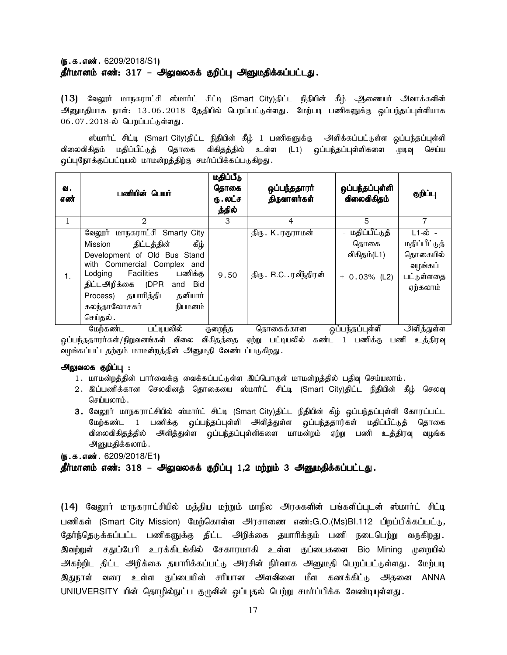## $(5.5.5.5)$ ன். 6209/2018/S1) தீர்மானம் எண்: 317 – அலுவலகக் குறிப்பு அனுமதிக்கப்பட்டது.

 $(13)$  வேலூர் மாநகராட்சி ஸ்மார்ட் சிட்டி (Smart City)திட்ட நிதியின் கீழ் ஆணையர் அவாக்களின் அ<sub>ணிமதியாக நாள்: 13.06.2018 தேதியில் பெறப்பட்டுள்ளது. மேற்படி பணிகளுக்கு ஒப்பந்தப்புள்ளியாக</sub> 06.07.2018-ல் பெறப்பட்டுள்ளது.

ஸ்மார்ட் சிட்டி (Smart City)திட்ட நிதியின் கீழ் 1 பணிகளுக்கு அளிக்கப்பட்டுள்ள ஒப்பந்தப்புள்ளி விலைவிகிதம் மதிப்பீட்டுத் தொகை விகிதத்தில் உள்ள (L1) ஒப்பந்தப்புள்ளிகளை முடிவு செய்ய ஒப்புநோக்குப்பட்டியல் மாமன்றத்திற்கு சமர்ப்பிக்கப்படுகிறது.

| வ.<br>எண் | பணியின் பெயர்                                                                                                                                                                                                                                                                      | மதிப்பீடு<br>தொகை<br>ரு . லட்ச<br>த்தில் | ஒப்பந்ததாரா்<br>திருவாளர்கள்                   | ஒப்பந்தப்புள்ளி<br>விலைவிகிதம்                           | குறிப்பு                                                                  |
|-----------|------------------------------------------------------------------------------------------------------------------------------------------------------------------------------------------------------------------------------------------------------------------------------------|------------------------------------------|------------------------------------------------|----------------------------------------------------------|---------------------------------------------------------------------------|
|           | $\mathfrak{D}$                                                                                                                                                                                                                                                                     | 3                                        | 4                                              | 5                                                        | 7                                                                         |
| 1.        | வேலூர் மாநகராட்சி Smarty City<br>ழ்த்<br>திட்டத்தின்<br>Mission<br>Development of Old Bus Stand<br>with Commercial Complex and<br>பணிக்கு<br><b>Facilities</b><br>Lodging<br>திட்டஅிிக்கை (DPR<br>and Bid<br>Process) தயாரித்திட<br>தனியார்<br>கலந்தாலோசகர்<br>நியமனம்<br>செய்தல். | 9.50                                     | திரு . K . ரகுராமன்<br>திரு . R.C. .ரவீந்திரன் | - மதிப்பீட்டுத்<br>கொகை<br>விகிதம்(L1)<br>$+ 0.03%$ (L2) | ட1-ல் -<br>மதிப்பீட்டுத்<br>தொகையில்<br>வழங்கப்<br>பட்டுள்ளதை<br>ஏற்கலாம் |

மேற்கண்ட பட்டியலில் குறைந்த தொகைக்கான ஒப்பந்தப்புள்ளி அிளித்துள்ள <u>ஒ</u>ப்பந்ததாரர்கள்/நிறுவனங்கள் விலை விகிதத்தை ஏற்று பட்டியலில் கண்ட 1 பணிக்கு பணி உத்திரவு வழங்கப்பட்டதற்கும் மாமன்றத்தின் அனுமதி வேண்டப்படுகிறது.

## அலுவலக குறிப்பு :

- 1. மாமன்றத்தின் பார்வைக்கு வைக்கப்பட்டுள்ள இப்பொருள் மாமன்றத்தில் பதிவு செய்யலாம்.
- 2. இப்பணிக்கான செலவினத் தொகையை ஸ்மார்ட் சிட்டி (Smart City)திட்ட நிதியின் கீழ் செலவு செய்யலாம்.
- 3. வேலூர் மாநகராட்சியில் ஸ்மார்ட் சிட்டி (Smart City)திட்ட நிதியின் கீழ் ஒப்பந்தப்புள்ளி கோரப்பட்ட மேற்கண்ட 1 பணிக்கு ஒப்பந்தப்புள்ளி அளித்துள்ள ஒப்பந்ததார்கள் மதிப்பீட்டுத் தொகை விலைவிகிதத்தில் அி்ததுள்ள ஒப்பந்தப்புள்ளிகளை மாமன்றம் ஏற்று பணி உத்திரவு வழங்க அனுமதிக்கலாம்.

 $(5.5.5.5)$ . 6209/2018/E1)

#### தீர்மானம் எண்: 318 – அலுவலகக் குறிப்பு 1,2 மற்றும் 3 அனுமதிக்கப்பட்டது.

(14) வேலூர் மாநகராட்சியில் மத்திய மற்றும் மாநில அரசுகளின் பங்களிப்புடன் ஸ்மார்ட் சிட்டி பணிகள் (Smart City Mission) மேற்கொள்ள அரசாணை எண்:G.O.(Ms)BI.112 பிறப்பிக்கப்பட்டு*,* தேர்ந்தெடுக்கப்பட்ட பணிகளுக்கு திட்ட அிறக்கை தயாரிக்கும் பணி நடைபெற்று வருகிறது. இவற்றுள் சதுப்பேரி உரக்கிடங்கில் சேகாரமாகி உள்ள குப்பைகளை Bio Mining முறையில் அகற்றிட திட்ட அறிக்கை தயாரிக்கப்பட்டு அரசின் நிர்வாக அனுமதி பெறப்பட்டுள்ளது. மேற்படி இதுநாள் வரை உள்ள குப்பையின் சரியான அளவினை மீள கணக்கிட்டு அதனை ANNA UNIUVERSITY யின் தொழில்நுட்ப குழுவின் ஒப்புதல் பெற்று சமர்ப்பிக்க வேண்டியுள்ளது.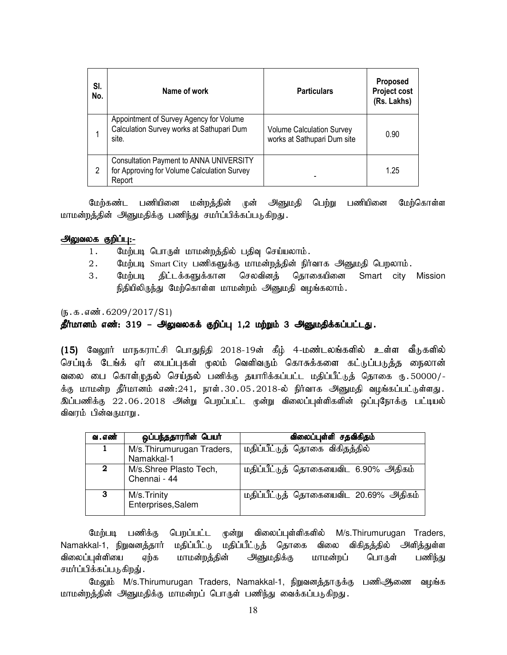| SI.<br>No. | Name of work                                                                                            | <b>Particulars</b>                                              | Proposed<br>Project cost<br>(Rs. Lakhs) |
|------------|---------------------------------------------------------------------------------------------------------|-----------------------------------------------------------------|-----------------------------------------|
|            | Appointment of Survey Agency for Volume<br>Calculation Survey works at Sathupari Dum<br>site.           | <b>Volume Calculation Survey</b><br>works at Sathupari Dum site | 0.90                                    |
| 2          | <b>Consultation Payment to ANNA UNIVERSITY</b><br>for Approving for Volume Calculation Survey<br>Report |                                                                 | 1.25                                    |

மேற்கண்ட பணியினை மன்றத்தின் முன் அனுமதி பெற்று பணியினை மேற்கொள்ள மாமன்றத்தின் அனுமதிக்கு பணிந்து சமர்ப்பிக்கப்படுகிறது.

## அலுவலக குறிப்பு:-

- 1. மேற்படி பொருள் மாமன்றத்தில் பதிவு செய்யலாம்.
- 2. மேற்படி Smart City பணிகளுக்கு மாமன்றத்தின் நிர்வாக அனுமதி பெறலாம்.
- 3. மேற்படி திட்டக்களுக்கான செலவினக் கொகையினை Smart city Mission நிதியிலிருந்து மேற்கொள்ள மாமன்றம் அனுமதி வழங்கலாம்.

## $(\mathbf{5}.\mathbf{5}.\mathbf{6}\mathbf{w}$ : 6209/2017/S1)

## தீர்மானம் எண்: 319 – அலுவலகக் குறிப்பு 1,2 மற்றும் 3 அனுமதிக்கப்பட்டது.

(15) வேலூர் மாநகராட்சி பொதுநிதி 2018-19ன் கீழ் 4-மண்டலங்களில் உள்ள வீடுகளில் செப்டிக் டேங்க் ஏர் பைப்புகள் மூலம் வெளிவரும் கொசுக்களை கட்டுப்படுத்த நைலான் வலை பை கொள்முதல் செய்தல் பணிக்கு தயாரிக்கப்பட்ட மதிப்பீட்டுத் தொகை ரு.50000/-க்கு மாமன்ற தீர்மானம் எண்:241, நாள்.30.05.2018-ல் நிர்வாக அனுமதி வழங்கப்பட்டுள்ளது. இப்பணிக்கு 22.06.2018 அன்று பெறப்பட்ட முன்று விலைப்புள்ளிகளின் ஒப்புநோக்கு பட்டியல் விவரம் பின்வருமாறு.

| வ . எண்  | ஒப்பந்ததாரரின் பெயர்                     | விலைப்புள்ளி சதவிகிதம்                |
|----------|------------------------------------------|---------------------------------------|
| 1        | M/s. Thirumurugan Traders,<br>Namakkal-1 | மதிப்பீட்டுத் தொகை விகிதத்தில்        |
| $\bf{2}$ | M/s.Shree Plasto Tech,<br>Chennai - 44   | மதிப்பீட்டுத் தொகையைவிட 6.90% அதிகம்  |
| 3        | M/s. Trinity<br>Enterprises, Salem       | மதிப்பீட்டுத் தொகையைவிட 20.69% அதிகம் |

மேற்படி பணிக்கு பெறப்பட்ட முன்று விலைப்புள்ளிகளில் M/s.Thirumurugan Traders, Namakkal-1, நிறுவனத்தார் மதிப்பீட்டு மதிப்பீட்டுத் தொகை விலை விகிதத்தில் அளித்துள்ள விலைப்புள்ளியை ஏற்க மாமன்றத்தின் அனுமதிக்கு மாமன்றப் பொருள் பணி<u>ந்து</u> சமர்ப்பிக்கப்படுகிறது் .

மேலும் M/s.Thirumurugan Traders, Namakkal-1, நிறுவனத்தாருக்கு பணிஆணை வழங்க மாமன்றத்தின் அனுமதிக்கு மாமன்றப் பொருள் பணிந்து வைக்கப்படுகிறது.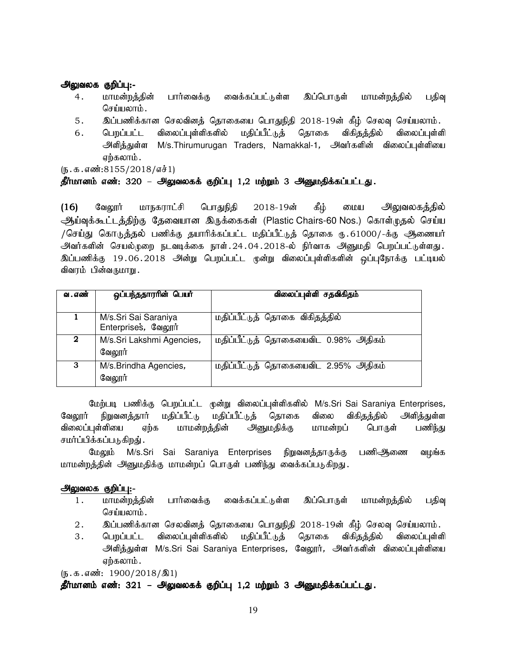## அலுவலக குறிப்பு:-

- 4 .மாமன்றத்தின் பார்வைக்கு வைக்கப்பட்டுள்ள இப்பொருள் மாமன்றத்தில் பதிவு செய்யலாம்.
- 5. இப்பணிக்கான செலவினத் தொகையை பொதுநிதி 2018-19ன் கீழ் செலவு செய்யலாம்.
- 6. பெறப்பட்ட விலைப்புள்ளிகளில் மதிப்பீட்டுத் தொகை விகிதத்தில் விலைப்புள்ளி அளித்துள்ள M/s.Thirumurugan Traders, Namakkal-1, அவர்களின் விலைப்புள்ளியை ஏற்கலாம்.

 $(5.5.5.5/2018/51)$ 

## தீா்மானம் எண்: 320 – அலுவலகக் குறிப்பு 1,2 மற்றும் 3 அனுமதிக்கப்பட்டது.

(16) வேலூர் மாநகராட்சி பொதுநிதி 2018-19ன் கீழ் மைய அிலுவலகத்தில் ஆய்வுக்கூட்டத்திற்கு தேவையான இருக்கைகள் (Plastic Chairs-60 Nos.) கொள்முதல் செய்ய /செய்து கொடுத்தல் பணிக்கு தயாரிக்கப்பட்ட மதிப்பீட்டுத் தொகை ரு.61000/-க்கு ஆணையர் .<br>அவர்களின் செயல்முறை நடவடிக்கை நாள்.24.04.2018-ல் நிர்வாக அனுமதி பெறப்பட்டுள்ளது. இப்பணிக்கு 19.06.2018 அன்று பெறப்பட்ட முன்று விலைப்புள்ளிகளின் ஒப்புநோக்கு பட்டியல் விவரம் பின்வருமாறு .

| வ . எண் | ஒப்பந்ததாரரின் பெயர்                        | விலைப்புள்ளி சதவிகிதம்               |
|---------|---------------------------------------------|--------------------------------------|
|         | M/s.Sri Sai Saraniya<br>Enterprises, வேலூர் | மதிப்பீட்டுத் தொகை விகிதத்தில்       |
| 2       | M/s.Sri Lakshmi Agencies,<br>வேலூர்         | மதிப்பீட்டுத் தொகையைவிட 0.98% அதிகம் |
| 3       | M/s.Brindha Agencies,<br>வேலூர்             | மதிப்பீட்டுத் தொகையைவிட 2.95% அதிகம் |

மேற்படி பணிக்கு பெறப்பட்ட முன்று விலைப்புள்ளிகளில் M/s.Sri Sai Saraniya Enterprises*,* வேலூர் நிறுவனத்தார் மதிப்பீட்டு மதிப்பீட்டுத் தொகை விலை விகிதத்தில் அளித்துள்ள விலைப்புள்ளியை ஏற்க மாமன்றத்தின் அனுமதிக்கு மாமன்றப் பொருள் பணிந்து சமர்ப்பிக்கப்படுகிறது் .

மேலும் M/s.Sri Sai Saraniya Enterprises நிறுவனத்தாருக்கு பணிஆிணை வழங்க மாமன்றத்தின் அனுமதிக்கு மாமன்றப் பொருள் பணிந்து வைக்கப்படுகிறது.

## அலுவலக குறிப்பு:-

- 1. மாமன்றத்தின் பார்வைக்கு வைக்கப்பட்டுள்ள இப்பொருள் மாமன்றத்தில் பதிவு செய்யலாம்.
- 2. ng;gzpf;fhd brytpdj; bjhifia bghJepjp 2018-19d; fPH; bryt[ bra;ayhk;.
- 3 .மெறப்பட்ட விலைப்புள்ளிகளில் மதிப்பீட்டுத் தொகை விகிதத்தில் விலைப்புள்ளி அளித்துள்ள M/s.Sri Sai Saraniya Enterprises, வேலூர், அவர்களின் விலைப்புள்ளியை எற்கலாம்.

 $(\mathbf{b}.\mathbf{\Phi}.\mathbf{\Phi}.\mathbf{\Phi}.\mathbf{\Phi}$ : 1900/2018/இ1)

## தீர்மானம் எண்: 321 – அலுவலகக் குறிப்பு 1,2 மற்றும் 3 அனுமதிக்கப்பட்டது.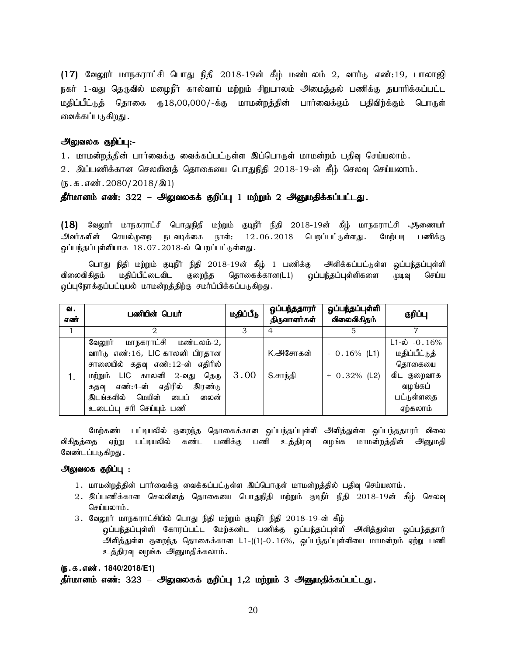$(17)$  வேலூர் மாநகராட்சி பொது நிதி 2018-19ன் கீழ் மண்டலம் 2, வார்டு எண்:19, பாலாஜி நகர் 1-வது தெருவில் மழைநீர் கால்வாய் மற்றும் சிறுபாலம் அமைத்தல் பணிக்கு தயாரிக்கப்பட்ட மதிப்பீட்டுத் தொகை ரூ18,00,000/-க்கு மாமன்றத்தின் பார்வைக்கும் பதிவிற்க்கும் பொருள் வைக்கப்படுகிறது .

#### அலுவலக குறிப்பு:-

1. மாமன்றத்தின் பார்வைக்கு வைக்கப்பட்டுள்ள இப்பொருள் மாமன்றம் பதிவு செய்யலாம்.

2. இப்பணிக்கான செலவினத் தொகையை பொதுநிதி 2018-19-ன் கீழ் செலவு செய்யலாம்.

(ந.க.எண்.2080/2018/இ1)

## தீர்மானம் எண்: 322 – அலுவலகக் குறிப்பு 1 மற்றும் 2 அனுமதிக்கப்பட்டது.

 $(18)$  வேலூர் மாநகராட்சி பொதுநிதி மற்றும் குடிநீர் நிதி 2018-19ன் கீழ் மாநகராட்சி ஆணையர் அவர்களின் செயல்முறை நடவடிக்கை நாள்: 12.06.2018 பெறப்பட்டுள்ளது. மேற்படி பணிக்கு ஒப்பந்தப்புள்ளியாக 18.07.2018-ல் பெறப்பட்டுள்ளது.

பொது நிதி மற்றும் குடிநீர் நிதி 2018-19ன் கீழ் 1 பணிக்கு அளிக்கப்பட்டுள்ள ஒப்பந்தப்புள்ளி விலைவிகிதம் மதிப்பீட்டைவிட குறைந்த தொகைக்கான(L1) ஒப்பந்தப்புள்ளிகளை முடிவு செய்ய ஒப்புநோக்குப்பட்டியல் மாமன்றத்திற்கு சமர்ப்பிக்கப்படுகிறது.

| வ.<br>எண் | பணியின் பெயர்                                                                                                                                                                                                                                     | மதிப்பீடு | <u>ஒப்பந்ததாரா்</u><br>திருவாளர்கள் | ஒப்பந்தப்புள்ளி<br>விலைவிகிதம்  | குறிப்பு                                                                                                   |
|-----------|---------------------------------------------------------------------------------------------------------------------------------------------------------------------------------------------------------------------------------------------------|-----------|-------------------------------------|---------------------------------|------------------------------------------------------------------------------------------------------------|
|           |                                                                                                                                                                                                                                                   | З         | 4                                   | 5                               |                                                                                                            |
|           | மாநகராட்சி மண்டலம்-2,<br>வேலூர்<br>வார்டு எண்:16, LIC காலனி பிரதான<br>சாலையில் கதவு எண்:12-ன் எதிரில்<br>LIC காலனி 2-வது தெரு<br>மற்றும்<br>எண்:4-ன் எதிரில்<br>இரண்டு<br>கதவு<br>மெயின்<br>இடங்களில்<br>பைப்<br>லைன்<br>உடைப்பு சரி செய்யும் பணி | 3.00      | K. <del>அ</del> சோகன்<br>S.சாந்தி   | $-0.16%$ (L1)<br>$+ 0.32%$ (L2) | $L1 - \dot{\omega}$ - 0.16%<br>மதிப்பீட்டுத்<br>தொகையை<br>விட குறைவாக<br>வழங்கப்<br>பட்டுள்ளதை<br>ஏற்கலாம் |

மேற்கண்ட பட்டியலில் குறைந்த தொகைக்கான ஒப்பந்தப்புள்ளி அளித்துள்ள ஒப்பந்ததாரர் விலை விகிதத்தை ஏற்று பட்டியலில் கண்ட பணிக்கு பணி உத்திரவு வழங்க மாமன்றத்தின் அனுமதி வேண்டப்படுகிறது .

#### அலுவலக குறிப்பு :

- 1. மாமன்றத்தின் பார்வைக்கு வைக்கப்பட்டுள்ள இப்பொருள் மாமன்றத்தில் பதிவு செய்யலாம்.
- 2. இப்பணிக்கான செலவினத் தொகையை பொதுநிதி மற்றும் குடிநீர் நிதி 2018-19ன் கீழ் செலவு  $G$ சர்யமை $h$ ;
- 3. வேலூர் மாநகராட்சியில் பொது நிதி மற்றும் குடிநீர் நிதி 2018-19-ன் கீழ்
	- ஒப்பந்தப்புள்ளி கோரப்பட்ட மேற்கண்ட பணிக்கு ஒப்பந்தப்புள்ளி அளித்துள்ள ஒப்பந்ததார் அிளித்துள்ள குறைந்த தொகைக்கான L1-((1)-0.16%, ஒப்பந்தப்புள்ளியை மாமன்றம் ஏற்று பணி உத்திரவு வழங்க அனுமதிக்கலாம்.

#### (ந.க.எண். 1840/2018/E1)

## தீர்மானம் எண்: 323 – அலுவலகக் குறிப்பு 1,2 மற்றும் 3 அனுமதிக்கப்பட்டது.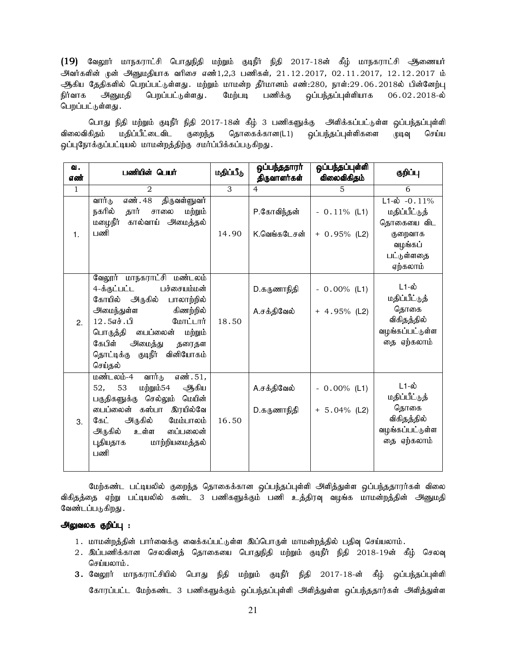$(19)$  வேலூர் மாநகராட்சி பொதுநிதி மற்றும் குடிநீர் நிதி 2017-18ன் கீழ் மாநகராட்சி ஆணையர் அிவர்களின் முன் அினுமதியாக வரிசை எண்1,2,3 பணிகள், 21.12.2017, 02.11.2017, 12.12.2017 ம் அதிய தேதிகளில் பெறப்பட்டுள்ளது. மற்றும் மாமன்ற தீர்மானம் எண்:280, நாள்:29.06.2018ல் பின்னேற்பு நிர்வாக அனுமதி பெறப்பட்டுள்ளது .மேற்படி பணிக்கு ஒப்பந்தப்புள்ளியாக 06.02.2018-ல் பெறப்பட்டுள்ளது.

பொது நிதி மற்றும் குடிநீர் நிதி 2017-18ன் கீழ் 3 பணிகளுக்கு அளிக்கப்பட்டுள்ள ஒப்பந்தப்புள்ளி விலைவிகிதம் மதிப்பீட்டைவிட குறைந்த தொகைக்கான(L1) ஒப்பந்தப்புள்ளிகளை முடிவு செய்ய ஒப்புநோக்குப்பட்டியல் மாமன்றத்திற்கு சமர்ப்பிக்கப்படுகிறது.

| வ.           | பணியின் பெயர்                                                                                                                                                                                                                                              | மதிப்பீடு | ஒப்பந்ததாரா்<br>திருவாளர்கள் | ஒப்பந்தப்புள்ளி<br>விலைவிகிதம்    | குறிப்பு                                                                              |
|--------------|------------------------------------------------------------------------------------------------------------------------------------------------------------------------------------------------------------------------------------------------------------|-----------|------------------------------|-----------------------------------|---------------------------------------------------------------------------------------|
| எண்          |                                                                                                                                                                                                                                                            |           |                              |                                   |                                                                                       |
| $\mathbf{1}$ | $\overline{2}$                                                                                                                                                                                                                                             | 3         | $\overline{4}$               | 5                                 | 6                                                                                     |
|              | எண். 48<br>திருவள்ளுவர்<br>வார்டு<br>நகரில்<br>தார்<br>சாலை<br>மற்றும்                                                                                                                                                                                     |           | P.கோவிந்தன்                  | $-0.11\%$ (L1)                    | $L1-\dot{\omega}$ -0.11%<br>மதிப்பீட்டுத்                                             |
| 1.           | மழைநீர்<br>கால்வாய் அமைத்தல்<br>பணி                                                                                                                                                                                                                        | 14.90     | K.வெங்கடேசன்                 | $+ 0.95\%$ (L2)                   | தொகையை விட<br>குறைவாக<br>வழங்கப்<br>பட்டுள்ளதை<br>ஏற்கலாம்                            |
| 2.           | வேலூர் மாநகராட்சி மண்டலம்<br>4-க்குட்பட்ட<br>பச்சையம்மன்<br>கோயில் அருகில்<br>பாலாற்றில்<br>அமைந்துள்ள<br>கிணற்றில்<br>12.5எச்.பி<br>மோட்டார்<br>பொருத்தி பைப்லைன்<br>மற்றும்<br>கேபிள்<br>அமைத்து<br>தரைதள<br>குடிநீர் வினியோகம்<br>தொட்டிக்கு<br>செய்தல் | 18.50     | D.கருணாநிதி<br>A.சக்திவேல்   | $-0.00\%$ (L1)<br>$+ 4.95\%$ (L2) | $L1-\omega$<br>மதிப்பீட்டுத்<br>தொகை<br>விகிதத்தில்<br>வழங்கப்பட்டுள்ள<br>தை ஏற்கலாம் |
| 3.           | வார்டு<br>மண்டலம்-4<br>எண். 51,<br>மற்றும்54<br>ஆகிய<br>53<br>52,<br>செல்லும் மெயின்<br>பகுதிகளுக்கு<br>கஸ்பா<br>இரயில்வே<br>டைப்லைன்<br>அருகில்<br>கேட்<br>மேம்பாலம்<br>அருகில்<br>உள்ள<br>ைப்பலைன்<br>மாற்றியமைத்தல்<br>புதியதாக<br>பணி                  | 16.50     | A.சக்திவேல்<br>D.கருணாநிதி   | $-0.00\%$ (L1)<br>$+ 5.04\%$ (L2) | $L1-\omega$<br>மதிப்பீட்டுத்<br>தொகை<br>விகிதத்தில்<br>வழங்கப்பட்டுள்ள<br>தை ஏற்கலாம் |

மேற்கண்ட பட்டியலில் குறைந்த தொகைக்கான ஒப்பந்தப்புள்ளி அளித்துள்ள ஒப்பந்ததாரர்கள் விலை விகிதத்தை ஏற்று பட்டியலில் கண்ட 3 பணிகளுக்கும் பணி உத்திரவு வழங்க மாமன்றத்தின் அனுமதி வேண்டப்படுகிறது .

## அலுவலக குறிப்பு :

- 1. மாமன்றத்தின் பார்வைக்கு வைக்கப்பட்டுள்ள இப்பொருள் மாமன்றத்தில் பதிவு செய்யலாம்.
- 2. இப்பணிக்கான செலவினத் தொகையை பொதுநிதி மற்றும் குடிநீர் நிதி 2018-19ன் கீழ் செலவு செய்யலாம்.
- 3. வேலூர் மாநகராட்சியில் பொது நிதி மற்றும் குடிநீர் நிதி 2017-18-ன் கீழ் ஒப்பந்தப்புள்ளி கோரப்பட்ட மேற்கண்ட 3 பணிகளுக்கும் ஒப்பந்தப்புள்ளி அளித்துள்ள ஒப்பந்ததார்கள் அளித்துள்ள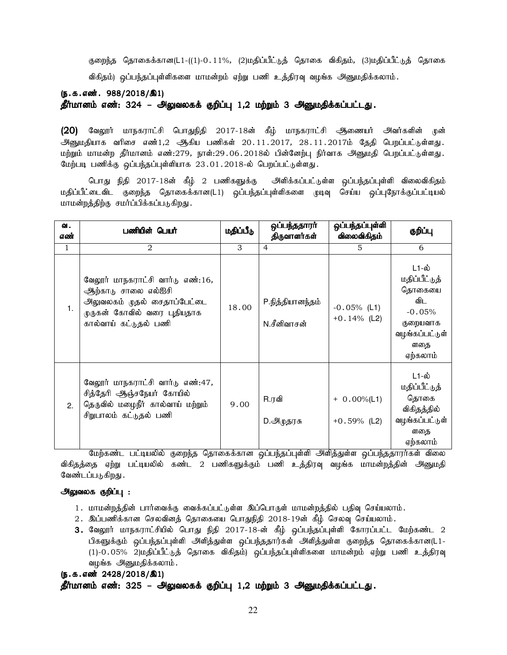குறைந்த தொகைக்கான(L1-((1)-0.11%, (2)மதிப்பீட்டுத் தொகை விகிதம், (3)மதிப்பீட்டுத் தொகை விகிதம்) ஒப்பந்தப்புள்ளிகளை மாமன்றம் ஏற்று பணி உத்திரவு வழங்க அனுமதிக்கலாம்.

(ந.க.எண். 988/2018/இ1)

தீர்மானம் எண்: 324 – அலுவலகக் குறிப்பு 1,2 மற்றும் 3 அனுமதிக்கப்பட்டது.

(20) வேலூர் மாநகராட்சி பொதுநிதி 2017-18ன் கீழ் மாநகராட்சி ஆணையர் அவர்களின் முன் அனுமதியாக வரிசை எண்1,2 ஆகிய பணிகள் 20.11.2017, 28.11.2017ம் தேதி பெறப்பட்டுள்ளது. மற்றும் மாமன்ற தீர்மானம் எண்:279, நாள்:29.06.2018ல் பின்னேற்பு நிர்வாக அனுமதி பெறப்பட்டுள்ளது. மேற்படி பணிக்கு ஒப்பந்தப்புள்ளியாக 23.01.2018-ல் பெறப்பட்டுள்ளது.

பொது நிதி 2017-18ன் கீழ் 2 பணிகளுக்கு அளிக்கப்பட்டுள்ள ஒப்பந்தப்புள்ளி விலைவிகிதம் மதிப்பீட்டைவிட குறைந்த தொகைக்கான(L1) ஒப்பந்தப்புள்ளிகளை முடிவு செய்ய ஒப்புநோக்குப்பட்டியல் மாமன்றத்திற்கு சமர்ப்பிக்கப்படுகிறது.

| ഖ.<br>எண்    | பணியின் பெயர்                                                                                                                                          | மதிப்பீடு | ஒப்பந்ததாரா்<br>திருவாளர்கள்    | ஒப்பந்தப்புள்ளி<br>விலைவிகிதம்   | குறிப்பு                                                                                             |
|--------------|--------------------------------------------------------------------------------------------------------------------------------------------------------|-----------|---------------------------------|----------------------------------|------------------------------------------------------------------------------------------------------|
| $\mathbf{1}$ | $\overline{2}$                                                                                                                                         | 3         | 4                               | 5                                | 6                                                                                                    |
| 1.           | வேலூர் மாநகராட்சி வார்டு எண்:16,<br>ஆற்காடு சாலை எல்ஐசி<br><u> அலுவலகம் முதல் சைதாப்பேட்டை</u><br>முருகன் கோவில் வரை புதியதாக<br>கால்வாய் கட்டுதல் பணி | 18.00     | P.நித்தியானந்தம்<br>N.சீனிவாசன் | $-0.05%$ (L1)<br>$+0.14%$ (L2)   | L1-ல்<br>மதிப்பீட்டுத்<br>தொகையை<br>விட<br>$-0.05%$<br>குறையவாக<br>வழங்கப்பட்டுள்<br>ளதை<br>ஏற்கலாம் |
| 2.           | வேலூர் மாநகராட்சி வார்டு எண்:47,<br>சித்தேரி ஆஞ்சநேயர் கோயில்<br>தெருவில் மழைநீர் கால்வாய் மற்றும்<br>சிறுபாலம் கட்டுதல் பணி                           | 9.00      | R.ரவி<br>D.அழுதரசு              | $+ 0.00\%$ (L1)<br>$+0.59%$ (L2) | L1-ல்<br>மதிப்பீட்டுத்<br>தொகை<br>விகிதத்தில்<br>வழங்கப்பட்டுள்<br>ளதை<br>ஏற்கலாம்                   |

மேற்கண்ட பட்டியலில் குறைந்த தொகைக்கான ஒப்பந்தப்புள்ளி அளித்துள்ள ஒப்பந்ததாரர்கள் விலை விகிதத்தை ஏற்று பட்டியலில் கண்ட 2 பணிகளுக்கும் பணி உத்திரவு வழங்க மாமன்றத்தின் அனுமதி வேண்டப்படுகிறது .

#### அலுவலக குறிப்பு :

- 1. மாமன்றத்தின் பார்வைக்கு வைக்கப்பட்டுள்ள இப்பொருள் மாமன்றத்தில் பதிவு செய்யலாம்.
- 2. இப்பணிக்கான செலவினத் தொகையை பொதுநிதி 2018-19ன் கீழ் செலவு செய்யலாம்.
- 3. வேலூர் மாநகராட்சியில் பொது நிதி 2017-18-ன் கீழ் ஒப்பந்தப்புள்ளி கோரப்பட்ட மேற்கண்ட 2 பிகளுக்கும் ஒப்பந்தப்புள்ளி அளித்துள்ள ஒப்பந்ததார்கள் அளித்துள்ள குறைந்த தொகைக்கான(L1-(1)-0.05% 2)மதிப்பீட்டுத் தொகை விகிதம்) ஒப்பந்தப்புள்ளிகளை மாமன்றம் ஏற்று பணி உத்திரவு வழங்க அனுமதிக்கலாம்.

```
(5.5.5 \cdot \frac{\pi}{2428}/2018/\text{a1})
```
## தீர்மானம் எண்: 325 – அலுவலகக் குறிப்பு 1,2 மற்றும் 3 அனுமதிக்கப்பட்டது.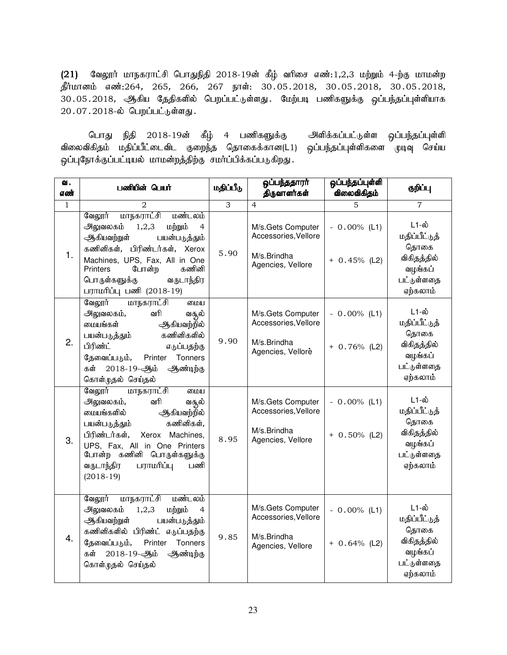$(21)$  வேலூர் மாநகராட்சி பொதுநிதி 2018-19ன் கீழ் வரிசை எண்:1,2,3 மற்றும் 4-ற்கு மாமன்ற தீர்மானம் எண்:264, 265, 266, 267 நாள்: 30.05.2018, 30.05.2018, 30.05.2018, 30.05.2018, ஆகிய தேதிகளில் பெறப்பட்டுள்ளது. மேற்படி பணிகளுக்கு ஒப்பந்தப்புள்ளியாக  $20.07.2018$ -ல் பெறப்பட்டுள்ளது.

பொது நிதி 2018-19ன் கீழ் 4 பணிகளுக்கு அளிக்கப்பட்டுள்ள ஒப்பந்தப்புள்ளி விலைவிகிதம் மதிப்பீட்டைவிட குறைந்த தொகைக்கான(L1) ஒப்பந்தப்புள்ளிகளை முடிவு செய்ய ஒப்புநோக்குப்பட்டியல் மாமன்றத்திற்கு சமர்ப்பிக்கப்படுகிறது.

| வ.<br>எண்    | பணியின் பெயர்                                                                                                                                                                                                                                                                 | மதிப்பீடு | ஒப்பந்ததாரர்<br>திருவாளர்கள்                                                  | ஒப்பந்தப்புள்ளி<br>விலைவிகிதம்    | குறிப்பு                                                                                  |
|--------------|-------------------------------------------------------------------------------------------------------------------------------------------------------------------------------------------------------------------------------------------------------------------------------|-----------|-------------------------------------------------------------------------------|-----------------------------------|-------------------------------------------------------------------------------------------|
| $\mathbf{1}$ | 2                                                                                                                                                                                                                                                                             | 3         | $\overline{4}$                                                                | 5                                 | $\overline{7}$                                                                            |
| 1.           | மாநகராட்சி<br>மண்டலம்<br>வேலூர்<br>அலுவலகம்<br>1,2,3<br>மற்றும்<br>4<br>ஆகியவற்றுள்<br>பயன்படுத்தும்<br>கணினிகள், பிரிண்டர்கள், Xerox<br>Machines, UPS, Fax, All in One<br>போன்ற<br>கணினி<br>Printers<br>பொருள்களுக்கு<br>வருடாந்திர<br>பராமரிப்பு பணி (2018-19)              | 5.90      | M/s.Gets Computer<br>Accessories, Vellore<br>M/s.Brindha<br>Agencies, Vellore | $-0.00\%$ (L1)<br>$+ 0.45%$ (L2)  | <b>L1-ல்</b><br>மதிப்பீட்டுத்<br>தொகை<br>விகிதத்தில்<br>வழங்கப்<br>பட்டுள்ளதை<br>ஏற்கலாம் |
| 2.           | வேலூர்<br>மாநகராட்சி<br>மைய<br>அலுவலகம்,<br>வரி<br>வசூல்<br>மையங்கள்<br>ஆகியவற்றில்<br>கணினிகளில்<br>பயன்படுத்தும்<br>பிரிண்ட்<br>எடுப்பதற்கு<br>தேவைப்படும்,<br>Tonners<br>Printer<br>கள்<br>2018-19-ஆம்<br>ஆண்டிற்கு<br>கொள்முதல் செய்தல்                                   | 9.90      | M/s.Gets Computer<br>Accessories, Vellore<br>M/s.Brindha<br>Agencies, Vellore | $-0.00\%$ (L1)<br>$+ 0.76\%$ (L2) | L1-ல்<br>மதிப்பீட்டுத்<br>தொகை<br>விகிதத்தில்<br>வழங்கப்<br>பட்டுள்ளதை<br>ஏற்கலாம்        |
| 3.           | மாநகராட்சி<br>வேலூர்<br>மைய<br>வரி<br>அலுவலகம்,<br>வசூல்<br>மையங்களில்<br>ஆகியவற்றில்<br>கணினிகள்,<br>பயன்படுத்தும்<br>பிரிண்டர்கள்,<br>Xerox Machines,<br>UPS, Fax, All in One Printers<br>போன்ற<br>கணினி<br>பொருள்களுக்கு<br>பராமரிப்பு<br>வருடாந்திர<br>பணி<br>$(2018-19)$ | 8.95      | M/s.Gets Computer<br>Accessories, Vellore<br>M/s.Brindha<br>Agencies, Vellore | $-0.00\%$ (L1)<br>$+ 0.50\%$ (L2) | L1-ல்<br>மதிப்பீட்டுத்<br>தொகை<br>விகிதத்தில்<br>வழங்கப்<br>பட்டுள்ளதை<br>ஏற்கலாம்        |
| 4.           | வேலூர்<br>மாநகராட்சி<br>மண்டலம்<br>அலுவலகம்<br>1,2,3<br>மற்றும்<br>4<br>ஆகியவற்றுள்<br>பயன்படுத்தும்<br>கணினிகளில் பிரிண்ட் எடுப்பதற்கு<br>Tonners<br>தேவைப்படும்,<br>Printer<br>2018-19-ஆம்<br>ஆண்டிற்கு<br>கள்<br>கொள்முதல் செய்தல்                                         | 9.85      | M/s.Gets Computer<br>Accessories, Vellore<br>M/s.Brindha<br>Agencies, Vellore | $-0.00\%$ (L1)<br>$+ 0.64\%$ (L2) | <b>L1-ல்</b><br>மதிப்பீட்டுத்<br>தொகை<br>விகிதத்தில்<br>வழங்கப்<br>பட்டுள்ளதை<br>ஏற்கலாம் |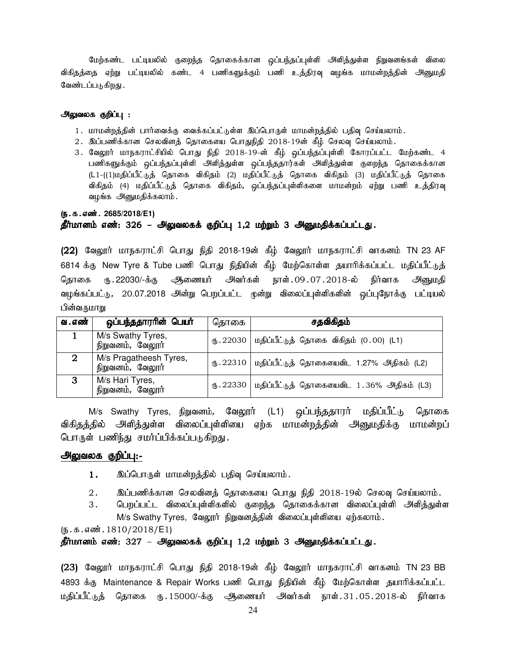மேற்கண்ட பட்டியலில் குறைந்த தொகைக்கான ஒப்பந்தப்புள்ளி அிித்துள்ள நிறுவனங்கள் விலை விகிதத்தை ஏற்று பட்டியலில் கண்ட 4 பணிகளுக்கும் பணி உத்திரவு வழங்க மாமன்றத்தின் அனுமதி வேண்டப்படுகிறது .

#### அலுவலக குறிப்பு :

- 1. மாமன்றத்தின் பார்வைக்கு வைக்கப்பட்டுள்ள இப்பொருள் மாமன்றத்தில் பதிவு செய்யலாம்.
- $2.$  இப்பணிக்கான செலவினத் தொகையை பொதுநிதி  $2018$ -19ன் கீழ் செலவு செய்யலாம்.
- 3. வேலூர் மாநகராட்சியில் பொது நிதி 2018-19-ன் கீழ் ஒப்பந்தப்புள்ளி கோரப்பட்ட மேற்கண்ட 4 பணிகளுக்கும் ஒப்பந்தப்புள்ளி அளித்துள்ள ஒப்பந்ததார்கள் அளித்துள்ள குறைந்த தொகைக்கான (L1-((1)மதிப்பீட்டுத் தொகை விகிதம் (2) மதிப்பீட்டுத் தொகை விகிதம் (3) மதிப்பீட்டுத் தொகை விகிதம் (4) மதிப்பீட்டுத் தொகை விகிதம், ஒப்பந்தப்புள்ளிகளை மாமன்றம் ஏற்று பணி உத்திரவு வழங்க அனுமதிக்கலாம்.

#### (ந.க.எண். 2685/2018/E1)

## தீர்மானம் எண்: 326 – அலுவலகக் குறிப்பு 1,2 மற்றும் 3 அனுமதிக்கப்பட்டது.

(22) வேலூர் மாநகராட்சி பொது நிதி 2018-19ன் கீழ் வேலூர் மாநகராட்சி வாகனம் TN 23 AF 6814 க்கு New Tyre & Tube பணி பொது நிதியின் கீழ் மேற்கொள்ள தயாரிக்கப்பட்ட மதிப்பீட்டுத் தொகை ரூ.22030/-க்கு ஆணையர் அவர்கள் நாள்.09.07.2018-ல் நிர்வாக அனுமதி வழங்கப்பட்டு, 20.07.2018 அன்று பெறப்பட்ட முன்று விலைப்புள்ளிகளின் ஒப்புநோக்கு பட்டியல் பின்வருமாறு

| வ . எண் | ஒப்பந்ததாராின் பெயா்                       | தொகை      | சதவிகிதம்                                                            |
|---------|--------------------------------------------|-----------|----------------------------------------------------------------------|
|         | M/s Swathy Tyres,<br>நிறுவனம், வேலூர்      |           | ரு. 22030   மதிப்பீட்டுத் தொகை விகிதம் $(0.00)$ (L1)                 |
|         | M/s Pragatheesh Tyres,<br>நிறுவனம், வேலூர் |           | $\textcircled{f}$ .22310   மதிப்பீட்டுத் தொகையைவிட 1.27% அதிகம் (L2) |
| 3       | M/s Hari Tyres,<br>நிறுவனம், வேலூர்        | (B.22330) | மதிப்பீட்டுத் தொகையைவிட 1.36% அதிகம் (L3)                            |

M/s Swathy Tyres, நிறுவனம், வேலூர் (L1) ஒப்பந்ததாரர் மதிப்பீட்டு தொகை விகிதத்தில் அளித்துள்ள விலைப்புள்ளியை ஏற்க மாமன்றத்தின் அனுமதிக்கு மாமன்றப் பொருள் பணிந்து சமர்ப்பிக்கப்படுகிறது.

#### அலுவலக குறிப்பு:-

- 1. இப்பொருள் மாமன்றத்தில் பதிவு செய்யலாம்.
- $2.$   $\,$  இப்பணிக்கான செலவினக் கொகையை பொது நிதி 2018-19ல் செலவு செய்யலாம்.
- 3. பெறப்பட்ட விலைப்புள்ளிகளில் குறைந்த தொகைக்கான விலைப்புள்ளி அளித்துள்ள M/s Swathy Tyres, வேலூர் நிறுவனத்தின் விலைப்புள்ளியை ஏற்கலாம்.

 $(5.5.5.5\ldots,1810/2018/E1)$ 

## தீர்மானம் எண்: 327 – அலுவலகக் குறிப்பு 1,2 மற்றும் 3 அனுமதிக்கப்பட்டது.

(23) வேலூர் மாநகராட்சி பொது நிதி 2018-19ன் கீழ் வேலூர் மாநகராட்சி வாகனம் TN 23 BB 4893 க்கு Maintenance & Repair Works பணி பொது நிதியின் கீழ் மேற்கொள்ள தயாரிக்கப்பட்ட மதிப்பீட்டுத் தொகை ரு.15000/-க்கு அிணையர் அவர்கள் நாள்.31.05.2018-ல் நிர்வாக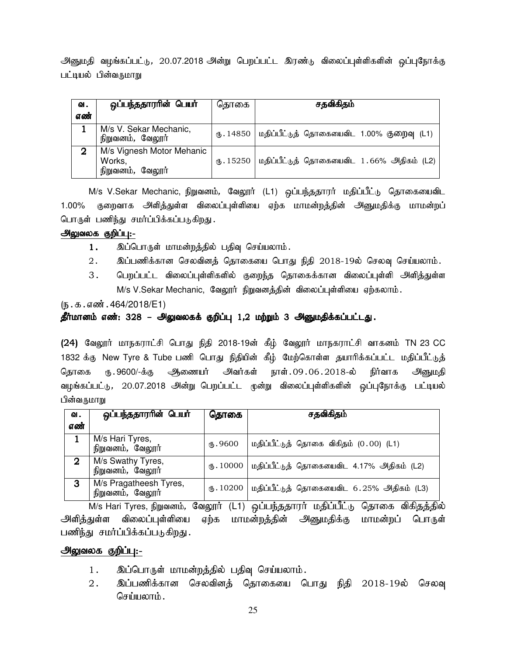அனுமதி வழங்கப்பட்டு, 20.07.2018 அன்று பெறப்பட்ட இரண்டு விலைப்புள்ளிகளின் ஒப்புநோக்கு பட்டியல் பின்வருமாறு

| ഖ.<br>எண் | ஒப்பந்ததாரரின் பெயர்                                    | தொகை | சதவிகிதம்                                                |
|-----------|---------------------------------------------------------|------|----------------------------------------------------------|
|           | M/s V. Sekar Mechanic,<br>நிறுவனம், வேலூர்              |      | ரு. 14850   மதிப்பீட்டுத் தொகையைவிட 1.00% குறைவு (L1)    |
| 2         | M/s Vignesh Motor Mehanic<br>Works,<br>நிறுவனம், வேலூர் |      | ரு. 15250   மதிப்பீட்டுத் தொகையைவிட $1.66\%$ அதிகம் (L2) |

 $M/s$  V.Sekar Mechanic, நிறுவனம், வேலூர் (L1) ஒப்பந்ததாரர் மதிப்பீட்டு தொகையைவிட 1.00% குறைவாக அளித்துள்ள விலைப்புள்ளியை ஏற்க மாமன்றத்தின் அனுமதிக்கு மாமன்றப் பொருள் பணிந்து சமர்ப்பிக்கப்படுகிறது.

## அலுவலக குறிப்பு:-

- 1. இப்பொருள் மாமன்றத்தில் பதிவு செய்யலாம்.
- 2. இப்பணிக்கான செலவினத் தொகையை பொது நிதி 2018-19ல் செலவு செய்யலாம்.
- 3. பெறப்பட்ட விலைப்புள்ளிகளில் குறைந்த தொகைக்கான விலைப்புள்ளி அளித்துள்ள M/s V.Sekar Mechanic, வேலூர் நிறுவனத்தின் விலைப்புள்ளியை ஏற்கலாம்.

 $(5.5.5.5\ldots, 464/2018/E1)$ 

## தீர்மானம் எண்: 328 – அலுவலகக் குறிப்பு 1,2 மற்றும் 3 அனுமதிக்கப்பட்டது.

(24) வேலூர் மாநகராட்சி பொது நிதி 2018-19ன் கீழ் வேலூர் மாநகராட்சி வாகனம் TN 23 CC 1832 க்கு New Tyre & Tube பணி பொது நிதியின் கீழ் மேற்கொள்ள தயாரிக்கப்பட்ட மதிப்பீட்டுத் தொகை ரு.9600/-க்கு ஆணையர் அவர்கள் நாள்.09.06.2018-ல் நிர்வாக அனுமதி வழங்கப்பட்டு, 20.07.2018 அன்று பெறப்பட்ட முன்று விலைப்புள்ளிகளின் ஒப்புநோக்கு பட்டியல் பின்வருமாறு

| ഖ.               | ஒப்பந்ததாரரின் பெயர்                       | தொகை    | சதவிகிதம்                                             |
|------------------|--------------------------------------------|---------|-------------------------------------------------------|
| எண்              |                                            |         |                                                       |
|                  | M/s Hari Tyres,<br>நிறுவனம், வேலூர்        | 15.9600 | மதிப்பீட்டுத் தொகை விகிதம் (0.00) (L1)                |
| $\boldsymbol{2}$ | M/s Swathy Tyres,<br>நிறுவனம், வேலூர்      |         | ரு. 10000   மதிப்பீட்டுத் தொகையைவிட 4.17% அதிகம் (L2) |
| 3                | M/s Pragatheesh Tyres,<br>நிறுவனம், வேலூர் |         | ரு. 10200   மதிப்பீட்டுத் தொகையைவிட 6.25% அதிகம் (L3) |

M/s Hari Tyres, நிறுவனம், வேலூர் (L1) ஒப்பந்ததாரர் மதிப்பீட்டு தொகை விகிதத்தில் அளித்துள்ள விலைப்புள்ளியை ஏற்க மாமன்றத்தின் அனுமதிக்கு மாமன்றப் பொருள் பணிந்து சமர்ப்பிக்கப்படுகிறது.

## அலுவலக குறிப்பு:-

- 1. இப்பொருள் மாமன்றத்தில் பதிவு செய்யலாம்.
- 2. இப்பணிக்கான செலவினத் தொகையை பொது நிதி 2018-19ல் செலவு செய்யலாம்.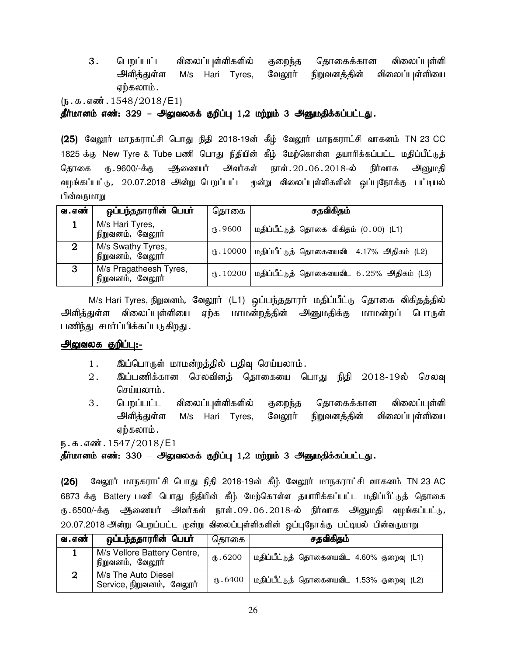- 3. பெறப்பட்ட விலைப்புள்ளிகளில் குறைந்த தொகைக்கான விலைப்புள்ளி அளித்துள்ள M/s Hari Tyres, வேலூர் நிறுவனத்தின் விலைப்புள்ளியை ஏற்கலாம்.
- $(\mathbf{b} \cdot \mathbf{b} \cdot \mathbf{a} \cdot \mathbf{b}) \cdot (1548/2018/\mathsf{E1})$

தீர்மானம் எண்: 329 – அலுவலகக் குறிப்பு 1,2 மற்றும் 3 அனுமதிக்கப்பட்டது.

(25) வேலூர் மாநகராட்சி பொது நிதி 2018-19ன் கீழ் வேலூர் மாநகராட்சி வாகனம் TN 23 CC 1825 க்கு New Tyre & Tube பணி பொது நிதியின் கீழ் மேற்கொள்ள தயாரிக்கப்பட்ட மதிப்பீட்டுத் தொகை ரு.9600/-க்கு ஆணையர் அவர்கள் நாள்.20.06.2018-ல் நிர்வாக அனுமதி வழங்கப்பட்டு, 20.07.2018 அன்று பெறப்பட்ட முன்று விலைப்புள்ளிகளின் ஒப்புநோக்கு பட்டியல் பின்வருமாறு

| வ . எண் | ஒப்பந்ததாரரின் பெயர்                       | தொகை     | சதவிகிதம்                                                      |
|---------|--------------------------------------------|----------|----------------------------------------------------------------|
|         | M/s Hari Tyres,<br>நிறுவனம், வேலூர்        | (B.9600) | மதிப்பீட்டுத் தொகை விகிதம் (0.00) (L1)                         |
|         | M/s Swathy Tyres,<br>நிறுவனம், வேலூர்      |          | ரு. 10000   மதிப்பீட்டுத் தொகையைவிட 4.17% அதிகம் (L2)          |
| З       | M/s Pragatheesh Tyres,<br>நிறுவனம், வேலூர் |          | $\bigcirc$ . 10200   மதிப்பீட்டுத் தொகையைவிட 6.25% அதிகம் (L3) |

M/s Hari Tyres, நிறுவனம், வேலூர் (L1) ஒப்பந்ததாரர் மதிப்பீட்டு தொகை விகிதத்தில் அளித்துள்ள விலைப்புள்ளியை ஏற்க மாமன்றத்தின் அனுமதிக்கு மாமன்றப் பொருள் பணிந்து சமர்ப்பிக்கப்படுகிறது.

## அலுவலக குறிப்பு:-

- 1. இப்பொருள் மாமன்றத்தில் பதிவு செய்யலாம்.
- 2. இப்பணிக்கான செலவினத் தொகையை பொது நிதி 2018-19ல் செலவு செய்யலாம்.
- 3. பெறப்பட்ட விலைப்புள்ளிகளில் குறைந்த தொகைக்கான விலைப்புள்ளி அளித்துள்ள M/s Hari Tyres, வேலூர் நிறுவனத்தின் விலைப்புள்ளியை ஏற்கலாம் .

 $E.5.5.5$ ள் $i.1547/2018$ /E1

## தீர்மானம் எண்: 330 – அலுவலகக் குறிப்பு 1,2 மற்றும் 3 அனுமதிக்கப்பட்டது.

(26) வேலூர் மாநகராட்சி பொது நிதி 2018-19ன் கீழ் வேலூர் மாநகராட்சி வாகனம் TN 23 AC 6873 க்கு Battery பணி பொது நிதியின் கீழ் மேற்கொள்ள தயாரிக்கப்பட்ட மதிப்பீட்டுத் தொகை ரு 6500/-க்கு ஆணையர் அவர்கள் நாள்.09 $.06.2018$ -ல் நிர்வாக அனுமதி வழங்கப்பட்டு, 20.07.2018 அன்று பெறப்பட்ட முன்று விலைப்புள்ளிகளின் ஒப்புநோக்கு பட்டியல் பின்வருமாறு

| வ . எண் | ஒப்பந்ததாரரின் பெயர்                             | தொகை                | சதவிகிதம்                                 |
|---------|--------------------------------------------------|---------------------|-------------------------------------------|
|         | M/s Vellore Battery Centre,<br>நிறுவனம், வேலூர்  | $(1)$ . 6200        | மதிப்பீட்டுத் தொகையைவிட 4.60% குறைவு (L1) |
|         | M/s The Auto Diesel<br>Service, நிறுவனம், வேலூர் | $\circledast$ .6400 | மதிப்பீட்டுத் தொகையைவிட 1.53% குறைவு (L2) |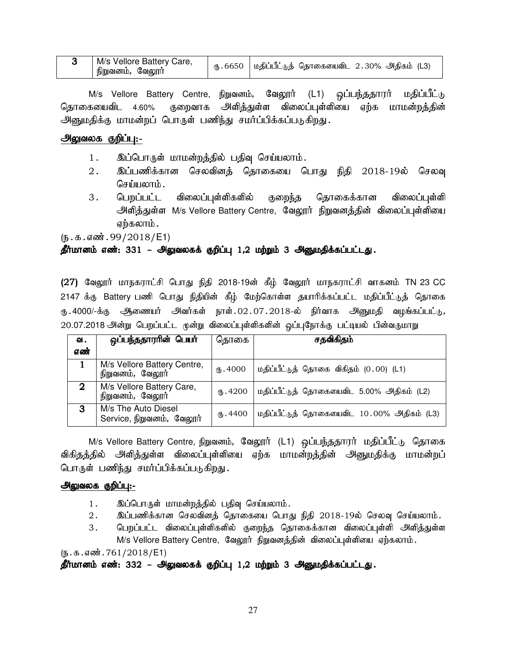| M/s Vellore Battery Care,<br>நிறுவனம், வேலூர் | , ரு.6650   மதிப்பீட்டுத் தொகையைவிட 2.30% அதிகம் (L3) |  |
|-----------------------------------------------|-------------------------------------------------------|--|
|                                               |                                                       |  |

M/s Vellore Battery Centre, நிறுவனம், வேலூர் (L1) ஒப்பந்ததாரர் மதிப்பீட்டு தொகையைவிட 4.60% குறைவாக அளித்துள்ள விலைப்புள்ளியை ஏற்க மாமன்றத்தின் அளுமதிக்கு மாமன்றப் பொருள் பணிந்து சமர்ப்பிக்கப்படுகிறது.

## அலுவலக குறிப்பு:-

- 1. இப்பொருள் மாமன்றத்தில் பதிவு செய்யலாம்.
- 2. ng;gzpf;fhd brytpdj; bjhifia bghJ epjp 2018-19y; bryt[ செய்யலாம்.
- 3 . பெறப்பட்ட விலைப்பள்ளிகளில் குறைந்த தொகைக்கான விலைப்புள்ளி அளித்துள்ள M/s Vellore Battery Centre, வேலூர் நிறுவனத்தின் விலைப்புள்ளியை ஏற்கலாம் .

 $(n.5.5.5)$   $(99/2018)$  E1)

## தீர்மானம் எண்: 331 – அலுவலகக் குறிப்பு 1,2 மற்றும் 3 அனுமதிக்கப்பட்டது.

(27) வேலூர் மாநகராட்சி பொது நிதி 2018-19ன் கீழ் வேலூர் மாநகராட்சி வாகனம் TN 23 CC 2147 க்கு Battery பணி பொது நிதியின் கீழ் மேற்கொள்ள தயாரிக்கப்பட்ட மதிப்பீட்டுத் தொகை ரு.4000/-க்கு ஆணையர் அவர்கள் நாள்.02.07.2018-ல் நிர்வாக அனுமதி வழங்கப்பட்டு, 20.07.2018 அன்று பெறப்பட்ட முன்று விலைப்புள்ளிகளின் ஒப்புநோக்கு பட்டியல் பின்வருமாறு

| வ.          | <u>ஒப்பந்ததாராின் பெயா்</u>                      | தொகை     | சதவிகிதம்                                  |
|-------------|--------------------------------------------------|----------|--------------------------------------------|
| எண்         |                                                  |          |                                            |
|             | M/s Vellore Battery Centre,<br>நிறுவனம், வேலூர்  | (B.4000) | மதிப்பீட்டுத் தொகை விகிதம் (0.00) (L1)     |
| $\mathbf 2$ | M/s Vellore Battery Care,<br>நிறுவனம், வேலூர்    | (B.4200) | மதிப்பீட்டுத் தொகையைவிட 5.00% அதிகம் (L2)  |
| 3           | M/s The Auto Diesel<br>Service, நிறுவனம், வேலூர் | ։ 4400   | மதிப்பீட்டுத் தொகையைவிட 10.00% அதிகம் (L3) |

M/s Vellore Battery Centre, நிறுவனம், வேலூர் (L1) ஒப்பந்ததாரர் மதிப்பீட்டு தொகை விகிதத்தில் அளித்துள்ள விலைப்புள்ளியை ஏற்க மாமன்றத்தின் அனுமதிக்கு மாமன்றப் பொருள் பணிந்து சமர்ப்பிக்கப்படுகிறது.

#### அலுவலக குறிப்பு:-

- 1. இப்பொருள் மாமன்றத்தில் பதிவு செய்யலாம்.
- $2.$  இப்பணிக்கான செலவினத் தொகையை பொது நிதி  $2018$ -19ல் செலவு செய்யலாம்.
- 3. பெறப்பட்ட விலைப்புள்ளிகளில் குறைந்த தொகைக்கான விலைப்புள்ளி அளித்துள்ள M/s Vellore Battery Centre, வேலூர் நிறுவனத்தின் விலைப்புள்ளியை ஏற்கலாம்.

 $(5.5.5.5\,\text{m}$ . 761/2018/E1)

## தீர்மானம் எண்: 332 – அலுவலகக் குறிப்பு 1,2 மற்றும் 3 அனுமதிக்கப்பட்டது.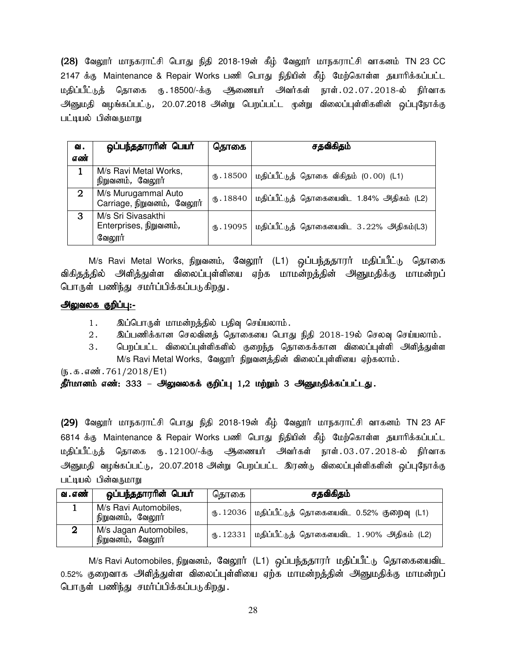(28) வேலூர் மாநகராட்சி பொது நிதி 2018-19ன் கீழ் வேலூர் மாநகராட்சி வாகனம் TN 23 CC 2147 க்கு Maintenance & Repair Works பணி பொது நிதியின் கீழ் மேற்கொள்ள தயாரிக்கப்பட்ட மதிப்பீட்டுத் தொகை ரு.18500/-க்கு ஆணையர் அவர்கள் நாள்.02.07.2018-ல் நிர்வாக அனுமதி வழங்கப்பட்டு, 20.07.2018 அன்று பெறப்பட்ட முன்று விலைப்புள்ளிகளின் ஒப்புநோக்கு பட்டியல் பின்வருமாறு

| ഖ.          | ஒப்பந்ததாரரின் பெயர்                                   | தொகை                        | சதவிகிதம்                                 |
|-------------|--------------------------------------------------------|-----------------------------|-------------------------------------------|
| எண்         |                                                        |                             |                                           |
|             | M/s Ravi Metal Works,<br>நிறுவனம், வேலூர்              | $\langle 6, .18500 \rangle$ | மதிப்பீட்டுத் தொகை விகிதம் (0.00) (L1)    |
| $\mathbf 2$ | M/s Murugammal Auto<br>Carriage, நிறுவனம், வேலூர்      | $\times 18840$              | மதிப்பீட்டுத் தொகையைவிட 1.84% அதிகம் (L2) |
| З           | M/s Sri Sivasakthi<br>Enterprises, நிறுவனம்,<br>வேலூர் | ՊԽ.19095                    | மதிப்பீட்டுத் தொகையைவிட 3.22% அதிகம்(L3)  |

M/s Ravi Metal Works, நிறுவனம், வேலூர் (L1) ஒப்பந்ததாரர் மதிப்பீட்டு தொகை விகிதத்தில் அளித்துள்ள விலைப்புள்ளியை ஏற்க மாமன்றத்தின் அனுமதிக்கு மாமன்றப் பொருள் பணிந்து சமர்ப்பிக்கப்படுகிறது.

## அலுவலக குறிப்பு:-

- 1. இப்பொருள் மாமன்றத்தில் பதிவு செய்யலாம்.
- 2. இப்பணிக்கான செலவினத் தொகையை பொது நிதி 2018-19ல் செலவு செய்யலாம்.
- 3. பெறப்பட்ட விலைப்புள்ளிகளில் குறைந்த தொகைக்கான விலைப்புள்ளி அளித்துள்ள M/s Ravi Metal Works, வேலூர் நிறுவனத்தின் விலைப்புள்ளியை ஏற்கலாம்.

 $(\mathbf{b}.\mathbf{a}.\mathbf{a} \cdot \mathbf{w}$ : 761/2018/E1)

## தீர்மானம் எண்: 333 – அலுவலகக் குறிப்பு 1,2 மற்றும் 3 அனுமதிக்கப்பட்டது.

(29) வேலூர் மாநகராட்சி பொது நிதி 2018-19ன் கீழ் வேலூர் மாநகராட்சி வாகனம் TN 23 AF 6814 க்கு Maintenance & Repair Works பணி பொது நிதியின் கீழ் மேற்கொள்ள தயாரிக்கப்பட்ட மதிப்பீட்டுத் தொகை ரூ. 12100/-க்கு ஆணையர் அவர்கள் நாள். 03.07.2018-ல் நிர்வாக அனுமதி வழங்கப்பட்டு, 20.07.2018 அன்று பெறப்பட்ட இரண்டு விலைப்புள்ளிகளின் ஒப்புநோக்கு பட்டியல் பின்வருமாறு

| வ . எண் | ஒப்பந்ததாரரின் பெயர்                       | தொகை | சதவிகிதம்                                                                        |
|---------|--------------------------------------------|------|----------------------------------------------------------------------------------|
|         | M/s Ravi Automobiles,<br>நிறுவனம், வேலூர்  |      | $\text{\textregistered} \cdot 12036$   மதிப்பீட்டுத் தொகையைவிட 0.52% குறைவு (L1) |
|         | M/s Jagan Automobiles,<br>நிறுவனம், வேலூர் |      | $\bigoplus$ . 12331   மதிப்பீட்டுத் தொகையைவிட 1.90% அதிகம் (L2)                  |

M/s Ravi Automobiles, நிறுவனம், வேலூர் (L1) ஒப்பந்ததாரர் மதிப்பீட்டு தொகையைவிட 0.52% குறைவாக அளித்துள்ள விலைப்புள்ளியை ஏற்க மாமன்றத்தின் அனுமதிக்கு மாமன்றப் பொருள் பணிந்து சமர்ப்பிக்கப்படுகிறது.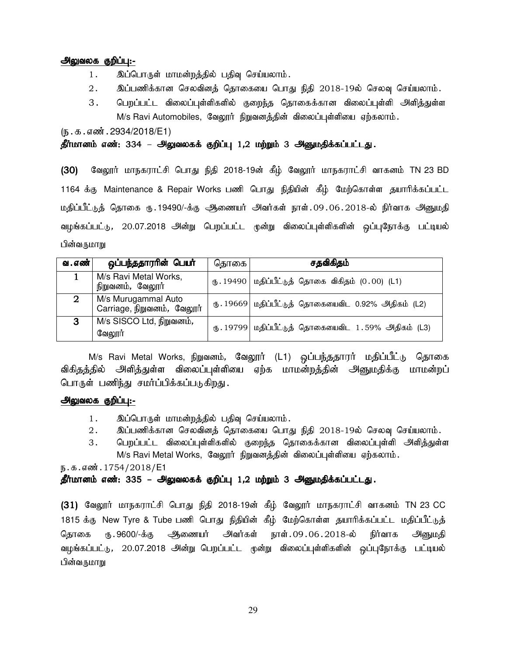## அலுவலக குறிப்பு:-

- 1. இப்பொருள் மாமன்றத்தில் பதிவு செய்யலாம்.
- $2.$  இப்பணிக்கான செலவினத் தொகையை பொது நிதி  $2018$ -19ல் செலவு செய்யலாம்.
- 3. பெறப்பட்ட விலைப்புள்ளிகளில் குறைந்த தொகைக்கான விலைப்புள்ளி அளித்துள்ள  $M/s$  Ravi Automobiles, வேலூர் நிறுவனத்தின் விலைப்புள்ளியை ஏற்கலாம்.

 $(n.5.5.5)$   $(n.32934/2018/E1)$ 

#### தீர்மானம் எண்: 334 – அலுவலகக் குறிப்பு 1,2 மற்றும் 3 அனுமதிக்கப்பட்டது.

(30) மேலூர் மாநகராட்சி பொது நிதி 2018-19ன் கீழ் வேலூர் மாநகராட்சி வாகனம் TN 23 BD 1164 க்கு Maintenance & Repair Works பணி பொது நிதியின் கீழ் மேற்கொள்ள தயாரிக்கப்பட்ட மதிப்பீட்டுத் தொகை ரு.19490/-க்கு ஆணையர் அவர்கள் நாள்.09.06.2018-ல் நிர்வாக அனுமதி வழங்கப்பட்டு, 20.07.2018 அன்று பெறப்பட்ட முன்று விலைப்புள்ளிகளின் ஒப்புநோக்கு பட்டியல் பின்வருமாறு

| வ . எண் | ஒப்பந்ததாரரின் பெயர்                              | தொகை | சதவிகிதம்                                            |
|---------|---------------------------------------------------|------|------------------------------------------------------|
|         | M/s Ravi Metal Works,<br>நிறுவனம், வேலூா்         |      | ரு. 19490   மதிப்பீட்டுத் தொகை விகிதம் $(0.00)$ (L1) |
| 2       | M/s Murugammal Auto<br>Carriage, நிறுவனம், வேலூர் |      | ரு. 19669 மதிப்பீட்டுத் தொகையைவிட 0.92% அதிகம் (L2)  |
| 3       | M/s SISCO Ltd, நிறுவனம்,<br>வேலூர்                |      | ரு. 19799 மதிப்பீட்டுத் தொகையைவிட 1.59% அதிகம் (L3)  |

M/s Ravi Metal Works, நிறுவனம், வேலூர் (L1) ஒப்பந்ததாரர் மதிப்பீட்டு தொகை விகிதத்தில் அளித்துள்ள விலைப்புள்ளியை ஏற்க மாமன்றத்தின் அனுமதிக்கு மாமன்றப் பொருள் பணிந்து சமர்ப்பிக்கப்படுகிறது.

## அலுவலக குறிப்பு:-

- 1. இப்பொருள் மாமன்றத்தில் பதிவு செய்யலாம்.
- 2. இப்பணிக்கான செலவினத் தொகையை பொது நிதி 2018-19ல் செலவு செய்யலாம்.
- 3. பெறப்பட்ட விலைப்புள்ளிகளில் குறைந்த தொகைக்கான விலைப்புள்ளி அளித்துள்ள M/s Ravi Metal Works, வேலூர் நிறுவனத்தின் விலைப்புள்ளியை ஏற்கலாம்.

ந.க.எண்.1754/2018/E1

#### தீர்மானம் எண்: 335 – அலுவலகக் குறிப்பு 1,2 மற்றும் 3 அனுமதிக்கப்பட்டது.

(31) வேலூர் மாநகராட்சி பொது நிதி 2018-19ன் கீழ் வேலூர் மாநகராட்சி வாகனம் TN 23 CC 1815 க்கு New Tyre & Tube பணி பொது நிதியின் கீழ் மேற்கொள்ள தயாரிக்கப்பட்ட மதிப்பீட்டுத் தொகை ரூ.9600/-க்கு ஆிணையர் அவர்கள் நாள். 09 . 06 . 2018-ல் நிர்வாக அனுமதி வழங்கப்பட்டு, 20.07.2018 அன்று பெறப்பட்ட முன்று விலைப்புள்ளிகளின் ஒப்புநோக்கு பட்டியல் பின்வருமாறு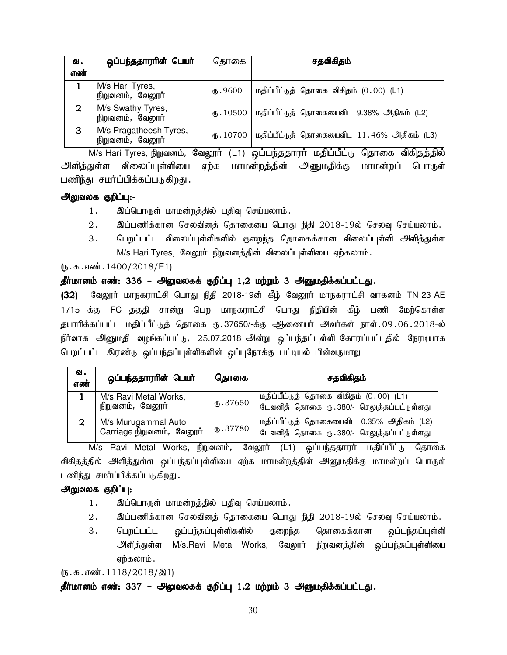| வ.          | ஒப்பந்ததாரரின் பெயர்                       | தொகை      | சதவிகிதம்                                  |
|-------------|--------------------------------------------|-----------|--------------------------------------------|
| எண்         |                                            |           |                                            |
|             | M/s Hari Tyres,<br>நிறுவனம், வேலூர்        | (հ.9600   | மதிப்பீட்டுத் தொகை விகிதம் (0.00) (L1)     |
| $\mathbf 2$ | M/s Swathy Tyres,<br>நிறுவனம், வேலூர்      | (B.10500) | மதிப்பீட்டுத் தொகையைவிட 9.38% அதிகம் (L2)  |
| 3           | M/s Pragatheesh Tyres,<br>நிறுவனம், வேலூர் | (B.10700) | மதிப்பீட்டுத் தொகையைவிட 11.46% அதிகம் (L3) |

M/s Hari Tyres, நிறுவனம், வேலூர் (L1) ஒப்பந்ததாரர் மதிப்பீட்டு தொகை விகிதத்தில் அளித்துள்ள விலைப்புள்ளியை ஏற்க மாமன்றத்தின் அனுமதிக்கு மாமன்றப் பொருள் பணிந்து சமர்ப்பிக்கப்படுகிறது.

## அலுவலக குறிப்பு:-

- 1. இப்பொருள் மாமன்றத்தில் பதிவு செய்யலாம்.
- $2.$  இப்பணிக்கான செலவினத் தொகையை பொது நிதி  $2018$ -19ல் செலவு செய்யலாம்.
- 3. பெறப்பட்ட விலைப்புள்ளிகளில் குறைந்த தொகைக்கான விலைப்புள்ளி அளித்துள்ள M/s Hari Tyres, வேலூர் நிறுவனத்தின் விலைப்புள்ளியை ஏற்கலாம்.

## $(\mathbf{b}.\mathbf{t}.\mathbf{b}.\mathbf{d}.\mathbf{w}$ : 1400/2018/E1)

## தீர்மானம் எண்: 336 – அலுவலகக் குறிப்பு 1,2 மற்றும் 3 அனுமதிக்கப்பட்டது.

(32) வேலூர் மாநகராட்சி பொது நிதி 2018-19ன் கீழ் வேலூர் மாநகராட்சி வாகனம் TN 23 AE 1715 க்கு FC தகுதி சான்று பெற மாநகராட்சி பொது நிதியின் கீழ் பணி மேற்கொள்ள தயாரிக்கப்பட்ட மதிப்பீட்டுத் தொகை ரு.37650/-க்கு ஆணையர் அவர்கள் நாள்.09.06.2018-ல் நிர்வாக அனுமதி வழங்கப்பட்டு, 25.07.2018 அன்று ஒப்பந்தப்புள்ளி கோரப்பட்டதில் நேரடியாக பெறப்பட்ட இரண்டு ஒப்பந்தப்புள்ளிகளின் ஒப்புநோக்கு பட்டியல் பின்வருமாறு

| வ.<br>எண் | ஒப்பந்ததாரரின் பெயர்                             | தொகை           | சதவிகிதம்                                                                               |  |
|-----------|--------------------------------------------------|----------------|-----------------------------------------------------------------------------------------|--|
|           | M/s Ravi Metal Works,<br>நிறுவனம், வேலூர்        | $\times$ 37650 | மதிப்பீட்டுத் தொகை விகிதம் (0.00) (L1)<br>டேவனித் தொகை ரு.380/- செலுத்தப்பட்டுள்ளது     |  |
|           | M/s Murugammal Auto<br>Carriage நிறுவனம், வேலூர் | (b.37780)      | மதிப்பீட்டுத் தொகையைவிட 0.35% அதிகம் (L2)<br>டேவனித் தொகை ரு. 380/- செலுத்தப்பட்டுள்ளது |  |

M/s Ravi Metal Works, நிறுவனம், வேலூர் (L1) ஒப்பந்ததாரர் மதிப்பீட்டு தொகை விகிதத்தில் அளித்துள்ள ஒப்பந்தப்புள்ளியை ஏற்க மாமன்றத்தின் அனுமதிக்கு மாமன்றப் பொருள் பணிந்து சமா்ப்பிக்கப்படுகிறது.

## அலுவலக குறிப்பு:-

- 1. இப்பொருள் மாமன்றத்தில் பதிவு செய்யலாம்.
- $2.$  இப்பணிக்கான செலவினத் தொகையை பொது நிதி  $2018$ -19ல் செலவு செய்யலாம்.
- 3. பெறப்பட்ட ஒப்பந்தப்புள்ளிகளில் குறைந்த தொகைக்கான ஒப்பந்தப்புள்ளி அளித்துள்ள M/s.Ravi Metal Works, வேலூர் நிறுவனத்தின் ஒப்பந்தப்புள்ளியை ஏற்கலாம்.

 $(\mathbf{5}.\mathbf{5}.\mathbf{4}.\mathbf{5}.\mathbf{6}$ . 1118/2018/ $\mathbf{1})$ 

## தீர்மானம் எண்: 337 – அலுவலகக் குறிப்பு 1,2 மற்றும் 3 அனுமதிக்கப்பட்டது.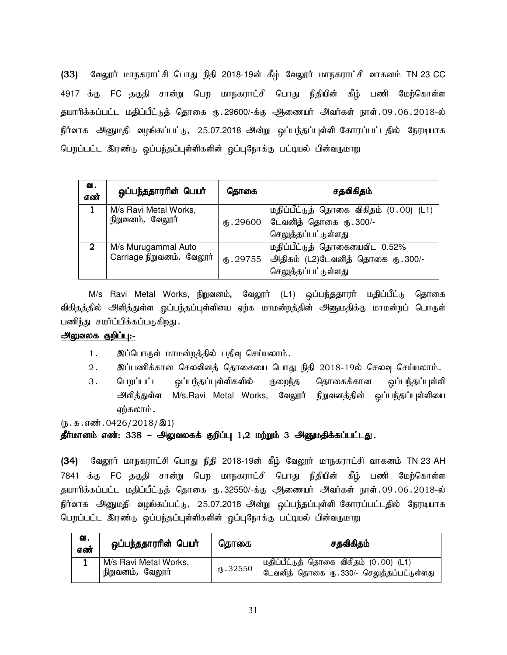(33) மேலூர் மாநகராட்சி பொது நிதி 2018-19ன் கீழ் வேலூர் மாநகராட்சி வாகனம் TN 23 CC 4917 க்கு FC தகுதி சான்று பெற மாநகராட்சி பொது நிதியின் கீழ் பணி மேற்கொள்ள தயாரிக்கப்பட்ட மதிப்பீட்டுத் தொகை ரு.29600/-க்கு ஆணையர் அவர்கள் நாள்.09.06.2018-ல் நிர்வாக அனுமதி வழங்கப்பட்டு, 25.07.2018 அன்று ஒப்பந்தப்புள்ளி கோரப்பட்டதில் நேரடியாக பெறப்பட்ட இரண்டு ஒப்பந்தப்புள்ளிகளின் ஒப்புநோக்கு பட்டியல் பின்வருமாறு

| வ.<br>எண் | ஒப்பந்ததாரரின் பெயர்                             | தொகை       | சதவிகிதம்                                                                                 |
|-----------|--------------------------------------------------|------------|-------------------------------------------------------------------------------------------|
|           | M/s Ravi Metal Works,<br>நிறுவனம், வேலூர்        | (B.29600)  | மதிப்பீட்டுத் தொகை விகிதம் (0.00) (L1)<br>டேவனித் தொகை ரு. 300/-                          |
|           |                                                  |            | செலுத்தப்பட்டுள்ளது                                                                       |
| 2         | M/s Murugammal Auto<br>Carriage நிறுவனம், வேலூர் | (16.29755) | மதிப்பீட்டுத் தொகையைவிட 0.52%<br>அதிகம் (L2)டேவனித் தொகை ரு. 300/-<br>செலுத்தப்பட்டுள்ளது |

M/s Ravi Metal Works, நிறுவனம், வேலூா் (L1) ஒப்பந்ததாரா் மதிப்பீட்டு தொகை விகிதத்தில் அளித்துள்ள ஒப்பந்தப்புள்ளியை ஏற்க மாமன்றத்தின் அனுமதிக்கு மாமன்றப் பொருள் பணிந்து சமர்ப்பிக்கப்படுகிறது.

## அலுவலக குறிப்பு:-

- 1. இப்பொருள் மாமன்றத்தில் பதிவு செய்யலாம்.
- 2. இப்பணிக்கான செலவினத் தொகையை பொது நிதி 2018-19ல் செலவு செய்யலாம்.
- 3. பெறப்பட்ட ஒப்பந்தப்புள்ளிகளில் குறைந்த தொகைக்கான ஒப்பந்தப்புள்ளி அளித்துள்ள M/s.Ravi Metal Works, வேலூர் நிறுவனத்தின் ஒப்பந்தப்புள்ளியை ஏற்கலாம்.

 $(\mathbf{b}.\mathbf{t}.\mathbf{d}.\mathbf{d}.\mathbf{w}$ : 0426/2018/ $\mathbf{0}$ 1)

## தீர்மானம் எண்: 338 – அலுவலகக் குறிப்பு 1,2 மற்றும் 3 அனுமதிக்கப்பட்டது.

(34) மேலூர் மாநகராட்சி பொது நிதி 2018-19ன் கீழ் வேலூர் மாநகராட்சி வாகனம் TN 23 AH 7841 க்கு FC தகுதி சான்று பெற மாநகராட்சி பொது நிதியின் கீழ் பணி மேற்கொள்ள தயாரிக்கப்பட்ட மதிப்பீட்டுத் தொகை ரு.32550/-க்கு ஆணையர் அவர்கள் நாள்.09.06.2018-ல் நிர்வாக அனுமதி வழங்கப்பட்டு, 25.07.2018 அன்று ஒப்பந்தப்புள்ளி கோரப்பட்டதில் நேரடியாக பெறப்பட்ட இரண்டு ஒப்பந்தப்புள்ளிகளின் ஒப்புநோக்கு பட்டியல் பின்வருமாறு

| ഖ.<br>எண் | ஒப்பந்ததாராின் பெயா்                      | தொகை      | சதவிகிதம்                                                                              |
|-----------|-------------------------------------------|-----------|----------------------------------------------------------------------------------------|
|           | M/s Ravi Metal Works,<br>நிறுவனம், வேலூர் | (D.32550) | , மதிப்பீட்டுத் தொகை விகிதம் (0.00) (L1)<br>டேவனித் தொகை ரு. 330/- செலுத்தப்பட்டுள்ளது |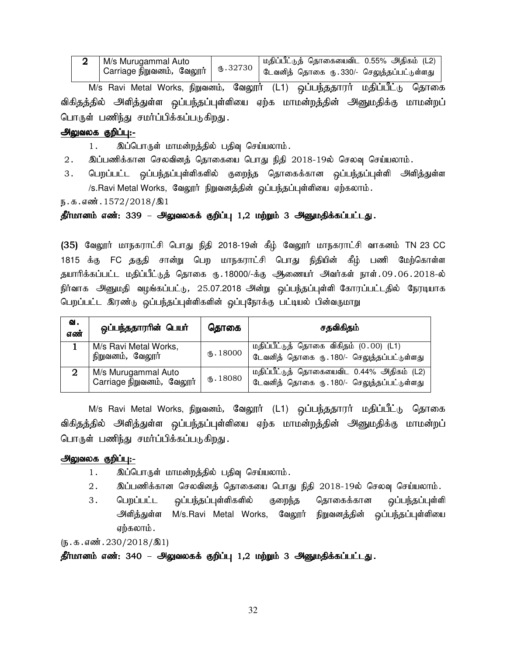| M/s Murugammal Auto | மதிப்பீட்டுத் தொகையைவிட 0.55% அதிகம் (L2) |
|---------------------|-------------------------------------------|
|                     |                                           |

M/s Ravi Metal Works, நிறுவனம், வேலூர் (L1) ஒப்பந்ததாரர் மதிப்பீட்டு தொகை விகிதத்தில் அளித்துள்ள ஒப்பந்தப்புள்ளியை ஏற்க மாமன்றத்தின் அனுமதிக்கு மாமன்றப் பொருள் பணிந்து சமர்ப்பிக்கப்படுகிறது.

## அலுவலக குறிப்பு:-

- 1. இப்பொருள் மாமன்றத்தில் பதிவு செய்யலாம்.
- 2. இப்பணிக்கான செலவினத் தொகையை பொது நிதி 2018-19ல் செலவு செய்யலாம்.
- 3. பெறப்பட்ட ஒப்பந்தப்புள்ளிகளில் குறைந்த தொகைக்கான ஒப்பந்தப்புள்ளி அளித்துள்ள /s.Ravi Metal Works, வேலூர் நிறுவனத்தின் ஒப்பந்தப்புள்ளியை ஏற்கலாம்.

ந.க.எண். $1572/2018/\text{\AA}1$ 

## தீர்மானம் எண்: 339 – அலுவலகக் குறிப்பு 1,2 மற்றும் 3 அனுமதிக்கப்பட்டது.

(35) வேலூர் மாநகராட்சி பொது நிதி 2018-19ன் கீழ் வேலூர் மாநகராட்சி வாகனம் TN 23 CC 1815 க்கு FC தகுதி சான்று பெற மாநகராட்சி பொது நிதியின் கீழ் பணி மேற்கொள்ள தயாரிக்கப்பட்ட மதிப்பீட்டுத் தொகை ரு.18000/-க்கு ஆணையர் அவர்கள் நாள்.09.06.2018-ல் நிர்வாக அனுமதி வழங்கப்பட்டு, 25.07.2018 அன்று ஒப்பந்தப்புள்ளி கோரப்பட்டதில் நேரடியாக பெறப்பட்ட இரண்டு ஒப்பந்தப்புள்ளிகளின் ஒப்புநோக்கு பட்டியல் பின்வருமாறு

| ഖ.<br>எண் | ஒப்பந்ததாரரின் பெயர்                             | தொகை            | சதவிகிதம்                                                                               |
|-----------|--------------------------------------------------|-----------------|-----------------------------------------------------------------------------------------|
|           | M/s Ravi Metal Works,<br>நிறுவனம், வேலூர்        | $\times$ .18000 | மதிப்பீட்டுத் தொகை விகிதம் (0.00) (L1)<br>டேவனித் தொகை ரு. 180/- செலுத்தப்பட்டுள்ளது    |
| 2         | M/s Murugammal Auto<br>Carriage நிறுவனம், வேலூர் | $\times$ 18080  | மதிப்பீட்டுத் தொகையைவிட 0.44% அதிகம் (L2)<br>டேவனித் தொகை ரு. 180/- செலுத்தப்பட்டுள்ளது |

M/s Ravi Metal Works, நிறுவனம், வேலூர் (L1) ஒப்பந்ததாரர் மதிப்பீட்டு தொகை விகிதத்தில் அளித்துள்ள ஒப்பந்தப்புள்ளியை ஏற்க மாமன்றத்தின் அனுமதிக்கு மாமன்றப் பொருள் பணிந்து சமர்ப்பிக்கப்படுகிறது.

## அலுவலக குறிப்பு:-

- 1. இப்பொருள் மாமன்றத்தில் பதிவு செய்யலாம்.
- $2.$  இப்பணிக்கான செலவினத் தொகையை பொது நிதி  $2018$ -19ல் செலவு செய்யலாம்.
- 3. பெறப்பட்ட ஒப்பந்தப்புள்ளிகளில் குறைந்த தொகைக்கான ஒப்பந்தப்புள்ளி அளித்துள்ள M/s.Ravi Metal Works, வேலூர் நிறுவனத்தின் ஒப்பந்தப்புள்ளியை ஏற்கலாம்.

 $(\mathbf{b}.\mathbf{b}.\mathbf{a}.\mathbf{a} \cdot \mathbf{w}$ . 230/2018/ $\mathbf{0}$ 1)

தீர்மானம் எண்: 340 – அலுவலகக் குறிப்பு 1,2 மற்றும் 3 அனுமதிக்கப்பட்டது.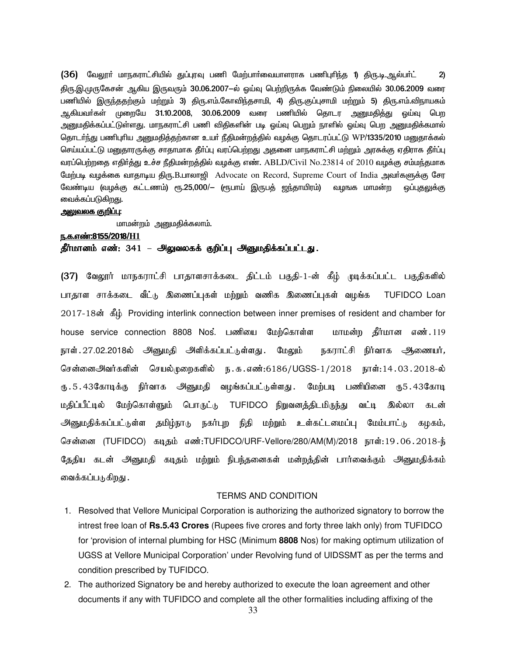$(36)$  வேலூா் மாநகராட்சியில் துப்புரவு பணி மேற்பாா்வையாளராக பணிபுரிந்த 1) திரு.டி.ஆல்பா்ட் 2) <u>திரு.இ</u>.முருகேசன் ஆகிய இருவரும் 30.06.2007—ல் ஒய்வு பெற்றிருக்க வேண்டும் நிலையில் 30.06.2009 வரை பணியில் இருந்ததற்கும் மற்றும் 3) திரு.எம்.கோவிந்தசாமி, 4) திரு.குப்புசாமி மற்றும் 5) திரு.எம்.விநாயகம் ஆகியவா்கள் முறையே 31.10.2008, 30.06.2009 வரை பணியில் தொடர அனுமதித்து ஓய்வு பெற அனுமதிக்கப்பட்டுள்ளது. மாநகராட்சி பணி விதிகளின் படி ஒய்வு பெறும் நாளில் ஒய்வு பெற அனுமதிக்கமால் தொடர்ந்து பணிபுரிய அனுமதித்தற்கான உயர் நீதிமன்றத்தில் வழக்கு தொடரப்பட்டு WP/1335/2010 மனுதாக்கல் செய்யப்பட்டு மனுதாரருக்கு சாதாமாக தீா்ப்பு வரப்பெற்றது அதனை மாநகராட்சி மற்றும் அரசுக்கு ஏதிராக தீா்ப்பு வரப்பெற்றதை எதிர்த்து உச்ச நீதிமன்றத்தில் வழக்கு எண். ABLD/Civil No.23814 of 2010 வழக்கு சம்மந்தமாக மேற்படி வழக்கை வாதாடிய திரு.B.பாலாஜி Advocate on Record, Supreme Court of India அவா்களுக்கு சேர வேண்டிய (வழக்கு கட்டணம்) ரூ.25,000/— (ரூபாய் இருபத் ஜந்தாயிரம்) வழஙக மாமன்ற ஒப்புதலுக்கு வைக்கப்படுகிறது.

#### <u>அலுவலக குறிப்பு:</u>

மாமன்றம் அனுமதிக்கலாம்.

#### e.f.v©:8155/2018/**H1**

தீர்மானம் எண்: 341 – அலுவலகக் குறிப்பு அனுமதிக்கப்பட்டது.

(37) வேலூர் மாநகராட்சி பாதாளசாக்கடை திட்டம் பகுதி-1-ன் கீழ் முடிக்கப்பட்ட பகுதிகளில் பாதாள சாக்கடை வீட்டு இணைப்புகள் மற்றும் வணிக இணைப்புகள் வழங்க TUFIDCO Loan 2017-18ன் கீழ் Providing interlink connection between inner premises of resident and chamber for house service connection 8808 Nos. பணியை மேற்கொள்ள மாமன்ற தீர்மான எண். 119 நாள். 27.02.2018ல் அனுமதி அளிக்கப்பட்டுள்ளது. மேலும் நகராட்சி நிர்வாக ஆணையர், சென்னைஅிவர்களின் செயல்முறைகளில் ந.க.எண்:6186/UGSS-1/2018 நாள்:14.03.2018-ல் ரு.5.43கோடிக்கு நிர்வாக அனுமதி வழங்கப்பட்டுள்ளது. மேற்படி பணியினை ரு5.43கோடி மதிப்பீட்டில் மேற்கொள்ளும் பொருட்டு TUFIDCO நிறுவனத்திடமிருந்து வட்டி இல்லா கடன் அனுமதிக்கப்பட்டுள்ள தமிழ்நாடு நகர்புற நிதி மற்றும் உள்கட்டமைப்பு மேம்பாட்டு கழகம், சென்னை (TUFIDCO) கடிதம் எண்:TUFIDCO/URF-Vellore/280/AM(M)/2018 நாள்:19.06.2018-ந் தேதிய கடன் அனுமதி கடிதம் மற்றும் நிபந்தனைகள் மன்றத்தின் பார்வைக்கும் அனுமதிக்கம் வைக்கப்படுகிறது .

#### TERMS AND CONDITION

- 1. Resolved that Vellore Municipal Corporation is authorizing the authorized signatory to borrow the intrest free loan of **Rs.5.43 Crores** (Rupees five crores and forty three lakh only) from TUFIDCO for 'provision of internal plumbing for HSC (Minimum **8808** Nos) for making optimum utilization of UGSS at Vellore Municipal Corporation' under Revolving fund of UIDSSMT as per the terms and condition prescribed by TUFIDCO.
- 2. The authorized Signatory be and hereby authorized to execute the loan agreement and other documents if any with TUFIDCO and complete all the other formalities including affixing of the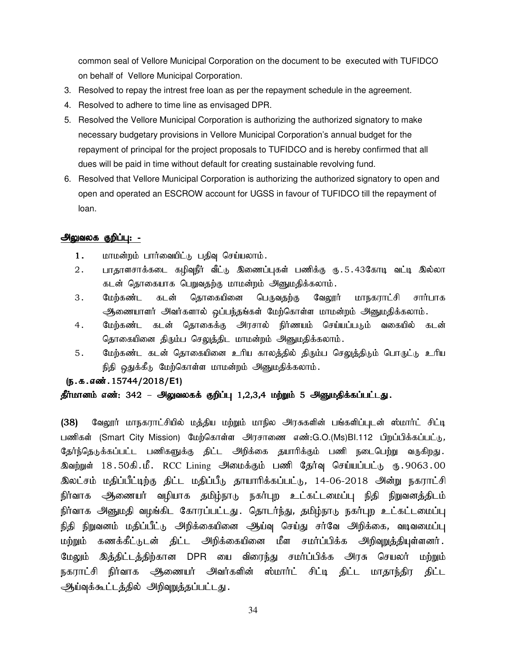common seal of Vellore Municipal Corporation on the document to be executed with TUFIDCO on behalf of Vellore Municipal Corporation.

- 3. Resolved to repay the intrest free loan as per the repayment schedule in the agreement.
- 4. Resolved to adhere to time line as envisaged DPR.
- 5. Resolved the Vellore Municipal Corporation is authorizing the authorized signatory to make necessary budgetary provisions in Vellore Municipal Corporation's annual budget for the repayment of principal for the project proposals to TUFIDCO and is hereby confirmed that all dues will be paid in time without default for creating sustainable revolving fund.
- 6. Resolved that Vellore Municipal Corporation is authorizing the authorized signatory to open and open and operated an ESCROW account for UGSS in favour of TUFIDCO till the repayment of loan.

#### அலுவலக குறிப்பு: -

- $1.$  மாமன்றம் பார்வையிட்டு பதிவு செய்யலாம்.
- 2. பாதாளசாக்கடை கழிவுநீர் வீட்டு இணைப்புகள் பணிக்கு ரு.5.43கோடி வட்டி இல்லா கடன் தொகையாக பெறுவதற்கு மாமன்றம் அனுமதிக்கலாம்.
- 3. மேற்கண்ட கடன் தொகையினை பெருவதற்கு வேலூர் மாநகராட்சி சார்பாக ஆணையாளர் அவர்களால் ஒப்பந்தங்கள் மேற்கொள்ள மாமன்றம் அனுமதிக்கலாம்.
- 4. பேற்கண்ட கடன் கொகைக்கு அரசால் நிர்ணயம் கெய்யப்படும் வகையில் கடன் தொகையினை திரும்ப செலுத்திட மாமன்றம் அனுமதிக்கலாம்.
- 5. மேற்கண்ட கடன் தொகையினை உரிய காலத்தில் திரும்ப செலுத்திடும் பொருட்டு உரிய நிதி ஒதுக்கீடு மேற்கொள்ள மாமன்றம் அனுமதிக்கலாம்.

#### (ந.க.எண்.15744/2018/E1)

## தீர்மானம் எண்: 342 – அலுவலகக் குறிப்பு 1,2,3,4 மற்றும் 5 அனுமதிக்கப்பட்டது.

(38) வேலூர் மாநகராட்சியில் மத்திய மற்றும் மாநில அரசுகளின் பங்களிப்புடன் ஸ்மார்ட் சிட்டி பணிகள் (Smart City Mission) மேற்கொள்ள அரசாணை எண்:G.O.(Ms)BI.112 பிறப்பிக்கப்பட்டு, தேர்ந்தெடுக்கப்பட்ட பணிகளுக்கு திட்ட அறிக்கை தயாரிக்கும் பணி நடைபெற்று வருகிறது. இவற்றுள் 18.50கி.மீ. RCC Lining அமைக்கும் பணி தேர்வு செய்யப்பட்டு ரு.9063.00 இலட்சம் மதிப்பீட்டிற்கு திட்ட மதிப்பீடு தாயாரிக்கப்பட்டு, 14-06-2018 அன்று நகராட்சி நிர்வாக ஆணையர் வழியாக தமிழ்நாடு நகர்புற உட்கட்டமைப்பு நிதி நிறுவனத்திடம் நிர்வாக அனுமதி வழங்கிட கோரப்பட்டது. தொடர்ந்து, தமிழ்நாடு நகர்புற உட்கட்டமைப்பு நிதி நிறுவனம் மதிப்பீட்டு அறிக்கையினை ஆய்வு செய்து சர்வே அறிக்கை, வடிவமைப்பு மற்றும் கணக்கீட்டுடன் திட்ட அறிக்கையினை மீள சமர்ப்பிக்க அறிவுறுத்தியுள்ளனர். மேலும் இத்திட்டத்திற்கான DPR யை விரைந்து சமர்ப்பிக்க அரசு செயலர் மற்றும் நகராட்சி நிர்வாக <del>அ</del>ணையர் அவர்களின் ஸ்மார்ட் சிட்டி திட்ட மாதாந்திர திட்ட ஆய்வுக்கூட்டத்தில் அறிவுறுத்தப்பட்டது.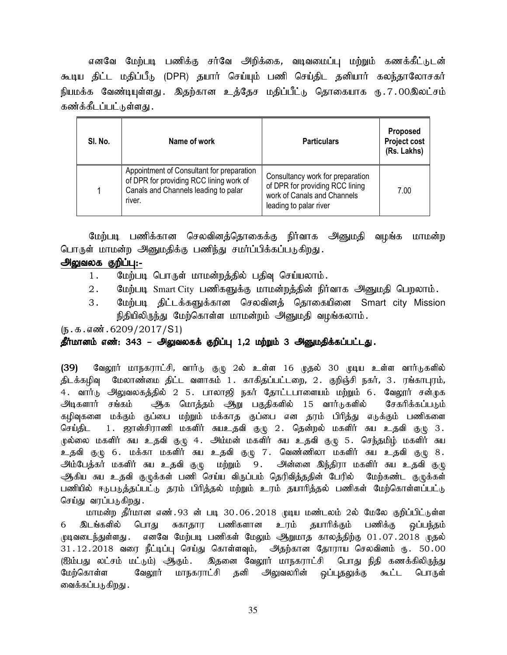எனவே மேற்படி பணிக்கு சர்வே அறிக்கை, வடிவமைப்பு மற்றும் கணக்கீட்டுடன் கூடிய திட்ட மதிப்பீடு (DPR) தயார் செய்யும் பணி செய்திட தனியார் கலந்தாலோசகர் நியமக்க வேண்டியுள்ளது . இதற்கான உத்தேச மதிப்பீட்டு தொகையாக ரு.7.00இலட்சம் கண்க்கீடப்பட்டுள்ளது .

| SI. No. | Name of work                                                                                                                           | <b>Particulars</b>                                                                                                           | <b>Proposed</b><br><b>Project cost</b><br>(Rs. Lakhs) |
|---------|----------------------------------------------------------------------------------------------------------------------------------------|------------------------------------------------------------------------------------------------------------------------------|-------------------------------------------------------|
|         | Appointment of Consultant for preparation<br>of DPR for providing RCC lining work of<br>Canals and Channels leading to palar<br>river. | Consultancy work for preparation<br>of DPR for providing RCC lining<br>work of Canals and Channels<br>leading to palar river | 7.00                                                  |

மேற்படி பணிக்கான செலவினத்தொகைக்கு நிர்வாக அனுமதி வழங்க மாமன்ற பொருள் மாமன்ற அனுமதிக்கு பணிந்து சமர்ப்பிக்கப்படுகிறது.

## அலுவலக குறிப்பு:-

- 1. மேற்படி பொருள் மாமன்றத்தில் பதிவு செய்யலாம்.
- $2.$  மேற்படி Smart City பணிகளுக்கு மாமன்றத்தின் நிர்வாக அனுமதி பெறலாம்.
- 3. மேற்படி திட்டக்களுக்கான செலவினத் தொகையினை Smart city Mission நிதியிலிருந்து மேற்கொள்ள மாமன்றம் அனுமதி வழங்கலாம்.

 $(\mathfrak{h}.\mathfrak{g}.\mathfrak{g}.$ ளன். 6209/2017/S1)

## தீர்மானம் எண்: 343 – <del>அ</del>லுவலகக் குறிப்பு 1,2 மற்றும் 3 <del>அ</del>னுமதிக்கப்பட்டது.

(39) வேலூர் மாநகராட்சி, வார்டு குழு 2ல் உள்ள 16 முதல் 30 முடிய உள்ள வார்டுகளில் திடக்கழிவு மேலாண்மை திட்ட வளாகம் 1. காகிதப்பட்டறை, 2. குறிஞ்சி நகர், 3. ரங்காபுரம், 4. வார்டு அலுவலகத்தில் 2 5. பாலாஜி நகர் தோட்டபாளையம் மற்றும் 6. வேலூர் சன்முக அடிகளார் சங்கம் ஆக மொத்தம் ஆறு பகுதிகளில் 15 வார்டுகளில் சேகரிக்கப்படும் கழிவுகளை மக்கும் குப்பை மற்றும் மக்காத குப்பை என தரம் பிரித்து எடுக்கும் பணிகளை செய்திட 1. ஜான்சிராணி மகளிர் சுயஉதவி குழு 2. தென்றல் மகளிர் சுய உதவி குழு 3. முல்லை மகளிர் சுய உதவி குழு 4. அம்மன் மகளிர் சுய உதவி குழு 5. செந்தமிழ் மகளிர் சுய உதவி குழு 6. மக்கா மகளிர் சுய உதவி குழு 7. வெண்ணிலா மகளிர் சுய உதவி குழு 8. அம்பேத்கர் மகளிர் சுய உதவி குழு மற்றும் 9. அன்னை இந்திரா மகளிர் சுய உதவி குழு ஆகிய சுய உதவி குழுக்கள் பணி செய்ய விருப்பம் தெரிவித்ததின் பேரில் மேற்கண்ட குழுக்கள் பணியில் ஈடுபடுத்தப்பட்டு தரம் பிரித்தல் மற்றும் உரம் தயாரித்தல் பணிகள் மேற்கொள்ளப்பட்டு செய்து வரப்படுகிறது.

மாமன்ற தீர்மான எண்.93 ன் படி 30.06.2018 முடிய மண்டலம் 2ல் மேலே குறிப்பிட்டுள்ள 6 இடங்களில் பொது சுகாதார பணிகளான உரம் தயாரிக்கும் பணிக்கு ஒப்பந்தம் முடிவடைந்துள்ளது . எனவே மேற்படி பணிகள் மேலும் ஆறுமாத காலத்திற்கு 01 .07 .2018 முதல் 31.12.2018 வரை நீட்டிப்பு செய்து கொள்ளவும், அதற்கான தோராய செலவினம் ரு. 50.00 (ஐம்பது லட்சம் மட்டும்) ஆகும். இதனை வேலூர் மாநகராட்சி பொது நிதி கணக்கிலிருந்து மேற்கொள்ள வேலூர் மாநகராட்சி தனி அலுவலரின் ஒப்புதலுக்கு கூட்ட பொருள் வைக்கப்படுகிறது .

35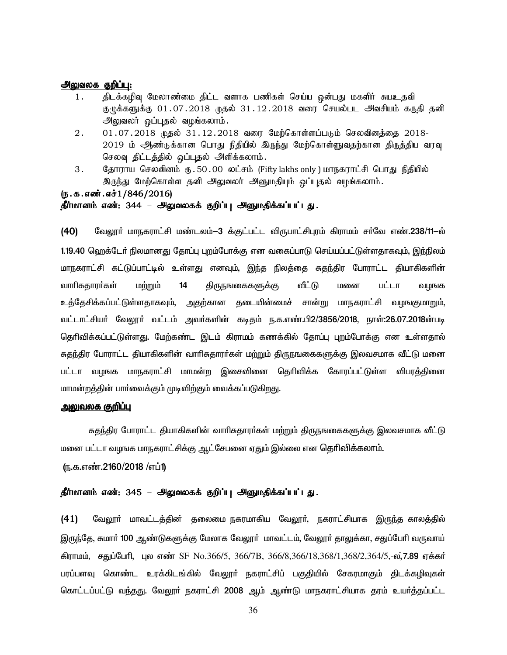#### அலுவலக குறிப்பு:

- 1. நிடக்கழிவு மேலாண்மை திட்ட வளாக பணிகள் செய்ய ஒன்பது மகளிர் சுயஉதவி குழுக்களுக்கு 01.07.2018 முதல் 31.12.2018 வரை செயல்பட அவசியம் கருதி தனி அலுவலர் ஒப்புதல் வழங்கலாம்.
- $2. 01.07.2018$  முதல்  $31.12.2018$  வரை மேற்கொள்ளப்படும் செலவினத்தை  $2018-$ 2019 ம் ஆண்டுக்கான பொது நிதியில் இருந்து மேற்கொள்ளுவதற்கான திருத்திய வரவு செலவு திட்டத்தில் ஒப்புதல் அளிக்கலாம்.
- 3. தோராய செலவினம் ரூ. 50.00 லட்சம் (Fifty lakhs only ) மாநகராட்சி பொது நிதியில் இருந்து மேற்கொள்ள தனி அலுவலர் அனுமதியும் ஒப்புதல் வழங்கலாம்.

#### (ந.க.எண்.எச் $1/846/2016$ )

### தீர்மானம் எண்: 344 – அலுவலகக் குறிப்பு அனுமதிக்கப்பட்டது.

(40) மேலூர் மாநகராட்சி மண்டலம்-3 க்குட்பட்ட விருபாட்சிபுரம் கிராமம் சர்வே எண்.238/11-ல் 1.19.40 ஹெக்டேர் நிலமானது தோப்பு புறம்போக்கு என வகைப்பாடு செய்யப்பட்டுள்ளதாகவும், இந்நிலம் மாநகராட்சி கட்டுப்பாட்டில் உள்ளது எனவும், இந்த நிலத்தை சுதந்திர போராட்ட தியாகிகளின் வாரிசுதாரா்கள் மற்றும் 14 திருநஙகைகளுக்கு வீட்டு மனை பட்டா வழஙக உத்தேசிக்கப்பட்டுள்ளதாகவும், அதற்கான தடையின்மைச் சான்று மாநகராட்சி வழஙகுமாறும், வட்டாட்சியா் வேலூா் வட்டம் அவா்களின் கடிதம் ந.க.எண்.பி2/3856/2018, நாள்:26.07.2018ன்படி தெரிவிக்கப்பட்டுள்ளது. மேற்கண்ட இடம் கிராமம் கணக்கில் தோப்பு புறம்போக்கு என உள்ளதால் சுதந்திர போராட்ட தியாகிகளின் வாரிசுதாரா்கள் மற்றும் திருநஙகைகளுக்கு இலவசமாக வீட்டு மனை பட்டா வழஙக மாநகராட்சி மாமன்ற இசைவினை தெரிவிக்க கோரப்பட்டுள்ள விபரத்தினை மாமன்றத்தின் பார்வைக்கும் முடிவிற்கும் வைக்கப்படுகிறது.

#### <u>அலுவலக குறிப்பு</u>

சுதந்திர போராட்ட தியாகிகளின் வாரிசுதாரர்கள் மற்றும் திருநஙகைகளுக்கு இலவசமாக வீட்டு மனை பட்டா வழஙக மாநகராட்சிக்கு ஆட்சேபனை ஏதும் இல்லை என தெரிவிக்கலாம்.

(ந.க.எண்.2160/2018 /எப்1)

### தீர்மானம் எண்: 345 – அலுவலகக் குறிப்பு அனுமதிக்கப்பட்டது.

(41) மேலூா் மாவட்டத்தின் தலைமை நகரமாகிய வேலூா், நகராட்சியாக இருந்த காலத்தில் இருந்தே, சுமார் 100 ஆண்டுகளுக்கு மேலாக வேலூர் மாவட்டம், வேலூர் தாலுக்கா, சதுப்பேரி வருவாய் கிராமம், சகுப்பேரி, புல எண் SF No.366/5, 366/7B, 366/8,366/18,368/1,368/2,364/5,-ல,7.**89** எக்கர் பரப்பளவு கொண்ட உரக்கிடங்கில் வேலூா் நகராட்சிப் பகுதியில் சேகரமாகும் திடக்கழிவுகள் கொட்டப்பட்டு வந்தது. வேலூா் நகராட்சி 2008 ஆம் ஆண்டு மாநகராட்சியாக தரம் உயா்த்தப்பட்ட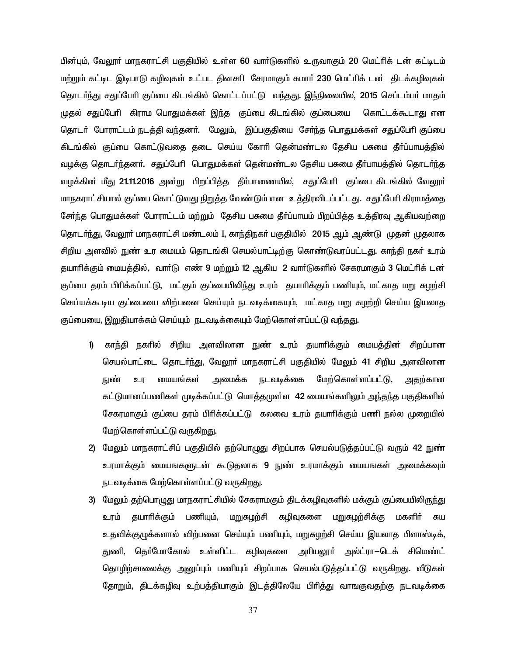பின்பும், வேலூா் மாநகராட்சி பகுதியில் உள்ள 60 வாா்டுகளில் உருவாகும் 20 மெட்ாிக் டன் கட்டிடம் மற்றும் கட்டிட இடிபாடு கழிவுகள் உட்பட தினசரி சேரமாகும் சுமார் 230 மெட்ரிக் டன் திடக்கழிவுகள் தொடா்ந்து சதுப்போி குப்பை கிடங்கில் கொட்டப்பட்டு வந்தது. இந்நிலையில, 2015 செப்டம்பா் மாதம் முதல் சதுப்பேரி கிராம பொதுமக்கள் இந்த குப்பை கிடங்கில் குப்பையை கொட்டக்கூடாது என தொடா் போராட்டம் நடத்தி வந்தனா். மேலும், இப்பகுதியை சோ்ந்த பொதுமக்கள் சதுப்போி குப்பை கிடங்கில் குப்பை கொட்டுவதை தடை செய்ய கோரி தென்மண்டல தேசிய பசுமை தீா்ப்பாயத்தில் வழக்கு தொடா்ந்தனா். சதுப்பேரி பொதுமக்கள் தென்மண்டல தேசிய பசுமை தீா்பாயத்தில் தொடா்ந்த வழக்கின் மீது 21.11.2016 அன்று பிறப்பித்த தீா்பாணையில, சதுப்போி குப்பை கிடங்கில் வேலூா் மாநகராட்சியால் குப்பை கொட்டுவது நிறுத்த வேண்டும் என உத்திரவிடப்பட்டது. சதுப்பேரி கிராமத்தை சேர்ந்த பொதுமக்கள் போராட்டம் மற்றும் கேசிய பசுமை தீர்ப்பாயம் பிறப்பித்த உக்திரவு ஆகியவற்றை தொடா்ந்து, வேலூா் மாநகராட்சி மண்டலம் I, காந்திநகா் பகுதியில் 2015 ஆம் ஆண்டு முதன் முதலாக சிறிய அளவில் நுண் உர மையம் தொடங்கி செயல்பாட்டிற்கு கொண்டுவாப்பட்டது. காந்தி நகர் உரம் தயாரிக்கும் மையத்தில், வாா்டு எண் 9 மற்றும் 12 ஆகிய 2 வாா்டுகளில் சேகரமாகும் 3 மெட்ரிக் டன் குப்பை தரம் பிரிக்கப்பட்டு, மட்கும் குப்பையிலிந்து உரம் தயாரிக்கும் பணியும், மட்காத மறு சுமூர்சி செய்யக்கூடிய குப்பையை விற்பனை செய்யும் நடவடிக்கையும், மட்காத மறு சுழற்றி செய்ய இயலாத குப்பையை, இறுகியாக்கம் செய்யும் நடவடிக்கையும் மேற்கொள்ளப்பட்டு வந்தது.

- 1) காந்தி நகரில் சிறிய அளவிலான நுண் உரம் தயாரிக்கும் மையத்தின் சிறப்பான செயல்பாட்டை தொடர்ந்து, வேலூர் மாநகராட்சி பகுதியில் மேலும் 41 சிறிய அளவிலான நுண் உர மையங்கள் அமைக்க நடவடிக்கை மேற்கொள்ளப்பட்டு, அதற்கான கட்டுமானப்பணிகள் முடிக்கப்பட்டு மொக்குமுள்ள 42 மையங்களிலும் அந்தந்த பகுதிகளில் சேகரமாகும் குப்பை தரம் பிரிக்கப்பட்டு கலவை உரம் தயாாிக்கும் பணி நல்ல முறையில் மேற்கொள்ளப்பட்டு வருக<u>ிறத</u>ு.
- 2) மேலும் மாநகராட்சிப் பகுதியில் தற்பொழுது சிறப்பாக செயல்படுத்தப்பட்டு வரும் 42 நுண் உரமாக்கும் மையஙகளுடன் கூடுதலாக 9 நுண் உரமாக்கும் மையஙகள் அமைக்கவும் நடவடிக்கை மேற்கொள்ளப்பட்டு வருகிறது.
- 3) மேலும் தற்பொழுது மாநகராட்சியில் சேகராமகும் திடக்கழிவுகளில் மக்கும் குப்பையிலிருந்து உரம் தயாரிக்கும் பணியும், மறுசுழற்சி கழிவுகளை மறுசுழற்சிக்கு மகளிா் சுய உதவிக்குமுக்களால் விற்பனை செய்யும் பணியும், மறுசுமற்சி செய்ய இயலாத பிளாஸ்டிக், துணி, தெர்மோகோல் உள்ளிட்ட கழிவுகளை அரியலூர் அல்ட்ரா—டெக் சிமெண்ட் தொழிற்சாலைக்கு அனுப்பும் பணியும் சிறப்பாக செயல்படுத்தப்பட்டு வருகிறது. வீடுகள் தோறும், திடக்கழிவு உற்பத்தியாகும் இடத்திலேயே பிரித்து வாஙகுவதற்கு நடவடிக்கை

37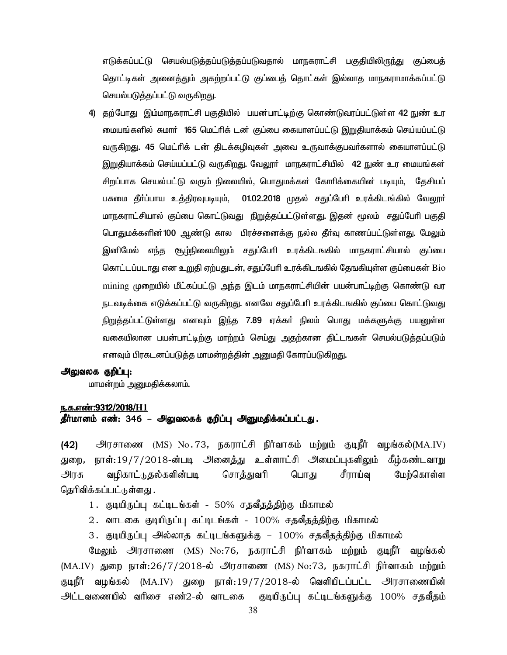எடுக்கப்பட்டு செயல்படுத்தப்படுத்தப்படுவதால் மாநகராட்சி பகுதியிலிருந்து குப்பைத் தொட்டிகள் அனைத்தும் அகற்றப்பட்டு குப்பைத் தொட்கள் இல்லாத மாநகராமாக்கப்பட்டு செயல்படுத்தப்பட்டு வருகிறது.

4) தற்போது இம்மாநகராட்சி பகுதியில் பயன்பாட்டிற்கு கொண்டுவரப்பட்டுள்ள 42 நுண் உர மையங்களில் சுமார் 165 மெட்ரிக் டன் குப்பை கையாளப்பட்டு இறுதியாக்கம் செய்யப்பட்டு வருகிறது. 45 மெட்ரிக் டன் திடக்கழிவுகள் அவை உருவாக்குபவர்களால் கையாளப்பட்டு <u>இறு</u>தியாக்கம் செய்யப்பட்டு வருகிறது. வேலூா் மாநகராட்சியில் 42 நுண் உர மையங்கள் சிறப்பாக செயல்பட்டு வரும் நிலையில், பொதுமக்கள் கோரிக்கையின் படியும், தேசியப் பசுமை தீா்ப்பாய உத்திரவுபடியும், 01.02.2018 முதல் சதுப்பேரி உரக்கிடங்கில் வேலூா் மாநகராட்சியால் குப்பை கொட்டுவது நிறுத்தப்பட்டுள்ளது. இதன் மூலம் சதுப்பேரி பகுதி பொதுமக்களின் 100 ஆண்டு கால பிரச்சனைக்கு நல்ல தீா்வு காணப்பட்டுள்ளது. மேலும் இனிமேல் எந்த சூழ்நிலையிலும் சதுப்பேரி உரக்கிடஙகில் மாநகராட்சியால் குப்பை கொட்டப்படாது என உறுதி ஏற்பதுடன், சதுப்பேரி உரக்கிடஙகில் தேஙகியுள்ள குப்பைகள் Bio mining முறையில் மீட்கப்பட்டு அந்த இடம் மாநகராட்சியின் பயன்பாட்டிற்கு கொண்டு வர நடவடிக்கை எடுக்கப்பட்டு வருகிறது. எனவே சதுப்பேரி உரக்கிடஙகில் குப்பை கொட்டுவது நிறுத்தப்பட்டுள்ளது எனவும் இந்த 7.89 ஏக்கர் நிலம் பொது மக்களுக்கு பயனுள்ள வகையிலான பயன்பாட்டிற்கு மாற்றம் செய்து அதற்கான திட்டஙகள் செயல்படுத்தப்படும் எனவும் பிரகடனப்படுத்த மாமன்றத்தின் அனுமதி கோரப்படுகிறது.

## அலுவலக குறிப்பு:

மாமன்றம் அனுமதிக்கலாம்.

#### ந.க.எண்:9312/2018/H1

## .<br>தீர்மானம் எண்: 346 – அலுவலகக் குறிப்பு அனுமதிக்கப்பட்டது.

(42) அரசாணை (MS) No.73, நகராட்சி நிர்வாகம் மற்றும் குடிநீர் வழங்கல்(MA.IV) துறை, நாள்:19/7/2018-ன்படி அனைத்து உள்ளாட்சி அமைப்புகளிலும் கீழ்கண்டவாறு அரசு வழிகாட்டுதல்களின்படி சொத்துவரி பொது சீராய்வு மேற்கொள்ள தெரிவிக்கப்பட்டுள்ளது .

- 1. குடியிருப்பு கட்டிடங்கள் 50% சதவீதத்திற்கு மிகாமல்
- 2. வாடகை குடியிருப்பு கட்டிடங்கள் 100% சதவீதத்திற்கு மிகாமல்
- 3. குடியிருப்பு அல்லாத கட்டிடங்களுக்கு 100% சதவீதத்திற்கு மிகாமல்

மேலும் அரசாணை (MS) No:76, நகராட்சி நிர்வாகம் மற்றும் குடிநீர் வழங்கல்  $(MA.IV)$  துறை நாள்:26/7/2018-ல் அரசாணை  $(MS)$  No:73, நகராட்சி நிர்வாகம் மற்றும் குடிநீர் வழங்கல் (MA.IV) துறை நாள்:19/7/2018-ல் வெளியிடப்பட்ட அரசாணையின் <u>அட்டவணையில் வரிசை எண்2-ல் வாடகை குடியிருப்பு கட்டிடங்களுக்கு 100% சதவீதம்</u>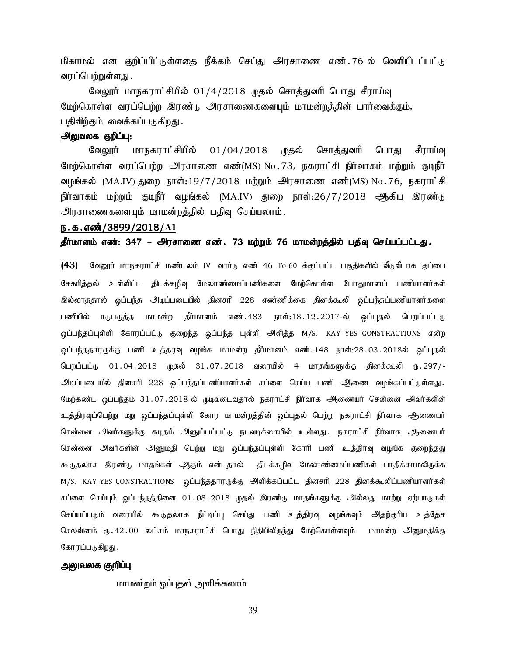மிகாமல் என குறிப்பிட்டுள்ளதை நீக்கம் செய்து அரசாணை எண்.76-ல் வெளியிடப்பட்டு வரப்பெற்றுள்ளது .

வேலூர் மாநகராட்சியில் 01/4/2018 முதல் சொத்துவரி பொது சீராய்வு மேற்கொள்ள வரப்பெற்ற இரண்டு அரசாணைகளையும் மாமன்றத்தின் பார்வைக்கும், பதிவிற்கும் வைக்கப்படுகிறது.

## அலுவலக குறிப்பு:

வேலூர் மாநகராட்சியில் 01/04/2018 முதல் சொத்துவரி பொது சீராய்வு மேற்கொள்ள வரப்பெற்ற அரசாணை எண்(MS) No.73, நகராட்சி நிர்வாகம் மற்றும் குடிநீர் வழங்கல்  $(MA IV)$  துறை நாள்: $19/7/2018$  மற்றும் அரசாணை எண் $(MS)$  No.76, நகராட்சி நிர்வாகம் மற்றும் குடிநீர் வழங்கல் (MA.IV) துறை நாள்:26/7/2018 ஆகிய இரண்டு அரசாணைகளையும் மாமன்றத்தில் பதிவு செய்யலாம்.

#### ந.க.எண்/3899/2018/A1

தீர்மானம் எண்: 347 – அரசாணை எண். 73 மற்றும் 76 மாமன்றத்தில் பதிவு செய்யப்பட்டது.

(43) மேலூர் மாநகராட்சி மண்டலம் IV வார்டு எண் 46 To 60 க்குட்பட்ட பகுதிகளில் வீடுவீடாக குப்பை சேகரித்தல் உள்ளிட்ட திடக்கழிவு மேலாண்மைப்பணிகளை மேற்கொள்ள போதுமானப் பணியாளர்கள் இல்லாததால் ஒப்பந்த அடிப்படையில் தினசரி 228 எண்ணிக்கை தினக்கூலி ஒப்பந்தப்பணியாளர்களை பணியில் ஈடுபடுத்த மாமன்ற தீர்மானம் எண். 483 நாள்: 18 . 12 . 2017-ல் ஒப்புதல் பெறப்பட்டடு ஒப்பந்தப்புள்ளி கோரப்பட்டு குறைந்த ஒப்பந்த புள்ளி அி்த்த M/S. KAY YES CONSTRACTIONS என்ற ஒப்பந்ததாரருக்கு பணி உத்தரவு வழங்க மாமன்ற தீர்மானம் எண்.148 நாள்:28.03.2018ல் ஒப்புதல் பெறப்பட்டு 01.04.2018 முதல் 31.07.2018 வரையில் 4 மாதங்களுக்கு தினக்கூலி ரு.297/-.<br>அடிப்படையில் தினசரி 228 ஒப்பந்தப்பணியாளர்கள் சப்ளை செய்ய பணி ஆணை வழங்கப்பட்டுள்ளது. மேற்கண்ட ஒப்பந்தம் 31.07.2018-ல் முடிவடைவதால் நகராட்சி நிர்வாக ஆணையர் சென்னை அவர்களின் உத்திரவுப்பெற்று மறு ஒப்பந்தப்புள்ளி கோர மாமன்றத்தின் ஒப்புதல் பெற்று நகராட்சி நிர்வாக ஆணையர் சென்னை அவர்களுக்கு கடிதம் அனுப்பப்பட்டு நடவடிக்கையில் உள்ளது. நகராட்சி நிர்வாக ஆணையர் சென்னை அவர்களின் அனுமதி பெற்று மறு ஒப்பந்தப்புள்ளி கோரி பணி உத்திரவு வழங்க குறைந்தது கூடுதலாக இரண்டு மாதங்கள் ஆகும் என்பதால் திடக்கழிவு மேலாண்மைப்பணிகள் பாதிக்காமலிருக்க M/S. KAY YES CONSTRACTIONS ஒப்பந்ததாரருக்கு அளிக்கப்பட்ட தினசரி 228 தினக்கூலிப்பணியாளர்கள் சப்ளை செய்யும் ஒப்பந்தத்தினை 01.08.2018 முதல் இரண்டு மாதங்களுக்கு அல்லது மாற்று ஏற்பாடுகள் செய்யப்படும் வரையில் கூடுதலாக நீட்டிப்பு செய்து பணி உத்திரவு வழங்கவும் அதற்குரிய உத்தேச செலவினம் ரு.42.00 லட்சம் மாநகராட்சி பொது நிதியிலிருந்து மேற்கொள்ளவும் மாமன்ற அனுமதிக்கு கோரப்படுகிறது.

#### .அலுவலக குறிப்பு

மாமன்றம் ஒப்புதல் அளிக்கலாம்

39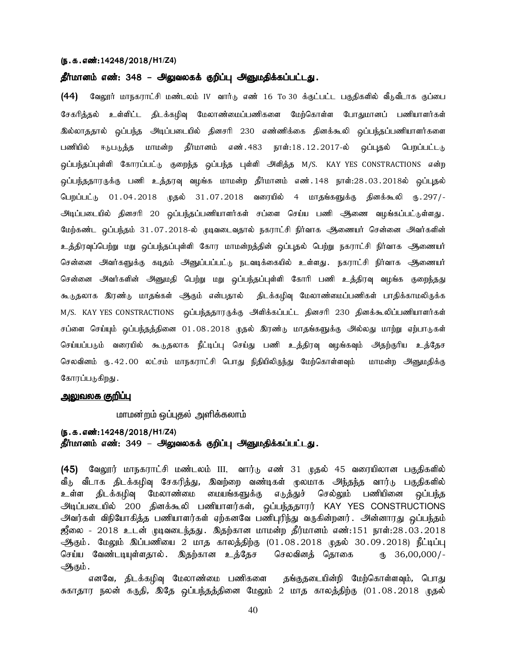#### (ந.க.எண்:14248/2018/**H1/Z4**)

## தீர்மானம் எண்: 348 – அலுவலகக் குறிப்பு அனுமதிக்கப்பட்டது.

(44) மேலூர் மாநகராட்சி மண்டலம் IV வார்டு எண் 16 To 30 க்குட்பட்ட பகுதிகளில் வீடுவீடாக குப்பை சேகரித்தல் உள்ளிட்ட திடக்கமிவு மேலாண்மைப்பணிகளை மேற்கொள்ள போதுமானப் பணியாளர்கள் இல்லாததால் ஒப்பந்த அடிப்படையில் தினசரி 230 எண்ணிக்கை தினக்கூலி ஒப்பந்தப்பணியாளர்களை பணியில் ஈடுபடுத்த மாமன்ற தீர்மானம் எண். 483 நாள்: 18 . 12 . 2017-ல் ஒப்புதல் பெறப்பட்டடு ஒப்பந்தப்புள்ளி கோரப்பட்டு குறைந்த ஒப்பந்த புள்ளி அிளித்த M/S. KAY YES CONSTRACTIONS என்ற <u>ஒ</u>ப்பந்ததாரருக்கு பணி உத்தரவு வழங்க மாமன்ற தீர்மானம் எண்.148 நாள்:28.03.2018ல் ஒப்புதல் பெறப்பட்டு 01.04.2018 முதல் 31.07.2018 வரையில் 4 மாதங்களுக்கு தினக்கூலி ரு.297/-அடிப்படையில் தினசரி 20 ஒப்பந்தப்பணியாளர்கள் சப்ளை செய்ய பணி ஆணை வழங்கப்பட்டுள்ளது. மேற்கண்ட ஒப்பந்தம் 31.07.2018-ல் முடிவடைவதால் நகராட்சி நிர்வாக ஆணையர் சென்னை அவர்களின் உத்திரவுப்பெற்று மறு ஒப்பந்தப்புள்ளி கோர மாமன்றத்தின் ஒப்புதல் பெற்று நகராட்சி நிர்வாக ஆணையர் சென்னை அவர்களுக்கு கடிதம் அனுப்பப்பட்டு நடவடிக்கையில் உள்ளது. நகராட்சி நிர்வாக ஆணையர் சென்னை அவர்களின் அனுமதி பெற்று மறு ஒப்பந்தப்புள்ளி கோரி பணி உத்திரவு வழங்க குறைந்தது கூடுதலாக இரண்டு மாதங்கள் ஆதம் என்பதால் திடக்கழிவு மேலாண்மைப்பணிகள் பாதிக்காமலிருக்க M/S. KAY YES CONSTRACTIONS ஒப்பந்ததாரருக்கு அி்க்கப்பட்ட தினசரி 230 தினக்கூலிப்பணியாளர்கள் சப்ளை செய்யும் ஒப்பந்தத்தினை 01.08.2018 முதல் இரண்டு மாதங்களுக்கு அல்லது மாற்று ஏற்பாடுகள் செய்யப்படும் வரையில் கூடுதலாக நீட்டிப்பு செய்து பணி உத்திரவு வழங்கவும் அதற்குரிய உத்தேச செலவினம் ரு.42.00 லட்சம் மாநகராட்சி பொது நிதியிலிருந்து மேற்கொள்ளவும் மாமன்ற அனுமதிக்கு கோரப்படுகிறது.

#### <u>அலுவலக குறிப்பு</u>

மாமன்றம் ஒப்புதல் அளிக்கலாம்

#### (ந.க.எண்:14248/2018/H1/Z4)

தீர்மானம் எண்: 349 – அலுவலகக் குறிப்பு அனுமதிக்கப்பட்டது.

(45) வேலூர் மாநகராட்சி மண்டலம் III, வார்டு எண் 31 முதல் 45 வரையிலான பகுதிகளில் வீடு வீடாக திடக்கழிவு சேகரித்து, இவற்றை வண்டிகள் முலமாக அந்தந்த வார்டு பகுதிகளில் உள்ள திடக்கழிவு மேலாண்மை மையங்களுக்கு எடுத்துச் செல்லும் பணியினை ஒப்பந்த அடிப்படையில் 200 தினக்கூலி பணியாளர்கள், ஒப்பந்ததாரர் KAY YES CONSTRUCTIONS அவர்கள் விநியோகித்த பணியாளர்கள் ஏற்கனவே பணிபுரிந்து வருகின்றனர். அன்னாரது ஒப்பந்தம்  ${\tt g}$ லை - 2018 உடன் முடிவடைந்தது. இதற்கான மாமன்ற தீர்மானம் எண்:151 நாள்:28.03.2018 <u>ஆகு</u>ம். மேலும் இப்பணியை 2 மாத காலத்திற்கு (01.08.2018 முதல் 30.09.2018) நீட்டிப்பு செய்ய வேண்டடியுள்ளதால் .இதற்கான உத்தேச செலவினத் தொகை ரு 36,00,000/-ஆகும்.

எனவே, திடக்கழிவு மேலாண்மை பணிகளை தங்குதடையின்றி மேற்கொள்ளவும், பொது சுகாதார நலன் கருதி, இதே ஒப்பந்தத்தினை மேலும் 2 மாத காலத்திற்கு (01.08.2018 முதல்

40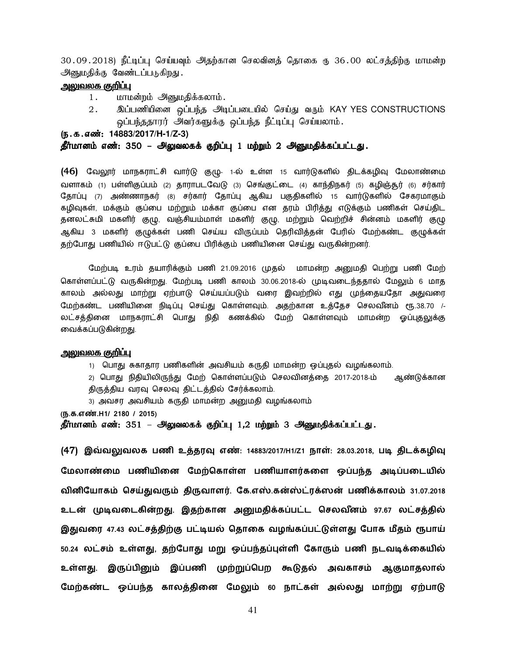30.09.2018) நீட்டிப்பு செய்யவும் அதற்கான செலவினத் தொகை ரூ 36.00 லட்சத்திற்கு மாமன்ற அனுமதிக்கு வேண்டப்படுகிறது.

#### <u>அலுவலக குறிப்பு</u>

- 1. மாமன்றம் அனுமதிக்கலாம்.
- 2. இப்பணியினை ஒப்பந்த அடிப்படையில் செய்து வரும் KAY YES CONSTRUCTIONS ஒப்பந்ததாரர் அவர்களுக்கு ஒப்பந்த நீட்டிப்பு செய்யலாம்.

(e.f.vz;: (e.f.vz;: **14883/2017/H-1/Z-3)** 

#### தீர்மானம் எண்: 350 – அலுவலகக் குறிப்பு 1 மற்றும் 2 அனுமதிக்கப்பட்டது.

(46) வேலூர் மாநகராட்சி வார்டு குழு- 1-ல் உள்ள 15 வார்டுகளில் திடக்கழிவு மேலாண்மை வளாகம் (1) பள்ளிகுப்பம் (2) தாராபடவேடு (3) செங்குட்டை (4) காந்திநகர் (5) கழிஞ்தூர் (6) சர்கார் தோப்பு (7) அண்ணாநகர் (8) சர்கார் தோப்பு ஆகிய பகுதிகளில் 15 வார்டுகளில் சேகரமாகும் கழிவுகள், மக்கும் குப்பை மற்றும் மக்கா குப்பை என தரம் பிரித்து எடுக்கும் பணிகள் செய்திட தனலட்சுமி மகளிர் குழு, வஞ்சியம்மாள் மகளிர் குழு, மற்றும் வெற்றிச் சின்னம் மகளிர் குழு ஆகிய 3 மகளிர் குழுக்கள் பணி செய்ய விருப்பம் தெரிவித்தன் பேரில் மேற்கண்ட குழுக்கள் தற்போது பணியில் ஈடுபட்டு குப்பை பிரிக்கும் பணியினை செய்து வருகின்றனர்.

மேற்படி உரம் தயாரிக்கும் பணி 21.09.2016 முதல் மாமன்ற அனுமதி பெற்று பணி மேற் கொள்ளப்பட்டு வருகின்றது. மேற்படி பணி காலம் 30.06.2018-ல் முடிவடைந்ததால் மேலும் 6 மாத காலம் அல்லது மாற்று ஏற்பாடு செய்யப்படும் வரை இவற்றில் எது முந்தையதோ அதுவரை மேற்கண்ட பணியினை நிடிப்பு செய்து கொள்ளவும். அதற்கான உத்தேச செலவீனம் ரூ.38.70 /-லட்சத்தினை மாநகராட்சி பொது நிதி கணக்கில் மேற் கொள்ளவும் மாமன்ற ஓப்புதலுக்கு வைக்கப்படுகின்றது.

#### <u>அலுவலக குறிப்பு</u>

1) பொது சுகாதார பணிகளின் அவசியம் கருதி மாமன்ற ஒப்புதல் வழங்கலாம்.

2) பொது நிதியிலிருந்து மேற் கொள்ளப்படும் செலவினத்தை 2017-2018-ம் ஆண்டுக்கான திருத்திய வரவு செலவு திட்டத்தில் சேர்க்கலாம்.

3) அவசர அவசியம் கருதி மாமன்ற அனுமதி வழங்கலாம்

**(ந.க.எ.H1/ 2180 / 2015)** 

தீர்மானம் எண்: 351 – அலுவலகக் குறிப்பு 1,2 மற்றும் 3 அனுமதிக்கப்பட்டது.

(47) இவ்வலுவலக பணி உத்தரவு எண்: 14883/2017/H1/Z1 நாள்: 28.03.2018, படி திடக்கழிவு மேலாண்மை பணியினை மேற்கொள்ள பணியாளர்களை ஒப்பந்த அடிப்படையில் வினியோகம் செய்துவரும் திருவாளர். கே.எஸ்.கன்ஸ்ட்ரக்ஸன் பணிக்காலம் **31.07.2018** உடன் முடிவடைகின்றது. இதற்கான அனுமதிக்கப்பட்ட செலவீனம் **97.67 லட்சத்தில்** இதுவரை 47.43 லட்சத்திற்கு பட்டியல் தொகை வழங்கப்பட்டுள்ளது போக மீதம் ரூபாய் 50.24 லட்சம் உள்ளது, தற்போது மறு ஒப்பந்தப்புள்ளி கோரும் பணி நடவடிக்கையில் உள்ளது. இருப்பினும் இப்பணி முற்றுப்பெற கூடுதல் அவகாசம் ஆகுமாதலால் மேற்கண்ட ஒப்பந்த காலத்தினை மேலும் 60 நாட்கள் அல்லது மாற்று ஏற்பாடு